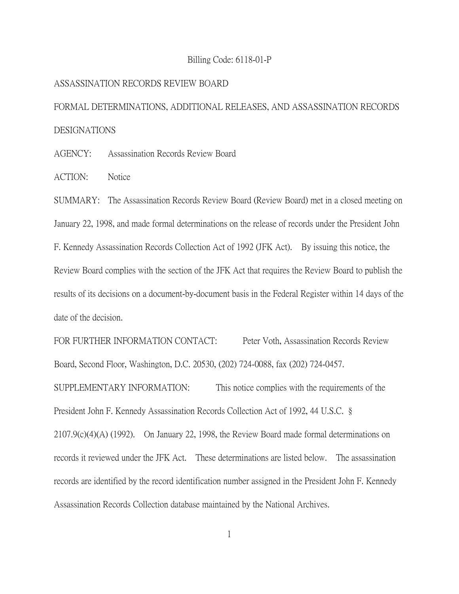## Billing Code: 6118-01-P

## ASSASSINATION RECORDS REVIEW BOARD

FORMAL DETERMINATIONS, ADDITIONAL RELEASES, AND ASSASSINATION RECORDS DESIGNATIONS

AGENCY: Assassination Records Review Board

ACTION: Notice

SUMMARY: The Assassination Records Review Board (Review Board) met in a closed meeting on January 22, 1998, and made formal determinations on the release of records under the President John F. Kennedy Assassination Records Collection Act of 1992 (JFK Act). By issuing this notice, the Review Board complies with the section of the JFK Act that requires the Review Board to publish the results of its decisions on a document-by-document basis in the Federal Register within 14 days of the date of the decision.

FOR FURTHER INFORMATION CONTACT: Peter Voth, Assassination Records Review Board, Second Floor, Washington, D.C. 20530, (202) 724-0088, fax (202) 724-0457. SUPPLEMENTARY INFORMATION: This notice complies with the requirements of the President John F. Kennedy Assassination Records Collection Act of 1992, 44 U.S.C. § 2107.9(c)(4)(A) (1992). On January 22, 1998, the Review Board made formal determinations on records it reviewed under the JFK Act. These determinations are listed below. The assassination records are identified by the record identification number assigned in the President John F. Kennedy

Assassination Records Collection database maintained by the National Archives.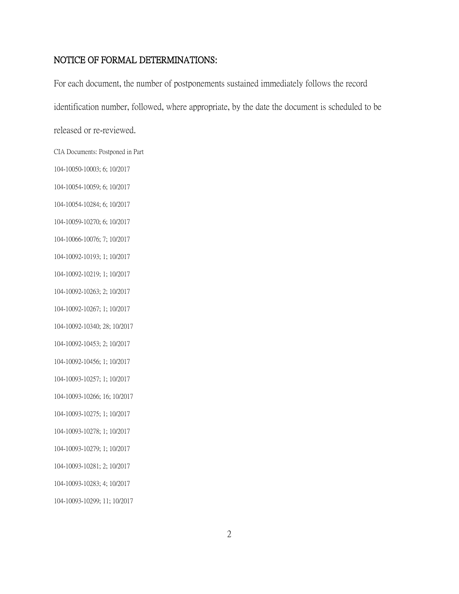## NOTICE OF FORMAL DETERMINATIONS:

For each document, the number of postponements sustained immediately follows the record identification number, followed, where appropriate, by the date the document is scheduled to be released or re-reviewed. CIA Documents: Postponed in Part 104-10050-10003; 6; 10/2017 104-10054-10059; 6; 10/2017 104-10054-10284; 6; 10/2017 104-10059-10270; 6; 10/2017 104-10066-10076; 7; 10/2017 104-10092-10193; 1; 10/2017 104-10092-10219; 1; 10/2017 104-10092-10263; 2; 10/2017 104-10092-10267; 1; 10/2017 104-10092-10340; 28; 10/2017 104-10092-10453; 2; 10/2017 104-10092-10456; 1; 10/2017 104-10093-10257; 1; 10/2017 104-10093-10266; 16; 10/2017 104-10093-10275; 1; 10/2017 104-10093-10278; 1; 10/2017 104-10093-10279; 1; 10/2017 104-10093-10281; 2; 10/2017 104-10093-10283; 4; 10/2017 104-10093-10299; 11; 10/2017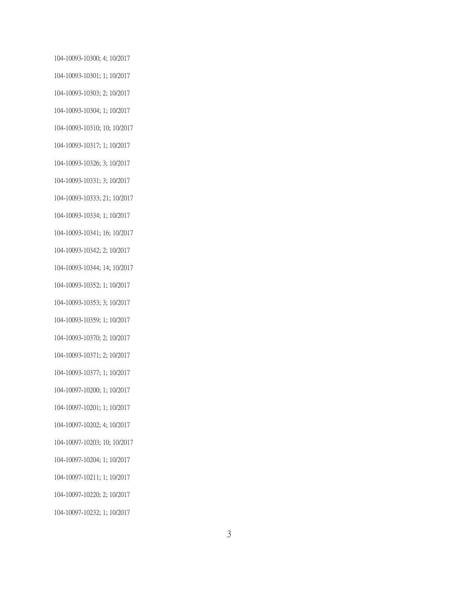104-10093-10300; 4; 10/2017 104-10093-10301; 1; 10/2017 104-10093-10303; 2; 10/2017 104-10093-10304; 1; 10/2017 104-10093-10310; 10; 10/2017 104-10093-10317; 1; 10/2017 104-10093-10326; 3; 10/2017 104-10093-10331; 3; 10/2017 104-10093-10333; 21; 10/2017 104-10093-10334; 1; 10/2017 104-10093-10341; 16; 10/2017 104-10093-10342; 2; 10/2017 104-10093-10344; 14; 10/2017 104-10093-10352; 1; 10/2017 104-10093-10353; 3; 10/2017 104-10093-10359; 1; 10/2017 104-10093-10370; 2; 10/2017 104-10093-10371; 2; 10/2017 104-10093-10377; 1; 10/2017 104-10097-10200; 1; 10/2017 104-10097-10201; 1; 10/2017 104-10097-10202; 4; 10/2017 104-10097-10203; 10; 10/2017 104-10097-10204; 1; 10/2017 104-10097-10211; 1; 10/2017 104-10097-10220; 2; 10/2017 104-10097-10232; 1; 10/2017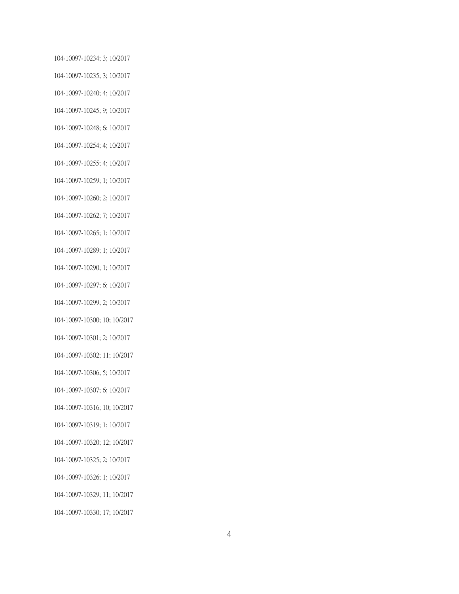104-10097-10234; 3; 10/2017 104-10097-10235; 3; 10/2017 104-10097-10240; 4; 10/2017 104-10097-10245; 9; 10/2017 104-10097-10248; 6; 10/2017 104-10097-10254; 4; 10/2017 104-10097-10255; 4; 10/2017 104-10097-10259; 1; 10/2017 104-10097-10260; 2; 10/2017 104-10097-10262; 7; 10/2017 104-10097-10265; 1; 10/2017 104-10097-10289; 1; 10/2017 104-10097-10290; 1; 10/2017 104-10097-10297; 6; 10/2017 104-10097-10299; 2; 10/2017 104-10097-10300; 10; 10/2017 104-10097-10301; 2; 10/2017 104-10097-10302; 11; 10/2017 104-10097-10306; 5; 10/2017 104-10097-10307; 6; 10/2017 104-10097-10316; 10; 10/2017 104-10097-10319; 1; 10/2017 104-10097-10320; 12; 10/2017 104-10097-10325; 2; 10/2017 104-10097-10326; 1; 10/2017 104-10097-10329; 11; 10/2017 104-10097-10330; 17; 10/2017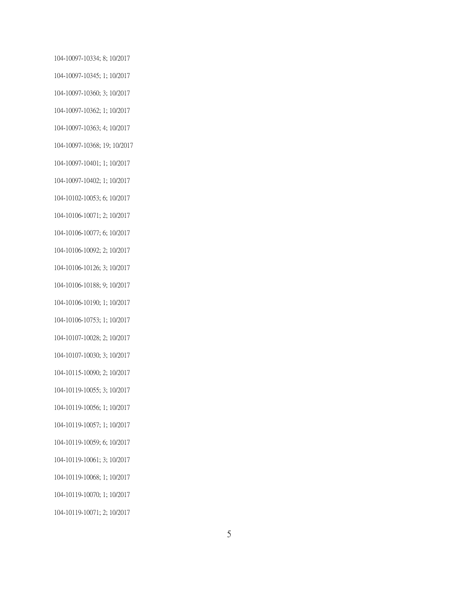104-10097-10334; 8; 10/2017 104-10097-10345; 1; 10/2017 104-10097-10360; 3; 10/2017 104-10097-10362; 1; 10/2017 104-10097-10363; 4; 10/2017 104-10097-10368; 19; 10/2017 104-10097-10401; 1; 10/2017 104-10097-10402; 1; 10/2017 104-10102-10053; 6; 10/2017 104-10106-10071; 2; 10/2017 104-10106-10077; 6; 10/2017 104-10106-10092; 2; 10/2017 104-10106-10126; 3; 10/2017 104-10106-10188; 9; 10/2017 104-10106-10190; 1; 10/2017 104-10106-10753; 1; 10/2017 104-10107-10028; 2; 10/2017 104-10107-10030; 3; 10/2017 104-10115-10090; 2; 10/2017 104-10119-10055; 3; 10/2017 104-10119-10056; 1; 10/2017 104-10119-10057; 1; 10/2017 104-10119-10059; 6; 10/2017 104-10119-10061; 3; 10/2017 104-10119-10068; 1; 10/2017 104-10119-10070; 1; 10/2017 104-10119-10071; 2; 10/2017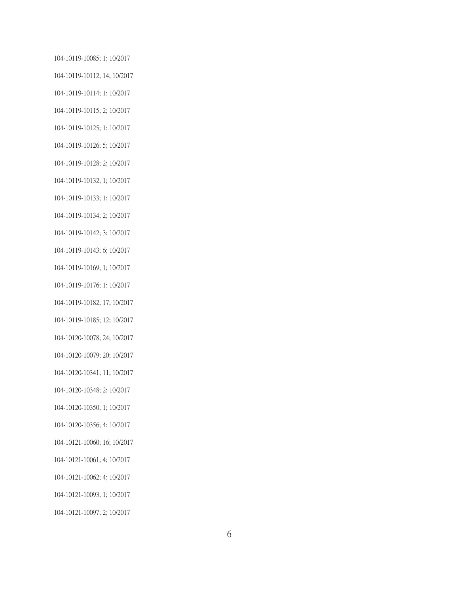104-10119-10085; 1; 10/2017 104-10119-10112; 14; 10/2017 104-10119-10114; 1; 10/2017 104-10119-10115; 2; 10/2017 104-10119-10125; 1; 10/2017 104-10119-10126; 5; 10/2017 104-10119-10128; 2; 10/2017 104-10119-10132; 1; 10/2017 104-10119-10133; 1; 10/2017 104-10119-10134; 2; 10/2017 104-10119-10142; 3; 10/2017 104-10119-10143; 6; 10/2017 104-10119-10169; 1; 10/2017 104-10119-10176; 1; 10/2017 104-10119-10182; 17; 10/2017 104-10119-10185; 12; 10/2017 104-10120-10078; 24; 10/2017 104-10120-10079; 20; 10/2017 104-10120-10341; 11; 10/2017 104-10120-10348; 2; 10/2017 104-10120-10350; 1; 10/2017 104-10120-10356; 4; 10/2017 104-10121-10060; 16; 10/2017 104-10121-10061; 4; 10/2017 104-10121-10062; 4; 10/2017 104-10121-10093; 1; 10/2017 104-10121-10097; 2; 10/2017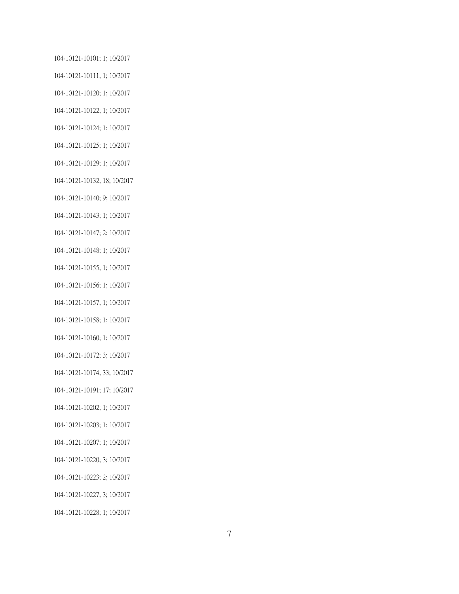104-10121-10101; 1; 10/2017 104-10121-10111; 1; 10/2017 104-10121-10120; 1; 10/2017 104-10121-10122; 1; 10/2017 104-10121-10124; 1; 10/2017 104-10121-10125; 1; 10/2017 104-10121-10129; 1; 10/2017 104-10121-10132; 18; 10/2017 104-10121-10140; 9; 10/2017 104-10121-10143; 1; 10/2017 104-10121-10147; 2; 10/2017 104-10121-10148; 1; 10/2017 104-10121-10155; 1; 10/2017 104-10121-10156; 1; 10/2017 104-10121-10157; 1; 10/2017 104-10121-10158; 1; 10/2017 104-10121-10160; 1; 10/2017 104-10121-10172; 3; 10/2017 104-10121-10174; 33; 10/2017 104-10121-10191; 17; 10/2017 104-10121-10202; 1; 10/2017 104-10121-10203; 1; 10/2017 104-10121-10207; 1; 10/2017 104-10121-10220; 3; 10/2017 104-10121-10223; 2; 10/2017 104-10121-10227; 3; 10/2017 104-10121-10228; 1; 10/2017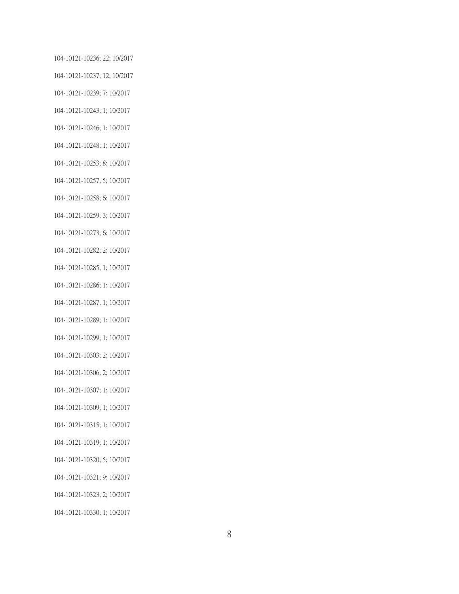104-10121-10236; 22; 10/2017 104-10121-10237; 12; 10/2017 104-10121-10239; 7; 10/2017 104-10121-10243; 1; 10/2017 104-10121-10246; 1; 10/2017 104-10121-10248; 1; 10/2017 104-10121-10253; 8; 10/2017 104-10121-10257; 5; 10/2017 104-10121-10258; 6; 10/2017 104-10121-10259; 3; 10/2017 104-10121-10273; 6; 10/2017 104-10121-10282; 2; 10/2017 104-10121-10285; 1; 10/2017 104-10121-10286; 1; 10/2017 104-10121-10287; 1; 10/2017 104-10121-10289; 1; 10/2017 104-10121-10299; 1; 10/2017 104-10121-10303; 2; 10/2017 104-10121-10306; 2; 10/2017 104-10121-10307; 1; 10/2017 104-10121-10309; 1; 10/2017 104-10121-10315; 1; 10/2017 104-10121-10319; 1; 10/2017 104-10121-10320; 5; 10/2017 104-10121-10321; 9; 10/2017 104-10121-10323; 2; 10/2017 104-10121-10330; 1; 10/2017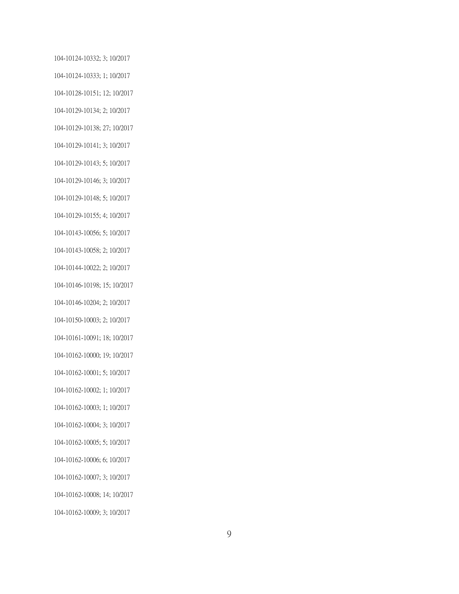104-10124-10332; 3; 10/2017 104-10124-10333; 1; 10/2017 104-10128-10151; 12; 10/2017 104-10129-10134; 2; 10/2017 104-10129-10138; 27; 10/2017 104-10129-10141; 3; 10/2017 104-10129-10143; 5; 10/2017 104-10129-10146; 3; 10/2017 104-10129-10148; 5; 10/2017 104-10129-10155; 4; 10/2017 104-10143-10056; 5; 10/2017 104-10143-10058; 2; 10/2017 104-10144-10022; 2; 10/2017 104-10146-10198; 15; 10/2017 104-10146-10204; 2; 10/2017 104-10150-10003; 2; 10/2017 104-10161-10091; 18; 10/2017 104-10162-10000; 19; 10/2017 104-10162-10001; 5; 10/2017 104-10162-10002; 1; 10/2017 104-10162-10003; 1; 10/2017 104-10162-10004; 3; 10/2017 104-10162-10005; 5; 10/2017 104-10162-10006; 6; 10/2017 104-10162-10007; 3; 10/2017 104-10162-10008; 14; 10/2017 104-10162-10009; 3; 10/2017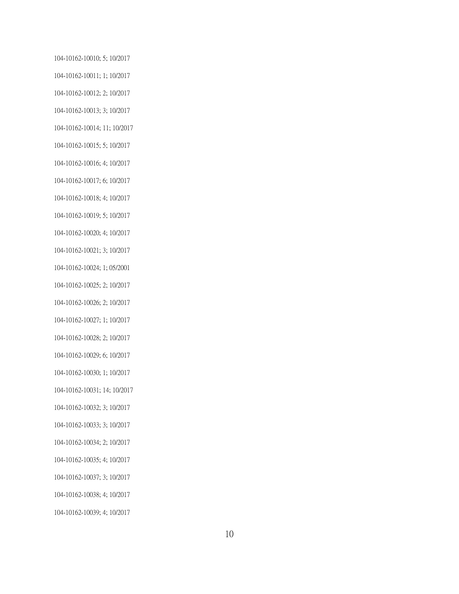104-10162-10010; 5; 10/2017 104-10162-10011; 1; 10/2017 104-10162-10012; 2; 10/2017 104-10162-10013; 3; 10/2017 104-10162-10014; 11; 10/2017 104-10162-10015; 5; 10/2017 104-10162-10016; 4; 10/2017 104-10162-10017; 6; 10/2017 104-10162-10018; 4; 10/2017 104-10162-10019; 5; 10/2017 104-10162-10020; 4; 10/2017 104-10162-10021; 3; 10/2017 104-10162-10024; 1; 05/2001 104-10162-10025; 2; 10/2017 104-10162-10026; 2; 10/2017 104-10162-10027; 1; 10/2017 104-10162-10028; 2; 10/2017 104-10162-10029; 6; 10/2017 104-10162-10030; 1; 10/2017 104-10162-10031; 14; 10/2017 104-10162-10032; 3; 10/2017 104-10162-10033; 3; 10/2017 104-10162-10034; 2; 10/2017 104-10162-10035; 4; 10/2017 104-10162-10037; 3; 10/2017 104-10162-10038; 4; 10/2017 104-10162-10039; 4; 10/2017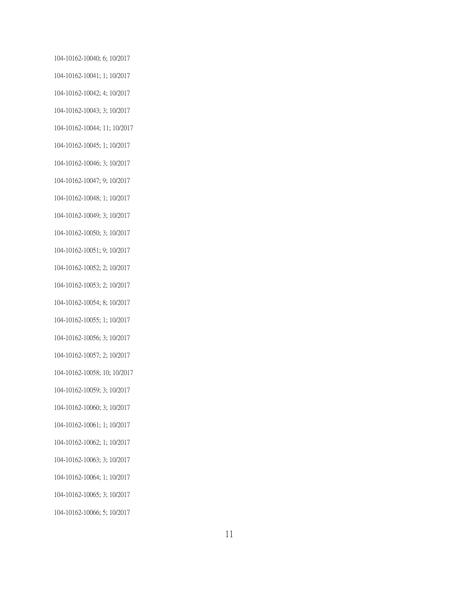104-10162-10040; 6; 10/2017 104-10162-10041; 1; 10/2017 104-10162-10042; 4; 10/2017 104-10162-10043; 3; 10/2017 104-10162-10044; 11; 10/2017 104-10162-10045; 1; 10/2017 104-10162-10046; 3; 10/2017 104-10162-10047; 9; 10/2017 104-10162-10048; 1; 10/2017 104-10162-10049; 3; 10/2017 104-10162-10050; 3; 10/2017 104-10162-10051; 9; 10/2017 104-10162-10052; 2; 10/2017 104-10162-10053; 2; 10/2017 104-10162-10054; 8; 10/2017 104-10162-10055; 1; 10/2017 104-10162-10056; 3; 10/2017 104-10162-10057; 2; 10/2017 104-10162-10058; 10; 10/2017 104-10162-10059; 3; 10/2017 104-10162-10060; 3; 10/2017 104-10162-10061; 1; 10/2017 104-10162-10062; 1; 10/2017 104-10162-10063; 3; 10/2017 104-10162-10064; 1; 10/2017 104-10162-10065; 3; 10/2017 104-10162-10066; 5; 10/2017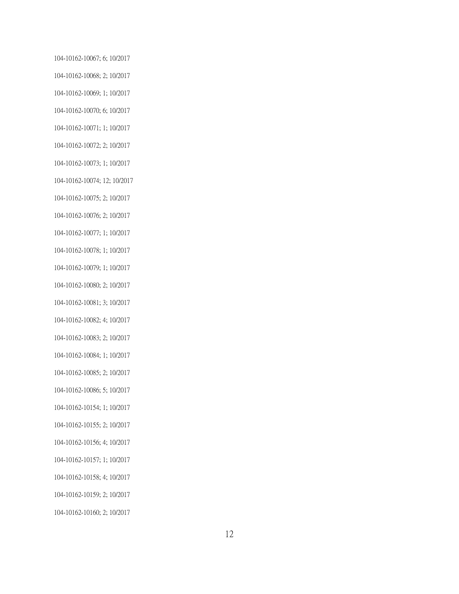104-10162-10067; 6; 10/2017 104-10162-10068; 2; 10/2017 104-10162-10069; 1; 10/2017 104-10162-10070; 6; 10/2017 104-10162-10071; 1; 10/2017 104-10162-10072; 2; 10/2017 104-10162-10073; 1; 10/2017 104-10162-10074; 12; 10/2017 104-10162-10075; 2; 10/2017 104-10162-10076; 2; 10/2017 104-10162-10077; 1; 10/2017 104-10162-10078; 1; 10/2017 104-10162-10079; 1; 10/2017 104-10162-10080; 2; 10/2017 104-10162-10081; 3; 10/2017 104-10162-10082; 4; 10/2017 104-10162-10083; 2; 10/2017 104-10162-10084; 1; 10/2017 104-10162-10085; 2; 10/2017 104-10162-10086; 5; 10/2017 104-10162-10154; 1; 10/2017 104-10162-10155; 2; 10/2017 104-10162-10156; 4; 10/2017 104-10162-10157; 1; 10/2017 104-10162-10158; 4; 10/2017 104-10162-10159; 2; 10/2017 104-10162-10160; 2; 10/2017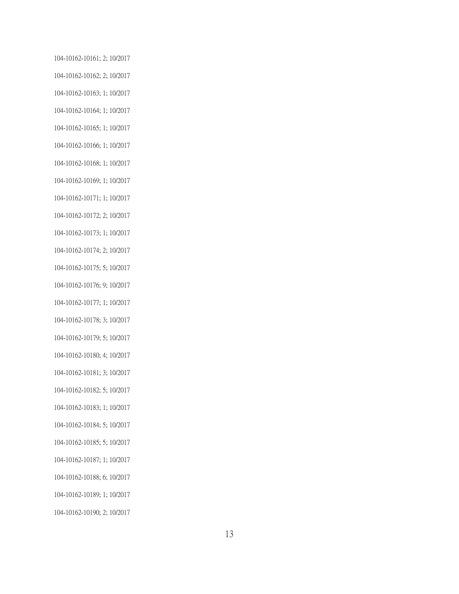104-10162-10161; 2; 10/2017 104-10162-10162; 2; 10/2017 104-10162-10163; 1; 10/2017 104-10162-10164; 1; 10/2017 104-10162-10165; 1; 10/2017 104-10162-10166; 1; 10/2017 104-10162-10168; 1; 10/2017 104-10162-10169; 1; 10/2017 104-10162-10171; 1; 10/2017 104-10162-10172; 2; 10/2017 104-10162-10173; 1; 10/2017 104-10162-10174; 2; 10/2017 104-10162-10175; 5; 10/2017 104-10162-10176; 9; 10/2017 104-10162-10177; 1; 10/2017 104-10162-10178; 3; 10/2017 104-10162-10179; 5; 10/2017 104-10162-10180; 4; 10/2017 104-10162-10181; 3; 10/2017 104-10162-10182; 5; 10/2017 104-10162-10183; 1; 10/2017 104-10162-10184; 5; 10/2017 104-10162-10185; 5; 10/2017 104-10162-10187; 1; 10/2017 104-10162-10188; 6; 10/2017 104-10162-10189; 1; 10/2017 104-10162-10190; 2; 10/2017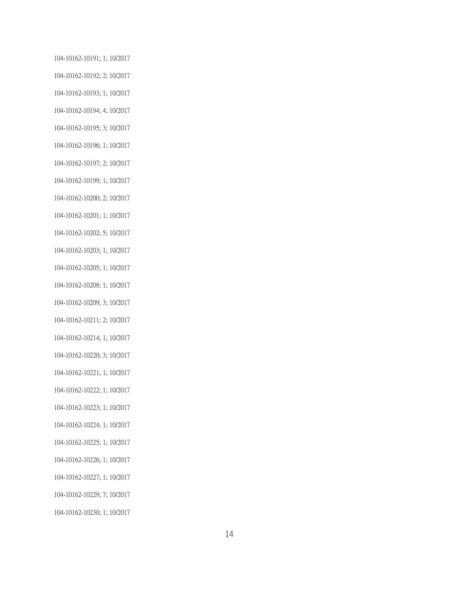104-10162-10191; 1; 10/2017 104-10162-10192; 2; 10/2017 104-10162-10193; 1; 10/2017 104-10162-10194; 4; 10/2017 104-10162-10195; 3; 10/2017 104-10162-10196; 1; 10/2017 104-10162-10197; 2; 10/2017 104-10162-10199; 1; 10/2017 104-10162-10200; 2; 10/2017 104-10162-10201; 1; 10/2017 104-10162-10202; 5; 10/2017 104-10162-10203; 1; 10/2017 104-10162-10205; 1; 10/2017 104-10162-10208; 1; 10/2017 104-10162-10209; 3; 10/2017 104-10162-10211; 2; 10/2017 104-10162-10214; 1; 10/2017 104-10162-10220; 3; 10/2017 104-10162-10221; 1; 10/2017 104-10162-10222; 1; 10/2017 104-10162-10223; 1; 10/2017 104-10162-10224; 1; 10/2017 104-10162-10225; 1; 10/2017 104-10162-10226; 1; 10/2017 104-10162-10227; 1; 10/2017 104-10162-10229; 7; 10/2017 104-10162-10230; 1; 10/2017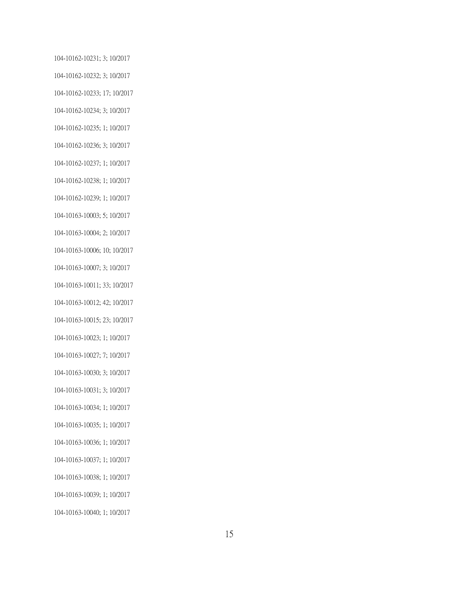104-10162-10231; 3; 10/2017 104-10162-10232; 3; 10/2017 104-10162-10233; 17; 10/2017 104-10162-10234; 3; 10/2017 104-10162-10235; 1; 10/2017 104-10162-10236; 3; 10/2017 104-10162-10237; 1; 10/2017 104-10162-10238; 1; 10/2017 104-10162-10239; 1; 10/2017 104-10163-10003; 5; 10/2017 104-10163-10004; 2; 10/2017 104-10163-10006; 10; 10/2017 104-10163-10007; 3; 10/2017 104-10163-10011; 33; 10/2017 104-10163-10012; 42; 10/2017 104-10163-10015; 23; 10/2017 104-10163-10023; 1; 10/2017 104-10163-10027; 7; 10/2017 104-10163-10030; 3; 10/2017 104-10163-10031; 3; 10/2017 104-10163-10034; 1; 10/2017 104-10163-10035; 1; 10/2017 104-10163-10036; 1; 10/2017 104-10163-10037; 1; 10/2017 104-10163-10038; 1; 10/2017 104-10163-10039; 1; 10/2017 104-10163-10040; 1; 10/2017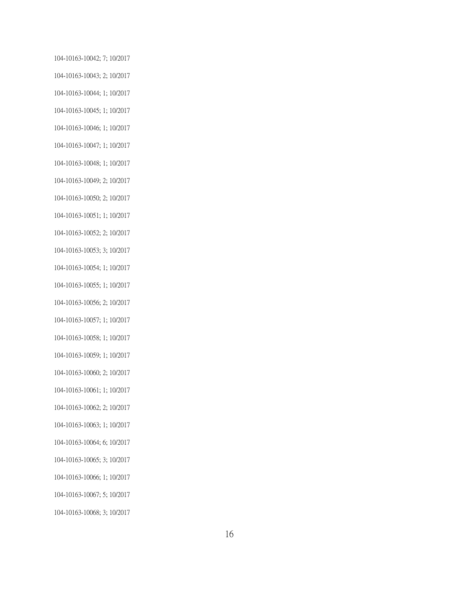104-10163-10042; 7; 10/2017 104-10163-10043; 2; 10/2017 104-10163-10044; 1; 10/2017 104-10163-10045; 1; 10/2017 104-10163-10046; 1; 10/2017 104-10163-10047; 1; 10/2017 104-10163-10048; 1; 10/2017 104-10163-10049; 2; 10/2017 104-10163-10050; 2; 10/2017 104-10163-10051; 1; 10/2017 104-10163-10052; 2; 10/2017 104-10163-10053; 3; 10/2017 104-10163-10054; 1; 10/2017 104-10163-10055; 1; 10/2017 104-10163-10056; 2; 10/2017 104-10163-10057; 1; 10/2017 104-10163-10058; 1; 10/2017 104-10163-10059; 1; 10/2017 104-10163-10060; 2; 10/2017 104-10163-10061; 1; 10/2017 104-10163-10062; 2; 10/2017 104-10163-10063; 1; 10/2017 104-10163-10064; 6; 10/2017 104-10163-10065; 3; 10/2017 104-10163-10066; 1; 10/2017 104-10163-10067; 5; 10/2017 104-10163-10068; 3; 10/2017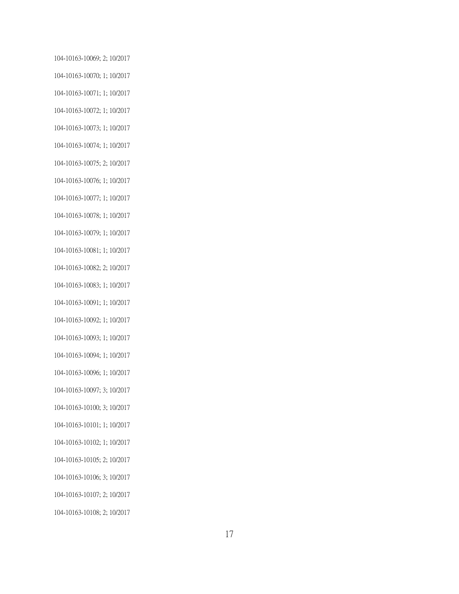104-10163-10069; 2; 10/2017 104-10163-10070; 1; 10/2017 104-10163-10071; 1; 10/2017 104-10163-10072; 1; 10/2017 104-10163-10073; 1; 10/2017 104-10163-10074; 1; 10/2017 104-10163-10075; 2; 10/2017 104-10163-10076; 1; 10/2017 104-10163-10077; 1; 10/2017 104-10163-10078; 1; 10/2017 104-10163-10079; 1; 10/2017 104-10163-10081; 1; 10/2017 104-10163-10082; 2; 10/2017 104-10163-10083; 1; 10/2017 104-10163-10091; 1; 10/2017 104-10163-10092; 1; 10/2017 104-10163-10093; 1; 10/2017 104-10163-10094; 1; 10/2017 104-10163-10096; 1; 10/2017 104-10163-10097; 3; 10/2017 104-10163-10100; 3; 10/2017 104-10163-10101; 1; 10/2017 104-10163-10102; 1; 10/2017 104-10163-10105; 2; 10/2017 104-10163-10106; 3; 10/2017 104-10163-10107; 2; 10/2017 104-10163-10108; 2; 10/2017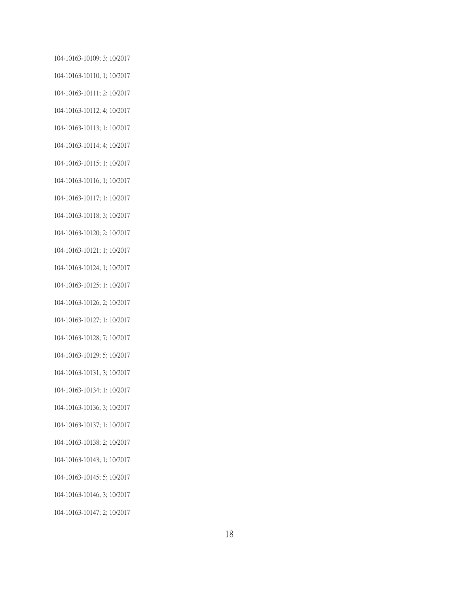104-10163-10109; 3; 10/2017 104-10163-10110; 1; 10/2017 104-10163-10111; 2; 10/2017 104-10163-10112; 4; 10/2017 104-10163-10113; 1; 10/2017 104-10163-10114; 4; 10/2017 104-10163-10115; 1; 10/2017 104-10163-10116; 1; 10/2017 104-10163-10117; 1; 10/2017 104-10163-10118; 3; 10/2017 104-10163-10120; 2; 10/2017 104-10163-10121; 1; 10/2017 104-10163-10124; 1; 10/2017 104-10163-10125; 1; 10/2017 104-10163-10126; 2; 10/2017 104-10163-10127; 1; 10/2017 104-10163-10128; 7; 10/2017 104-10163-10129; 5; 10/2017 104-10163-10131; 3; 10/2017 104-10163-10134; 1; 10/2017 104-10163-10136; 3; 10/2017 104-10163-10137; 1; 10/2017 104-10163-10138; 2; 10/2017 104-10163-10143; 1; 10/2017 104-10163-10145; 5; 10/2017 104-10163-10146; 3; 10/2017 104-10163-10147; 2; 10/2017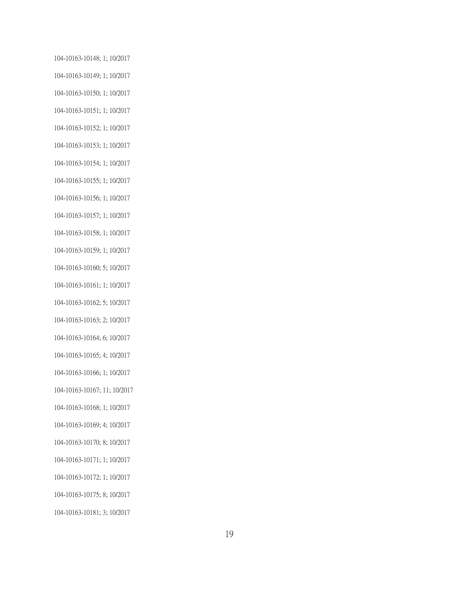104-10163-10148; 1; 10/2017 104-10163-10149; 1; 10/2017 104-10163-10150; 1; 10/2017 104-10163-10151; 1; 10/2017 104-10163-10152; 1; 10/2017 104-10163-10153; 1; 10/2017 104-10163-10154; 1; 10/2017 104-10163-10155; 1; 10/2017 104-10163-10156; 1; 10/2017 104-10163-10157; 1; 10/2017 104-10163-10158; 1; 10/2017 104-10163-10159; 1; 10/2017 104-10163-10160; 5; 10/2017 104-10163-10161; 1; 10/2017 104-10163-10162; 5; 10/2017 104-10163-10163; 2; 10/2017 104-10163-10164; 6; 10/2017 104-10163-10165; 4; 10/2017 104-10163-10166; 1; 10/2017 104-10163-10167; 11; 10/2017 104-10163-10168; 1; 10/2017 104-10163-10169; 4; 10/2017 104-10163-10170; 8; 10/2017 104-10163-10171; 1; 10/2017 104-10163-10172; 1; 10/2017 104-10163-10175; 8; 10/2017 104-10163-10181; 3; 10/2017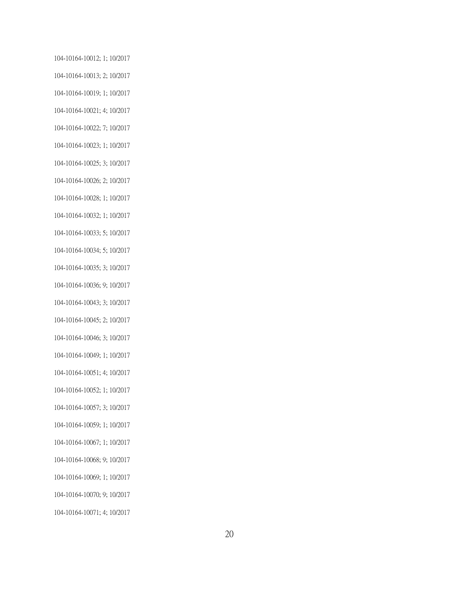104-10164-10012; 1; 10/2017 104-10164-10013; 2; 10/2017 104-10164-10019; 1; 10/2017 104-10164-10021; 4; 10/2017 104-10164-10022; 7; 10/2017 104-10164-10023; 1; 10/2017 104-10164-10025; 3; 10/2017 104-10164-10026; 2; 10/2017 104-10164-10028; 1; 10/2017 104-10164-10032; 1; 10/2017 104-10164-10033; 5; 10/2017 104-10164-10034; 5; 10/2017 104-10164-10035; 3; 10/2017 104-10164-10036; 9; 10/2017 104-10164-10043; 3; 10/2017 104-10164-10045; 2; 10/2017 104-10164-10046; 3; 10/2017 104-10164-10049; 1; 10/2017 104-10164-10051; 4; 10/2017 104-10164-10052; 1; 10/2017 104-10164-10057; 3; 10/2017 104-10164-10059; 1; 10/2017 104-10164-10067; 1; 10/2017 104-10164-10068; 9; 10/2017 104-10164-10069; 1; 10/2017 104-10164-10070; 9; 10/2017 104-10164-10071; 4; 10/2017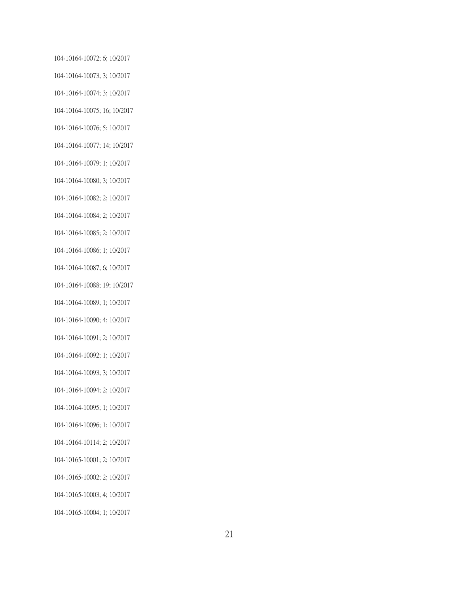104-10164-10072; 6; 10/2017 104-10164-10073; 3; 10/2017 104-10164-10074; 3; 10/2017 104-10164-10075; 16; 10/2017 104-10164-10076; 5; 10/2017 104-10164-10077; 14; 10/2017 104-10164-10079; 1; 10/2017 104-10164-10080; 3; 10/2017 104-10164-10082; 2; 10/2017 104-10164-10084; 2; 10/2017 104-10164-10085; 2; 10/2017 104-10164-10086; 1; 10/2017 104-10164-10087; 6; 10/2017 104-10164-10088; 19; 10/2017 104-10164-10089; 1; 10/2017 104-10164-10090; 4; 10/2017 104-10164-10091; 2; 10/2017 104-10164-10092; 1; 10/2017 104-10164-10093; 3; 10/2017 104-10164-10094; 2; 10/2017 104-10164-10095; 1; 10/2017 104-10164-10096; 1; 10/2017 104-10164-10114; 2; 10/2017 104-10165-10001; 2; 10/2017 104-10165-10002; 2; 10/2017 104-10165-10003; 4; 10/2017 104-10165-10004; 1; 10/2017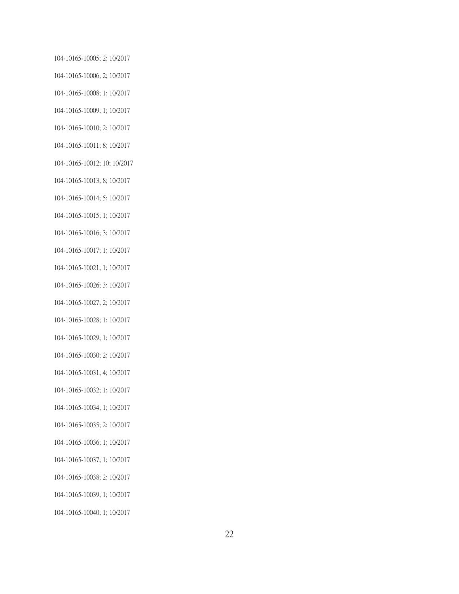104-10165-10005; 2; 10/2017 104-10165-10006; 2; 10/2017 104-10165-10008; 1; 10/2017 104-10165-10009; 1; 10/2017 104-10165-10010; 2; 10/2017 104-10165-10011; 8; 10/2017 104-10165-10012; 10; 10/2017 104-10165-10013; 8; 10/2017 104-10165-10014; 5; 10/2017 104-10165-10015; 1; 10/2017 104-10165-10016; 3; 10/2017 104-10165-10017; 1; 10/2017 104-10165-10021; 1; 10/2017 104-10165-10026; 3; 10/2017 104-10165-10027; 2; 10/2017 104-10165-10028; 1; 10/2017 104-10165-10029; 1; 10/2017 104-10165-10030; 2; 10/2017 104-10165-10031; 4; 10/2017 104-10165-10032; 1; 10/2017 104-10165-10034; 1; 10/2017 104-10165-10035; 2; 10/2017 104-10165-10036; 1; 10/2017 104-10165-10037; 1; 10/2017 104-10165-10038; 2; 10/2017 104-10165-10039; 1; 10/2017 104-10165-10040; 1; 10/2017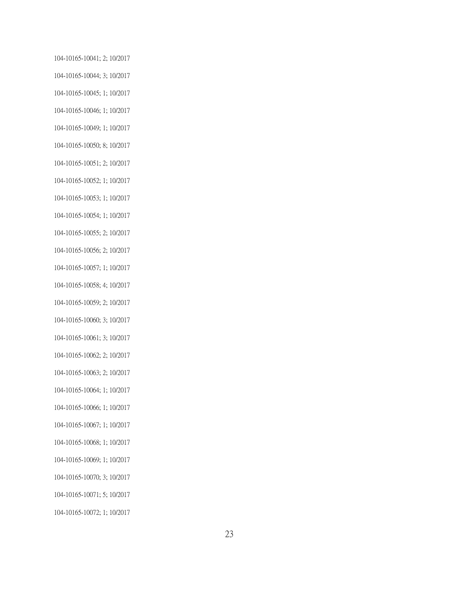104-10165-10041; 2; 10/2017 104-10165-10044; 3; 10/2017 104-10165-10045; 1; 10/2017 104-10165-10046; 1; 10/2017 104-10165-10049; 1; 10/2017 104-10165-10050; 8; 10/2017 104-10165-10051; 2; 10/2017 104-10165-10052; 1; 10/2017 104-10165-10053; 1; 10/2017 104-10165-10054; 1; 10/2017 104-10165-10055; 2; 10/2017 104-10165-10056; 2; 10/2017 104-10165-10057; 1; 10/2017 104-10165-10058; 4; 10/2017 104-10165-10059; 2; 10/2017 104-10165-10060; 3; 10/2017 104-10165-10061; 3; 10/2017 104-10165-10062; 2; 10/2017 104-10165-10063; 2; 10/2017 104-10165-10064; 1; 10/2017 104-10165-10066; 1; 10/2017 104-10165-10067; 1; 10/2017 104-10165-10068; 1; 10/2017 104-10165-10069; 1; 10/2017 104-10165-10070; 3; 10/2017 104-10165-10071; 5; 10/2017 104-10165-10072; 1; 10/2017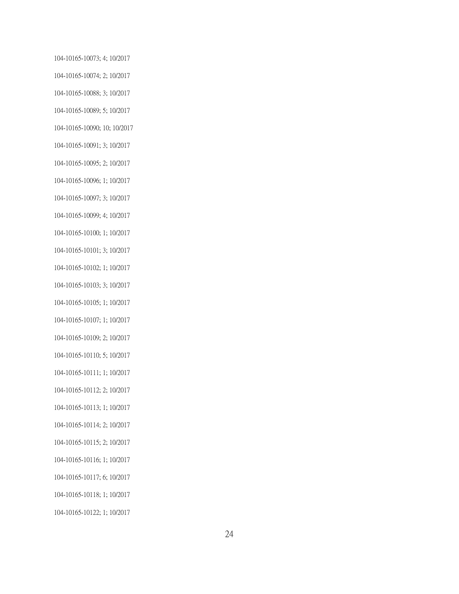104-10165-10073; 4; 10/2017 104-10165-10074; 2; 10/2017 104-10165-10088; 3; 10/2017 104-10165-10089; 5; 10/2017 104-10165-10090; 10; 10/2017 104-10165-10091; 3; 10/2017 104-10165-10095; 2; 10/2017 104-10165-10096; 1; 10/2017 104-10165-10097; 3; 10/2017 104-10165-10099; 4; 10/2017 104-10165-10100; 1; 10/2017 104-10165-10101; 3; 10/2017 104-10165-10102; 1; 10/2017 104-10165-10103; 3; 10/2017 104-10165-10105; 1; 10/2017 104-10165-10107; 1; 10/2017 104-10165-10109; 2; 10/2017 104-10165-10110; 5; 10/2017 104-10165-10111; 1; 10/2017 104-10165-10112; 2; 10/2017 104-10165-10113; 1; 10/2017 104-10165-10114; 2; 10/2017 104-10165-10115; 2; 10/2017 104-10165-10116; 1; 10/2017 104-10165-10117; 6; 10/2017 104-10165-10118; 1; 10/2017 104-10165-10122; 1; 10/2017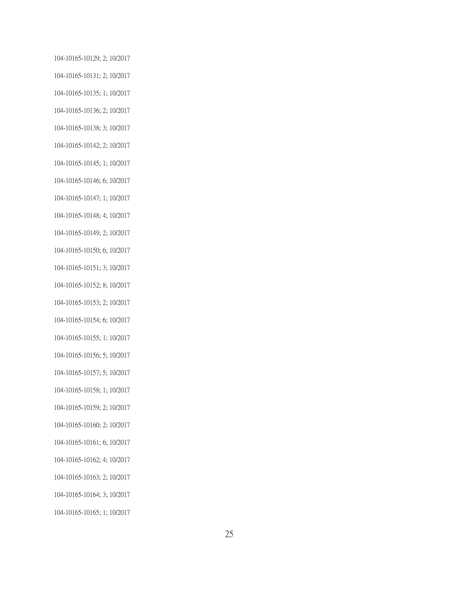104-10165-10129; 2; 10/2017 104-10165-10131; 2; 10/2017 104-10165-10135; 1; 10/2017 104-10165-10136; 2; 10/2017 104-10165-10138; 3; 10/2017 104-10165-10142; 2; 10/2017 104-10165-10145; 1; 10/2017 104-10165-10146; 6; 10/2017 104-10165-10147; 1; 10/2017 104-10165-10148; 4; 10/2017 104-10165-10149; 2; 10/2017 104-10165-10150; 6; 10/2017 104-10165-10151; 3; 10/2017 104-10165-10152; 8; 10/2017 104-10165-10153; 2; 10/2017 104-10165-10154; 6; 10/2017 104-10165-10155; 1; 10/2017 104-10165-10156; 5; 10/2017 104-10165-10157; 5; 10/2017 104-10165-10158; 1; 10/2017 104-10165-10159; 2; 10/2017 104-10165-10160; 2; 10/2017 104-10165-10161; 6; 10/2017 104-10165-10162; 4; 10/2017 104-10165-10163; 2; 10/2017 104-10165-10164; 3; 10/2017 104-10165-10165; 1; 10/2017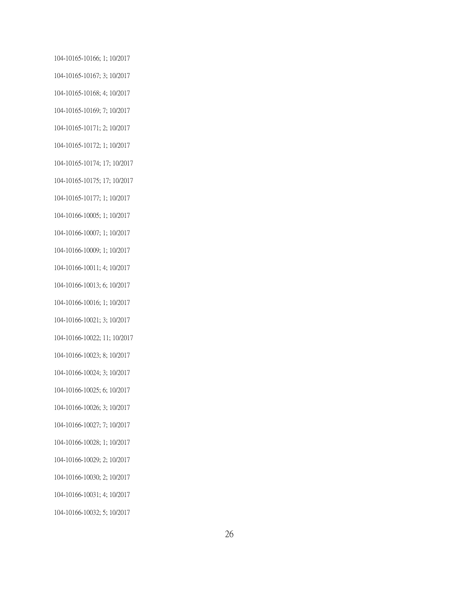104-10165-10166; 1; 10/2017 104-10165-10167; 3; 10/2017 104-10165-10168; 4; 10/2017 104-10165-10169; 7; 10/2017 104-10165-10171; 2; 10/2017 104-10165-10172; 1; 10/2017 104-10165-10174; 17; 10/2017 104-10165-10175; 17; 10/2017 104-10165-10177; 1; 10/2017 104-10166-10005; 1; 10/2017 104-10166-10007; 1; 10/2017 104-10166-10009; 1; 10/2017 104-10166-10011; 4; 10/2017 104-10166-10013; 6; 10/2017 104-10166-10016; 1; 10/2017 104-10166-10021; 3; 10/2017 104-10166-10022; 11; 10/2017 104-10166-10023; 8; 10/2017 104-10166-10024; 3; 10/2017 104-10166-10025; 6; 10/2017 104-10166-10026; 3; 10/2017 104-10166-10027; 7; 10/2017 104-10166-10028; 1; 10/2017 104-10166-10029; 2; 10/2017 104-10166-10030; 2; 10/2017 104-10166-10031; 4; 10/2017 104-10166-10032; 5; 10/2017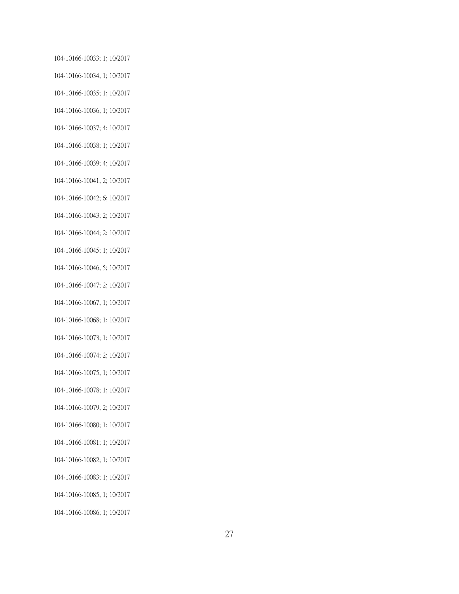104-10166-10033; 1; 10/2017 104-10166-10034; 1; 10/2017 104-10166-10035; 1; 10/2017 104-10166-10036; 1; 10/2017 104-10166-10037; 4; 10/2017 104-10166-10038; 1; 10/2017 104-10166-10039; 4; 10/2017 104-10166-10041; 2; 10/2017 104-10166-10042; 6; 10/2017 104-10166-10043; 2; 10/2017 104-10166-10044; 2; 10/2017 104-10166-10045; 1; 10/2017 104-10166-10046; 5; 10/2017 104-10166-10047; 2; 10/2017 104-10166-10067; 1; 10/2017 104-10166-10068; 1; 10/2017 104-10166-10073; 1; 10/2017 104-10166-10074; 2; 10/2017 104-10166-10075; 1; 10/2017 104-10166-10078; 1; 10/2017 104-10166-10079; 2; 10/2017 104-10166-10080; 1; 10/2017 104-10166-10081; 1; 10/2017 104-10166-10082; 1; 10/2017 104-10166-10083; 1; 10/2017 104-10166-10085; 1; 10/2017 104-10166-10086; 1; 10/2017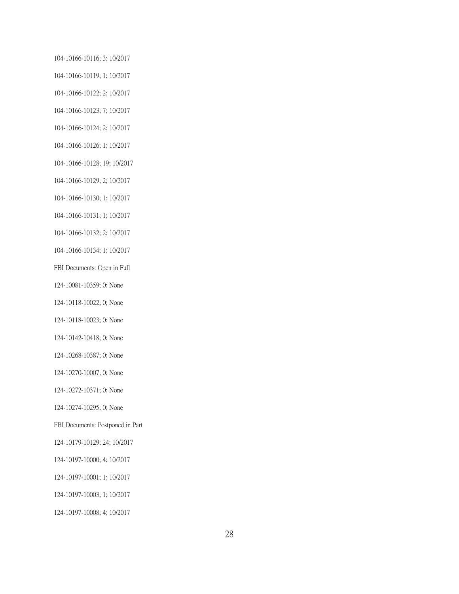104-10166-10116; 3; 10/2017 104-10166-10119; 1; 10/2017 104-10166-10122; 2; 10/2017 104-10166-10123; 7; 10/2017 104-10166-10124; 2; 10/2017 104-10166-10126; 1; 10/2017 104-10166-10128; 19; 10/2017 104-10166-10129; 2; 10/2017 104-10166-10130; 1; 10/2017 104-10166-10131; 1; 10/2017 104-10166-10132; 2; 10/2017 104-10166-10134; 1; 10/2017 FBI Documents: Open in Full 124-10081-10359; 0; None 124-10118-10022; 0; None 124-10118-10023; 0; None 124-10142-10418; 0; None 124-10268-10387; 0; None 124-10270-10007; 0; None 124-10272-10371; 0; None 124-10274-10295; 0; None FBI Documents: Postponed in Part 124-10179-10129; 24; 10/2017 124-10197-10000; 4; 10/2017 124-10197-10001; 1; 10/2017 124-10197-10003; 1; 10/2017 124-10197-10008; 4; 10/2017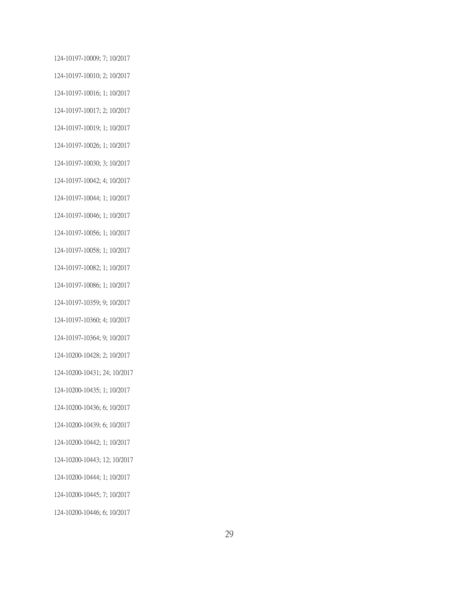124-10197-10009; 7; 10/2017 124-10197-10010; 2; 10/2017 124-10197-10016; 1; 10/2017 124-10197-10017; 2; 10/2017 124-10197-10019; 1; 10/2017 124-10197-10026; 1; 10/2017 124-10197-10030; 3; 10/2017 124-10197-10042; 4; 10/2017 124-10197-10044; 1; 10/2017 124-10197-10046; 1; 10/2017 124-10197-10056; 1; 10/2017 124-10197-10058; 1; 10/2017 124-10197-10082; 1; 10/2017 124-10197-10086; 1; 10/2017 124-10197-10359; 9; 10/2017 124-10197-10360; 4; 10/2017 124-10197-10364; 9; 10/2017 124-10200-10428; 2; 10/2017 124-10200-10431; 24; 10/2017 124-10200-10435; 1; 10/2017 124-10200-10436; 6; 10/2017 124-10200-10439; 6; 10/2017 124-10200-10442; 1; 10/2017 124-10200-10443; 12; 10/2017 124-10200-10444; 1; 10/2017 124-10200-10445; 7; 10/2017 124-10200-10446; 6; 10/2017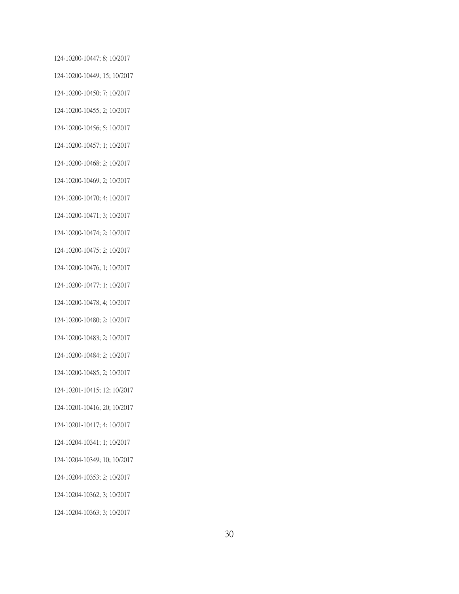124-10200-10447; 8; 10/2017 124-10200-10449; 15; 10/2017 124-10200-10450; 7; 10/2017 124-10200-10455; 2; 10/2017 124-10200-10456; 5; 10/2017 124-10200-10457; 1; 10/2017 124-10200-10468; 2; 10/2017 124-10200-10469; 2; 10/2017 124-10200-10470; 4; 10/2017 124-10200-10471; 3; 10/2017 124-10200-10474; 2; 10/2017 124-10200-10475; 2; 10/2017 124-10200-10476; 1; 10/2017 124-10200-10477; 1; 10/2017 124-10200-10478; 4; 10/2017 124-10200-10480; 2; 10/2017 124-10200-10483; 2; 10/2017 124-10200-10484; 2; 10/2017 124-10200-10485; 2; 10/2017 124-10201-10415; 12; 10/2017 124-10201-10416; 20; 10/2017 124-10201-10417; 4; 10/2017 124-10204-10341; 1; 10/2017 124-10204-10349; 10; 10/2017 124-10204-10353; 2; 10/2017 124-10204-10362; 3; 10/2017

124-10204-10363; 3; 10/2017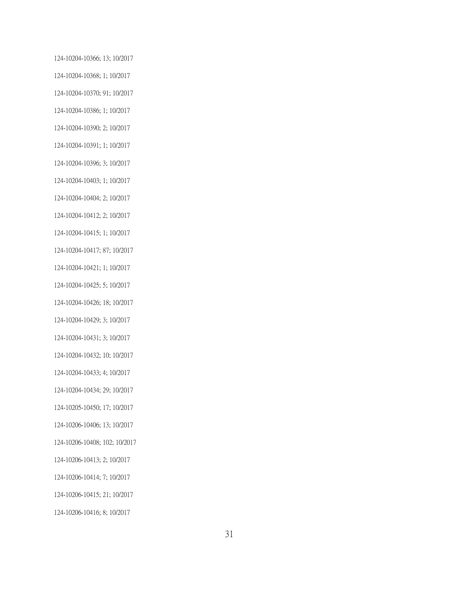124-10204-10366; 13; 10/2017 124-10204-10368; 1; 10/2017 124-10204-10370; 91; 10/2017 124-10204-10386; 1; 10/2017 124-10204-10390; 2; 10/2017 124-10204-10391; 1; 10/2017 124-10204-10396; 3; 10/2017 124-10204-10403; 1; 10/2017 124-10204-10404; 2; 10/2017 124-10204-10412; 2; 10/2017 124-10204-10415; 1; 10/2017 124-10204-10417; 87; 10/2017 124-10204-10421; 1; 10/2017 124-10204-10425; 5; 10/2017 124-10204-10426; 18; 10/2017 124-10204-10429; 3; 10/2017 124-10204-10431; 3; 10/2017 124-10204-10432; 10; 10/2017 124-10204-10433; 4; 10/2017 124-10204-10434; 29; 10/2017 124-10205-10450; 17; 10/2017 124-10206-10406; 13; 10/2017 124-10206-10408; 102; 10/2017 124-10206-10413; 2; 10/2017 124-10206-10414; 7; 10/2017 124-10206-10415; 21; 10/2017 124-10206-10416; 8; 10/2017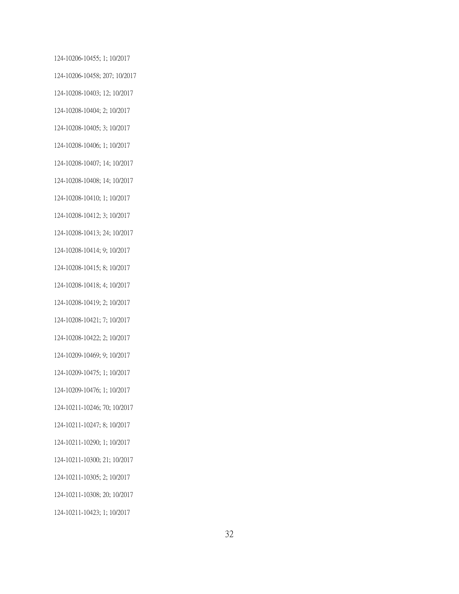124-10206-10455; 1; 10/2017 124-10206-10458; 207; 10/2017 124-10208-10403; 12; 10/2017 124-10208-10404; 2; 10/2017 124-10208-10405; 3; 10/2017 124-10208-10406; 1; 10/2017 124-10208-10407; 14; 10/2017 124-10208-10408; 14; 10/2017 124-10208-10410; 1; 10/2017 124-10208-10412; 3; 10/2017 124-10208-10413; 24; 10/2017 124-10208-10414; 9; 10/2017 124-10208-10415; 8; 10/2017 124-10208-10418; 4; 10/2017 124-10208-10419; 2; 10/2017 124-10208-10421; 7; 10/2017 124-10208-10422; 2; 10/2017 124-10209-10469; 9; 10/2017 124-10209-10475; 1; 10/2017 124-10209-10476; 1; 10/2017 124-10211-10246; 70; 10/2017 124-10211-10247; 8; 10/2017 124-10211-10290; 1; 10/2017 124-10211-10300; 21; 10/2017 124-10211-10305; 2; 10/2017 124-10211-10308; 20; 10/2017 124-10211-10423; 1; 10/2017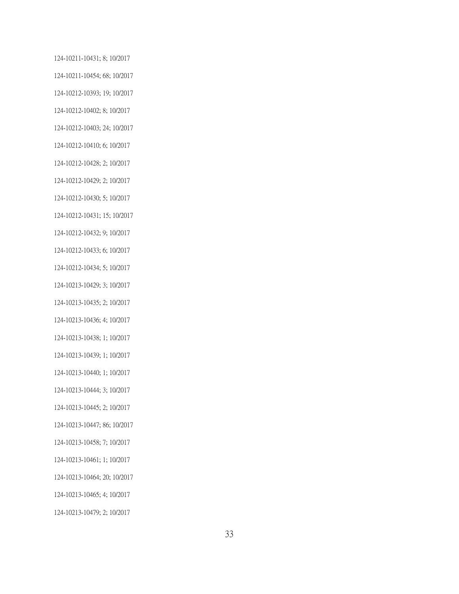124-10211-10431; 8; 10/2017 124-10211-10454; 68; 10/2017 124-10212-10393; 19; 10/2017 124-10212-10402; 8; 10/2017 124-10212-10403; 24; 10/2017 124-10212-10410; 6; 10/2017 124-10212-10428; 2; 10/2017 124-10212-10429; 2; 10/2017 124-10212-10430; 5; 10/2017 124-10212-10431; 15; 10/2017 124-10212-10432; 9; 10/2017 124-10212-10433; 6; 10/2017 124-10212-10434; 5; 10/2017 124-10213-10429; 3; 10/2017 124-10213-10435; 2; 10/2017 124-10213-10436; 4; 10/2017 124-10213-10438; 1; 10/2017 124-10213-10439; 1; 10/2017 124-10213-10440; 1; 10/2017 124-10213-10444; 3; 10/2017 124-10213-10445; 2; 10/2017 124-10213-10447; 86; 10/2017 124-10213-10458; 7; 10/2017 124-10213-10461; 1; 10/2017 124-10213-10464; 20; 10/2017 124-10213-10465; 4; 10/2017 124-10213-10479; 2; 10/2017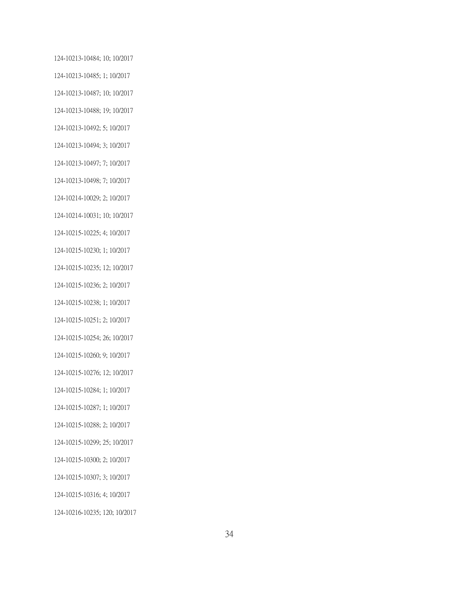124-10213-10484; 10; 10/2017 124-10213-10485; 1; 10/2017 124-10213-10487; 10; 10/2017 124-10213-10488; 19; 10/2017 124-10213-10492; 5; 10/2017 124-10213-10494; 3; 10/2017 124-10213-10497; 7; 10/2017 124-10213-10498; 7; 10/2017 124-10214-10029; 2; 10/2017 124-10214-10031; 10; 10/2017 124-10215-10225; 4; 10/2017 124-10215-10230; 1; 10/2017 124-10215-10235; 12; 10/2017 124-10215-10236; 2; 10/2017 124-10215-10238; 1; 10/2017 124-10215-10251; 2; 10/2017 124-10215-10254; 26; 10/2017 124-10215-10260; 9; 10/2017 124-10215-10276; 12; 10/2017 124-10215-10284; 1; 10/2017 124-10215-10287; 1; 10/2017 124-10215-10288; 2; 10/2017 124-10215-10299; 25; 10/2017 124-10215-10300; 2; 10/2017 124-10215-10307; 3; 10/2017 124-10215-10316; 4; 10/2017 124-10216-10235; 120; 10/2017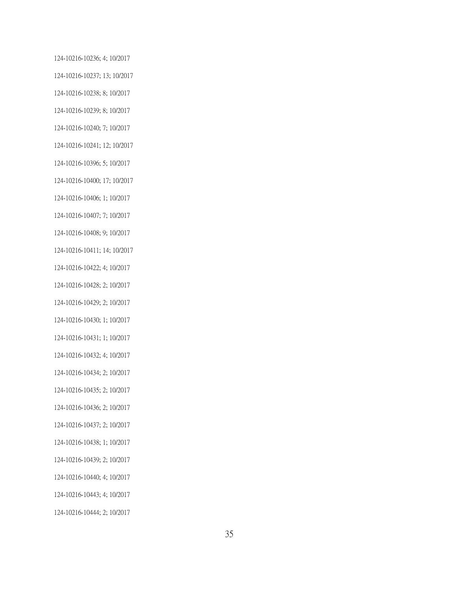124-10216-10236; 4; 10/2017 124-10216-10237; 13; 10/2017 124-10216-10238; 8; 10/2017 124-10216-10239; 8; 10/2017 124-10216-10240; 7; 10/2017 124-10216-10241; 12; 10/2017 124-10216-10396; 5; 10/2017 124-10216-10400; 17; 10/2017 124-10216-10406; 1; 10/2017 124-10216-10407; 7; 10/2017 124-10216-10408; 9; 10/2017 124-10216-10411; 14; 10/2017 124-10216-10422; 4; 10/2017 124-10216-10428; 2; 10/2017 124-10216-10429; 2; 10/2017 124-10216-10430; 1; 10/2017 124-10216-10431; 1; 10/2017 124-10216-10432; 4; 10/2017 124-10216-10434; 2; 10/2017 124-10216-10435; 2; 10/2017 124-10216-10436; 2; 10/2017 124-10216-10437; 2; 10/2017 124-10216-10438; 1; 10/2017 124-10216-10439; 2; 10/2017 124-10216-10440; 4; 10/2017 124-10216-10443; 4; 10/2017 124-10216-10444; 2; 10/2017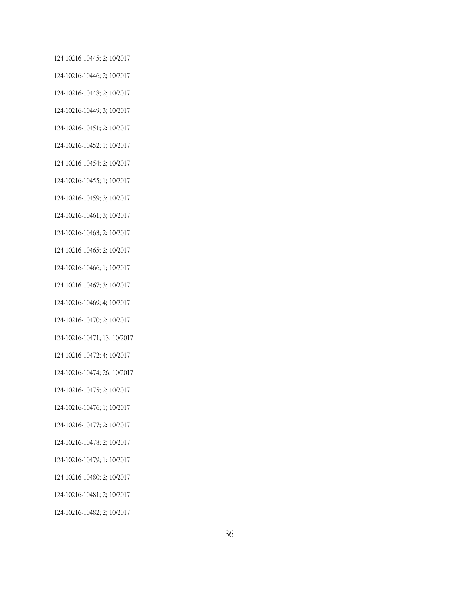124-10216-10445; 2; 10/2017 124-10216-10446; 2; 10/2017 124-10216-10448; 2; 10/2017 124-10216-10449; 3; 10/2017 124-10216-10451; 2; 10/2017 124-10216-10452; 1; 10/2017 124-10216-10454; 2; 10/2017 124-10216-10455; 1; 10/2017 124-10216-10459; 3; 10/2017 124-10216-10461; 3; 10/2017 124-10216-10463; 2; 10/2017 124-10216-10465; 2; 10/2017 124-10216-10466; 1; 10/2017 124-10216-10467; 3; 10/2017 124-10216-10469; 4; 10/2017 124-10216-10470; 2; 10/2017 124-10216-10471; 13; 10/2017 124-10216-10472; 4; 10/2017 124-10216-10474; 26; 10/2017 124-10216-10475; 2; 10/2017 124-10216-10476; 1; 10/2017 124-10216-10477; 2; 10/2017 124-10216-10478; 2; 10/2017 124-10216-10479; 1; 10/2017 124-10216-10480; 2; 10/2017 124-10216-10481; 2; 10/2017

124-10216-10482; 2; 10/2017

36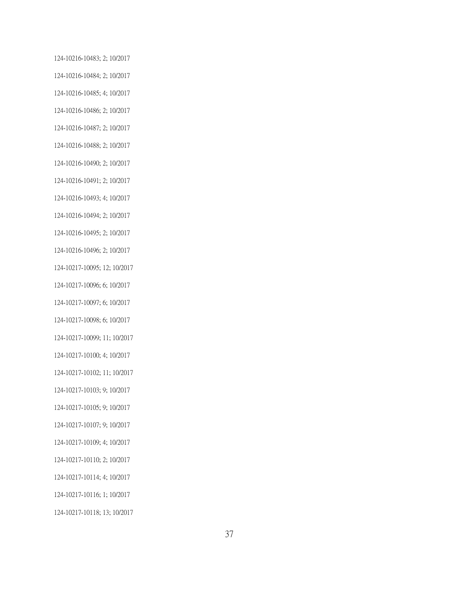124-10216-10483; 2; 10/2017 124-10216-10484; 2; 10/2017 124-10216-10485; 4; 10/2017 124-10216-10486; 2; 10/2017 124-10216-10487; 2; 10/2017 124-10216-10488; 2; 10/2017 124-10216-10490; 2; 10/2017 124-10216-10491; 2; 10/2017 124-10216-10493; 4; 10/2017 124-10216-10494; 2; 10/2017 124-10216-10495; 2; 10/2017 124-10216-10496; 2; 10/2017 124-10217-10095; 12; 10/2017 124-10217-10096; 6; 10/2017 124-10217-10097; 6; 10/2017 124-10217-10098; 6; 10/2017 124-10217-10099; 11; 10/2017 124-10217-10100; 4; 10/2017 124-10217-10102; 11; 10/2017 124-10217-10103; 9; 10/2017 124-10217-10105; 9; 10/2017 124-10217-10107; 9; 10/2017 124-10217-10109; 4; 10/2017 124-10217-10110; 2; 10/2017 124-10217-10114; 4; 10/2017 124-10217-10116; 1; 10/2017 124-10217-10118; 13; 10/2017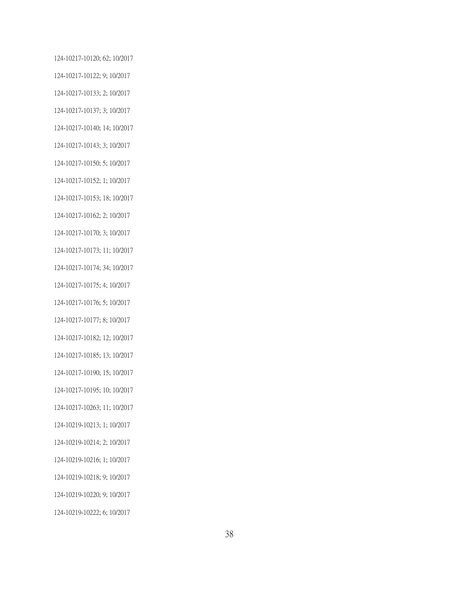124-10217-10120; 62; 10/2017 124-10217-10122; 9; 10/2017 124-10217-10133; 2; 10/2017 124-10217-10137; 3; 10/2017 124-10217-10140; 14; 10/2017 124-10217-10143; 3; 10/2017 124-10217-10150; 5; 10/2017 124-10217-10152; 1; 10/2017 124-10217-10153; 18; 10/2017 124-10217-10162; 2; 10/2017 124-10217-10170; 3; 10/2017 124-10217-10173; 11; 10/2017 124-10217-10174; 34; 10/2017 124-10217-10175; 4; 10/2017 124-10217-10176; 5; 10/2017 124-10217-10177; 8; 10/2017 124-10217-10182; 12; 10/2017 124-10217-10185; 13; 10/2017 124-10217-10190; 15; 10/2017 124-10217-10195; 10; 10/2017 124-10217-10263; 11; 10/2017 124-10219-10213; 1; 10/2017 124-10219-10214; 2; 10/2017 124-10219-10216; 1; 10/2017 124-10219-10218; 9; 10/2017 124-10219-10220; 9; 10/2017 124-10219-10222; 6; 10/2017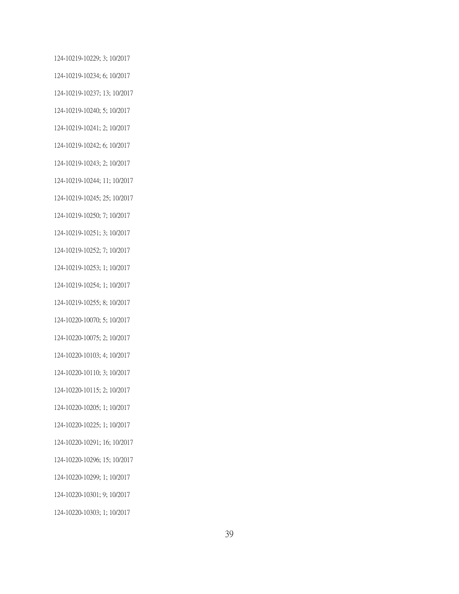124-10219-10229; 3; 10/2017 124-10219-10234; 6; 10/2017 124-10219-10237; 13; 10/2017 124-10219-10240; 5; 10/2017 124-10219-10241; 2; 10/2017 124-10219-10242; 6; 10/2017 124-10219-10243; 2; 10/2017 124-10219-10244; 11; 10/2017 124-10219-10245; 25; 10/2017 124-10219-10250; 7; 10/2017 124-10219-10251; 3; 10/2017 124-10219-10252; 7; 10/2017 124-10219-10253; 1; 10/2017 124-10219-10254; 1; 10/2017 124-10219-10255; 8; 10/2017 124-10220-10070; 5; 10/2017 124-10220-10075; 2; 10/2017 124-10220-10103; 4; 10/2017 124-10220-10110; 3; 10/2017 124-10220-10115; 2; 10/2017 124-10220-10205; 1; 10/2017 124-10220-10225; 1; 10/2017 124-10220-10291; 16; 10/2017 124-10220-10296; 15; 10/2017 124-10220-10299; 1; 10/2017 124-10220-10301; 9; 10/2017 124-10220-10303; 1; 10/2017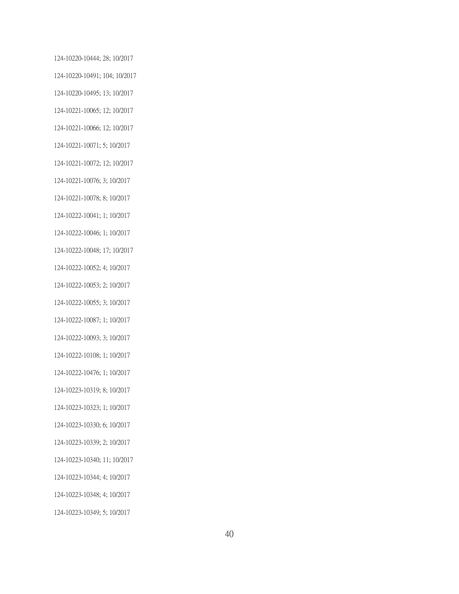124-10220-10444; 28; 10/2017 124-10220-10491; 104; 10/2017 124-10220-10495; 13; 10/2017 124-10221-10065; 12; 10/2017 124-10221-10066; 12; 10/2017 124-10221-10071; 5; 10/2017 124-10221-10072; 12; 10/2017 124-10221-10076; 3; 10/2017 124-10221-10078; 8; 10/2017 124-10222-10041; 1; 10/2017 124-10222-10046; 1; 10/2017 124-10222-10048; 17; 10/2017 124-10222-10052; 4; 10/2017 124-10222-10053; 2; 10/2017 124-10222-10055; 3; 10/2017 124-10222-10087; 1; 10/2017 124-10222-10093; 3; 10/2017 124-10222-10108; 1; 10/2017 124-10222-10476; 1; 10/2017 124-10223-10319; 8; 10/2017 124-10223-10323; 1; 10/2017 124-10223-10330; 6; 10/2017 124-10223-10339; 2; 10/2017 124-10223-10340; 11; 10/2017 124-10223-10344; 4; 10/2017 124-10223-10348; 4; 10/2017 124-10223-10349; 5; 10/2017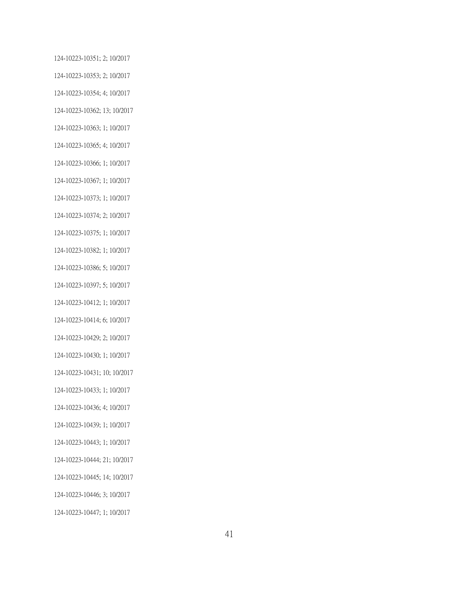124-10223-10351; 2; 10/2017 124-10223-10353; 2; 10/2017 124-10223-10354; 4; 10/2017 124-10223-10362; 13; 10/2017 124-10223-10363; 1; 10/2017 124-10223-10365; 4; 10/2017 124-10223-10366; 1; 10/2017 124-10223-10367; 1; 10/2017 124-10223-10373; 1; 10/2017 124-10223-10374; 2; 10/2017 124-10223-10375; 1; 10/2017 124-10223-10382; 1; 10/2017 124-10223-10386; 5; 10/2017 124-10223-10397; 5; 10/2017 124-10223-10412; 1; 10/2017 124-10223-10414; 6; 10/2017 124-10223-10429; 2; 10/2017 124-10223-10430; 1; 10/2017 124-10223-10431; 10; 10/2017 124-10223-10433; 1; 10/2017 124-10223-10436; 4; 10/2017 124-10223-10439; 1; 10/2017 124-10223-10443; 1; 10/2017 124-10223-10444; 21; 10/2017 124-10223-10445; 14; 10/2017 124-10223-10446; 3; 10/2017

124-10223-10447; 1; 10/2017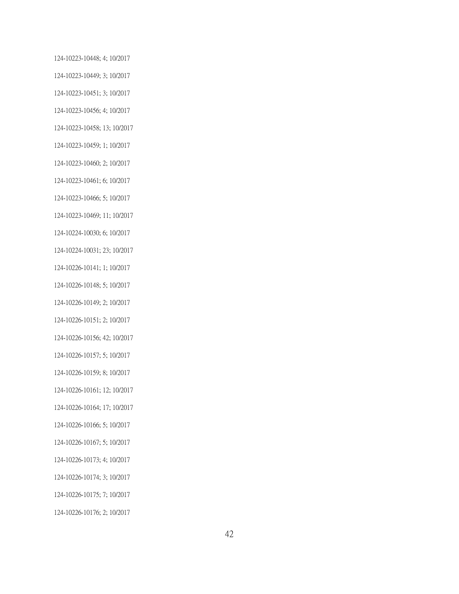124-10223-10448; 4; 10/2017 124-10223-10449; 3; 10/2017 124-10223-10451; 3; 10/2017 124-10223-10456; 4; 10/2017 124-10223-10458; 13; 10/2017 124-10223-10459; 1; 10/2017 124-10223-10460; 2; 10/2017 124-10223-10461; 6; 10/2017 124-10223-10466; 5; 10/2017 124-10223-10469; 11; 10/2017 124-10224-10030; 6; 10/2017 124-10224-10031; 23; 10/2017 124-10226-10141; 1; 10/2017 124-10226-10148; 5; 10/2017 124-10226-10149; 2; 10/2017 124-10226-10151; 2; 10/2017 124-10226-10156; 42; 10/2017 124-10226-10157; 5; 10/2017 124-10226-10159; 8; 10/2017 124-10226-10161; 12; 10/2017 124-10226-10164; 17; 10/2017 124-10226-10166; 5; 10/2017 124-10226-10167; 5; 10/2017 124-10226-10173; 4; 10/2017 124-10226-10174; 3; 10/2017 124-10226-10175; 7; 10/2017 124-10226-10176; 2; 10/2017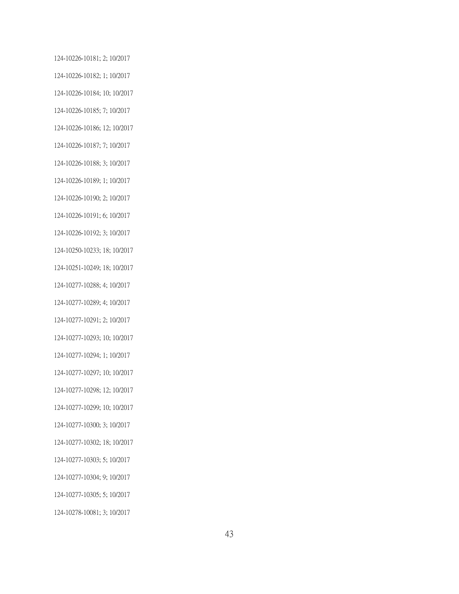124-10226-10181; 2; 10/2017 124-10226-10182; 1; 10/2017 124-10226-10184; 10; 10/2017 124-10226-10185; 7; 10/2017 124-10226-10186; 12; 10/2017 124-10226-10187; 7; 10/2017 124-10226-10188; 3; 10/2017 124-10226-10189; 1; 10/2017 124-10226-10190; 2; 10/2017 124-10226-10191; 6; 10/2017 124-10226-10192; 3; 10/2017 124-10250-10233; 18; 10/2017 124-10251-10249; 18; 10/2017 124-10277-10288; 4; 10/2017 124-10277-10289; 4; 10/2017 124-10277-10291; 2; 10/2017 124-10277-10293; 10; 10/2017 124-10277-10294; 1; 10/2017 124-10277-10297; 10; 10/2017 124-10277-10298; 12; 10/2017 124-10277-10299; 10; 10/2017 124-10277-10300; 3; 10/2017 124-10277-10302; 18; 10/2017 124-10277-10303; 5; 10/2017 124-10277-10304; 9; 10/2017 124-10277-10305; 5; 10/2017 124-10278-10081; 3; 10/2017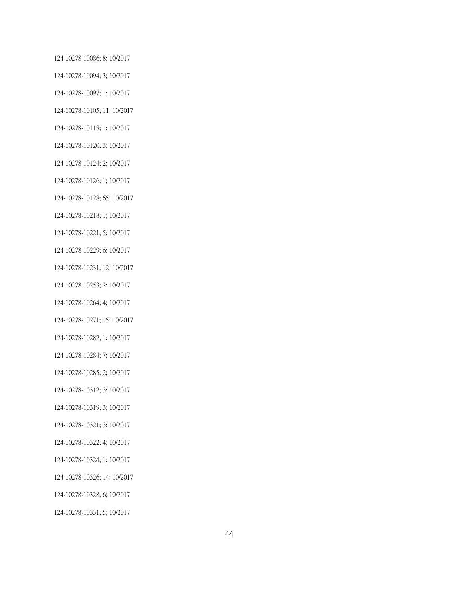124-10278-10086; 8; 10/2017 124-10278-10094; 3; 10/2017 124-10278-10097; 1; 10/2017 124-10278-10105; 11; 10/2017 124-10278-10118; 1; 10/2017 124-10278-10120; 3; 10/2017 124-10278-10124; 2; 10/2017 124-10278-10126; 1; 10/2017 124-10278-10128; 65; 10/2017 124-10278-10218; 1; 10/2017 124-10278-10221; 5; 10/2017 124-10278-10229; 6; 10/2017 124-10278-10231; 12; 10/2017 124-10278-10253; 2; 10/2017 124-10278-10264; 4; 10/2017 124-10278-10271; 15; 10/2017 124-10278-10282; 1; 10/2017 124-10278-10284; 7; 10/2017 124-10278-10285; 2; 10/2017 124-10278-10312; 3; 10/2017 124-10278-10319; 3; 10/2017 124-10278-10321; 3; 10/2017 124-10278-10322; 4; 10/2017 124-10278-10324; 1; 10/2017 124-10278-10326; 14; 10/2017 124-10278-10328; 6; 10/2017 124-10278-10331; 5; 10/2017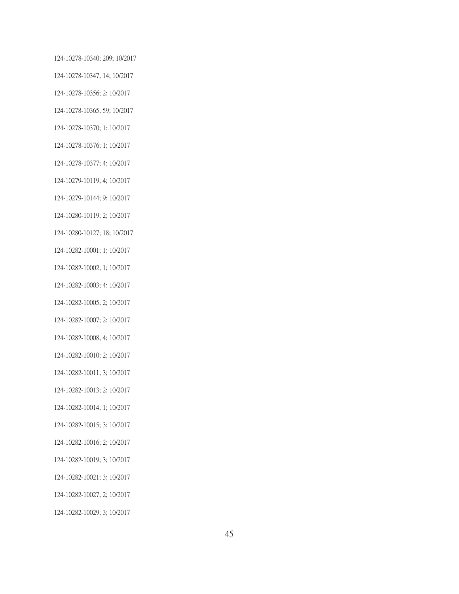124-10278-10340; 209; 10/2017 124-10278-10347; 14; 10/2017 124-10278-10356; 2; 10/2017 124-10278-10365; 59; 10/2017 124-10278-10370; 1; 10/2017 124-10278-10376; 1; 10/2017 124-10278-10377; 4; 10/2017 124-10279-10119; 4; 10/2017 124-10279-10144; 9; 10/2017 124-10280-10119; 2; 10/2017 124-10280-10127; 18; 10/2017 124-10282-10001; 1; 10/2017 124-10282-10002; 1; 10/2017 124-10282-10003; 4; 10/2017 124-10282-10005; 2; 10/2017 124-10282-10007; 2; 10/2017 124-10282-10008; 4; 10/2017 124-10282-10010; 2; 10/2017 124-10282-10011; 3; 10/2017 124-10282-10013; 2; 10/2017 124-10282-10014; 1; 10/2017 124-10282-10015; 3; 10/2017 124-10282-10016; 2; 10/2017 124-10282-10019; 3; 10/2017 124-10282-10021; 3; 10/2017 124-10282-10027; 2; 10/2017 124-10282-10029; 3; 10/2017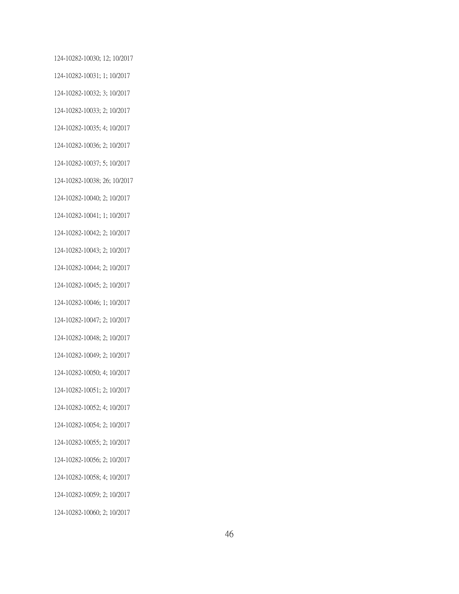124-10282-10030; 12; 10/2017 124-10282-10031; 1; 10/2017 124-10282-10032; 3; 10/2017 124-10282-10033; 2; 10/2017 124-10282-10035; 4; 10/2017 124-10282-10036; 2; 10/2017 124-10282-10037; 5; 10/2017 124-10282-10038; 26; 10/2017 124-10282-10040; 2; 10/2017 124-10282-10041; 1; 10/2017 124-10282-10042; 2; 10/2017 124-10282-10043; 2; 10/2017 124-10282-10044; 2; 10/2017 124-10282-10045; 2; 10/2017 124-10282-10046; 1; 10/2017 124-10282-10047; 2; 10/2017 124-10282-10048; 2; 10/2017 124-10282-10049; 2; 10/2017 124-10282-10050; 4; 10/2017 124-10282-10051; 2; 10/2017 124-10282-10052; 4; 10/2017 124-10282-10054; 2; 10/2017 124-10282-10055; 2; 10/2017 124-10282-10056; 2; 10/2017 124-10282-10058; 4; 10/2017 124-10282-10059; 2; 10/2017

124-10282-10060; 2; 10/2017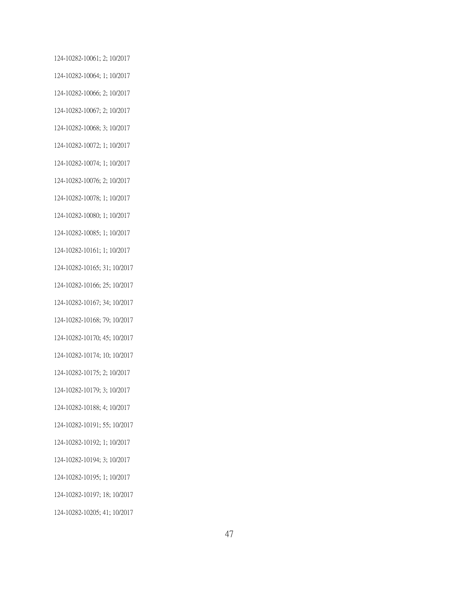124-10282-10061; 2; 10/2017 124-10282-10064; 1; 10/2017 124-10282-10066; 2; 10/2017 124-10282-10067; 2; 10/2017 124-10282-10068; 3; 10/2017 124-10282-10072; 1; 10/2017 124-10282-10074; 1; 10/2017 124-10282-10076; 2; 10/2017 124-10282-10078; 1; 10/2017 124-10282-10080; 1; 10/2017 124-10282-10085; 1; 10/2017 124-10282-10161; 1; 10/2017 124-10282-10165; 31; 10/2017 124-10282-10166; 25; 10/2017 124-10282-10167; 34; 10/2017 124-10282-10168; 79; 10/2017 124-10282-10170; 45; 10/2017 124-10282-10174; 10; 10/2017 124-10282-10175; 2; 10/2017 124-10282-10179; 3; 10/2017 124-10282-10188; 4; 10/2017 124-10282-10191; 55; 10/2017 124-10282-10192; 1; 10/2017 124-10282-10194; 3; 10/2017 124-10282-10195; 1; 10/2017 124-10282-10197; 18; 10/2017 124-10282-10205; 41; 10/2017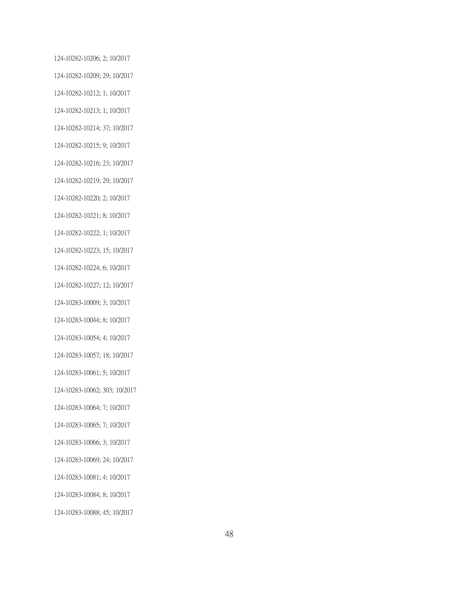124-10282-10206; 2; 10/2017 124-10282-10209; 29; 10/2017 124-10282-10212; 1; 10/2017 124-10282-10213; 1; 10/2017 124-10282-10214; 37; 10/2017 124-10282-10215; 9; 10/2017 124-10282-10216; 23; 10/2017 124-10282-10219; 29; 10/2017 124-10282-10220; 2; 10/2017 124-10282-10221; 8; 10/2017 124-10282-10222; 1; 10/2017 124-10282-10223; 15; 10/2017 124-10282-10224; 6; 10/2017 124-10282-10227; 12; 10/2017 124-10283-10009; 3; 10/2017 124-10283-10044; 8; 10/2017 124-10283-10054; 4; 10/2017 124-10283-10057; 18; 10/2017 124-10283-10061; 5; 10/2017 124-10283-10062; 303; 10/2017 124-10283-10064; 7; 10/2017 124-10283-10065; 7; 10/2017 124-10283-10066; 3; 10/2017 124-10283-10069; 24; 10/2017 124-10283-10081; 4; 10/2017 124-10283-10084; 8; 10/2017

124-10283-10088; 45; 10/2017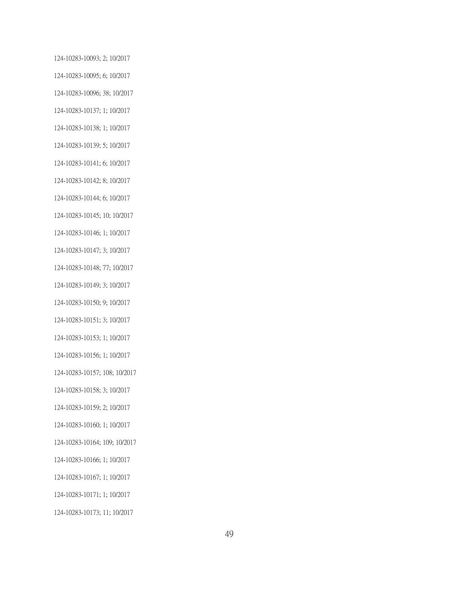124-10283-10093; 2; 10/2017 124-10283-10095; 6; 10/2017 124-10283-10096; 38; 10/2017 124-10283-10137; 1; 10/2017 124-10283-10138; 1; 10/2017 124-10283-10139; 5; 10/2017 124-10283-10141; 6; 10/2017 124-10283-10142; 8; 10/2017 124-10283-10144; 6; 10/2017 124-10283-10145; 10; 10/2017 124-10283-10146; 1; 10/2017 124-10283-10147; 3; 10/2017 124-10283-10148; 77; 10/2017 124-10283-10149; 3; 10/2017 124-10283-10150; 9; 10/2017 124-10283-10151; 3; 10/2017 124-10283-10153; 1; 10/2017 124-10283-10156; 1; 10/2017 124-10283-10157; 108; 10/2017 124-10283-10158; 3; 10/2017 124-10283-10159; 2; 10/2017 124-10283-10160; 1; 10/2017 124-10283-10164; 109; 10/2017 124-10283-10166; 1; 10/2017 124-10283-10167; 1; 10/2017 124-10283-10171; 1; 10/2017 124-10283-10173; 11; 10/2017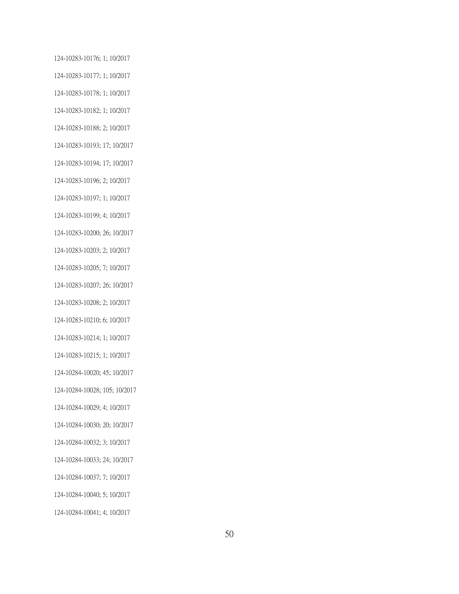124-10283-10176; 1; 10/2017 124-10283-10177; 1; 10/2017 124-10283-10178; 1; 10/2017 124-10283-10182; 1; 10/2017 124-10283-10188; 2; 10/2017 124-10283-10193; 17; 10/2017 124-10283-10194; 17; 10/2017 124-10283-10196; 2; 10/2017 124-10283-10197; 1; 10/2017 124-10283-10199; 4; 10/2017 124-10283-10200; 26; 10/2017 124-10283-10203; 2; 10/2017 124-10283-10205; 7; 10/2017 124-10283-10207; 26; 10/2017 124-10283-10208; 2; 10/2017 124-10283-10210; 6; 10/2017 124-10283-10214; 1; 10/2017 124-10283-10215; 1; 10/2017 124-10284-10020; 45; 10/2017 124-10284-10028; 105; 10/2017 124-10284-10029; 4; 10/2017 124-10284-10030; 20; 10/2017 124-10284-10032; 3; 10/2017 124-10284-10033; 24; 10/2017 124-10284-10037; 7; 10/2017 124-10284-10040; 5; 10/2017 124-10284-10041; 4; 10/2017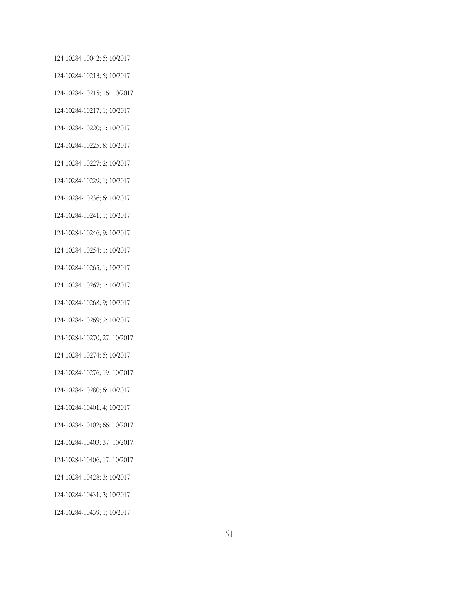124-10284-10042; 5; 10/2017 124-10284-10213; 5; 10/2017 124-10284-10215; 16; 10/2017 124-10284-10217; 1; 10/2017 124-10284-10220; 1; 10/2017 124-10284-10225; 8; 10/2017 124-10284-10227; 2; 10/2017 124-10284-10229; 1; 10/2017 124-10284-10236; 6; 10/2017 124-10284-10241; 1; 10/2017 124-10284-10246; 9; 10/2017 124-10284-10254; 1; 10/2017 124-10284-10265; 1; 10/2017 124-10284-10267; 1; 10/2017 124-10284-10268; 9; 10/2017 124-10284-10269; 2; 10/2017 124-10284-10270; 27; 10/2017 124-10284-10274; 5; 10/2017 124-10284-10276; 19; 10/2017 124-10284-10280; 6; 10/2017 124-10284-10401; 4; 10/2017 124-10284-10402; 66; 10/2017 124-10284-10403; 37; 10/2017 124-10284-10406; 17; 10/2017 124-10284-10428; 3; 10/2017 124-10284-10431; 3; 10/2017 124-10284-10439; 1; 10/2017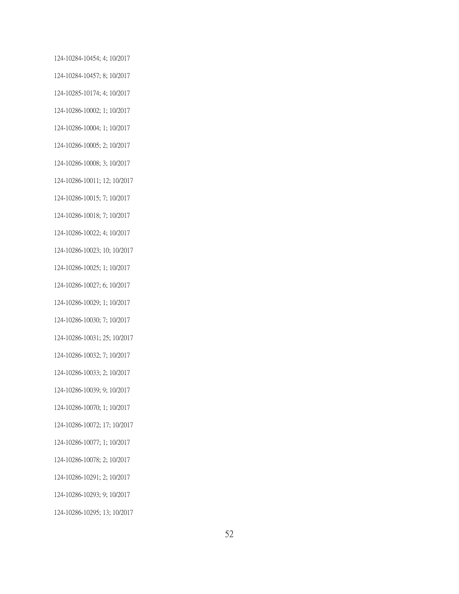124-10284-10454; 4; 10/2017 124-10284-10457; 8; 10/2017 124-10285-10174; 4; 10/2017 124-10286-10002; 1; 10/2017 124-10286-10004; 1; 10/2017 124-10286-10005; 2; 10/2017 124-10286-10008; 3; 10/2017 124-10286-10011; 12; 10/2017 124-10286-10015; 7; 10/2017 124-10286-10018; 7; 10/2017 124-10286-10022; 4; 10/2017 124-10286-10023; 10; 10/2017 124-10286-10025; 1; 10/2017 124-10286-10027; 6; 10/2017 124-10286-10029; 1; 10/2017 124-10286-10030; 7; 10/2017 124-10286-10031; 25; 10/2017 124-10286-10032; 7; 10/2017 124-10286-10033; 2; 10/2017 124-10286-10039; 9; 10/2017 124-10286-10070; 1; 10/2017 124-10286-10072; 17; 10/2017 124-10286-10077; 1; 10/2017 124-10286-10078; 2; 10/2017 124-10286-10291; 2; 10/2017 124-10286-10293; 9; 10/2017 124-10286-10295; 13; 10/2017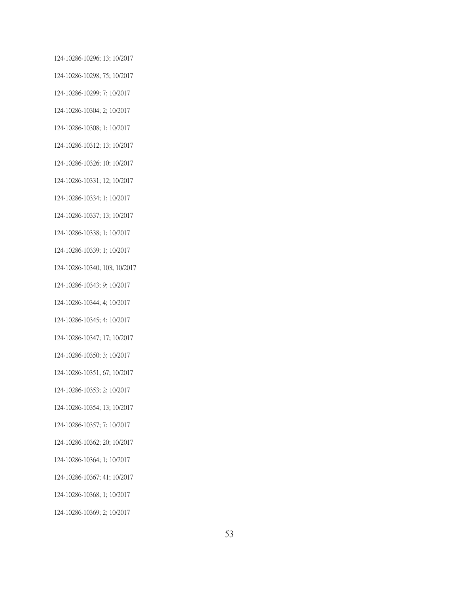124-10286-10296; 13; 10/2017 124-10286-10298; 75; 10/2017 124-10286-10299; 7; 10/2017 124-10286-10304; 2; 10/2017 124-10286-10308; 1; 10/2017 124-10286-10312; 13; 10/2017 124-10286-10326; 10; 10/2017 124-10286-10331; 12; 10/2017 124-10286-10334; 1; 10/2017 124-10286-10337; 13; 10/2017 124-10286-10338; 1; 10/2017 124-10286-10339; 1; 10/2017 124-10286-10340; 103; 10/2017 124-10286-10343; 9; 10/2017 124-10286-10344; 4; 10/2017 124-10286-10345; 4; 10/2017 124-10286-10347; 17; 10/2017 124-10286-10350; 3; 10/2017 124-10286-10351; 67; 10/2017 124-10286-10353; 2; 10/2017 124-10286-10354; 13; 10/2017 124-10286-10357; 7; 10/2017 124-10286-10362; 20; 10/2017 124-10286-10364; 1; 10/2017 124-10286-10367; 41; 10/2017 124-10286-10368; 1; 10/2017 124-10286-10369; 2; 10/2017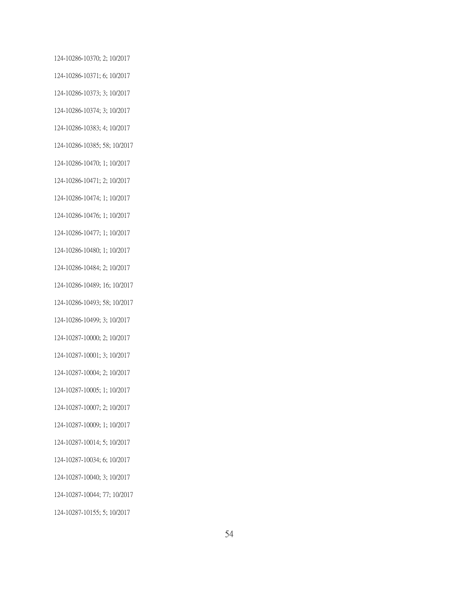124-10286-10370; 2; 10/2017 124-10286-10371; 6; 10/2017 124-10286-10373; 3; 10/2017 124-10286-10374; 3; 10/2017 124-10286-10383; 4; 10/2017 124-10286-10385; 58; 10/2017 124-10286-10470; 1; 10/2017 124-10286-10471; 2; 10/2017 124-10286-10474; 1; 10/2017 124-10286-10476; 1; 10/2017 124-10286-10477; 1; 10/2017 124-10286-10480; 1; 10/2017 124-10286-10484; 2; 10/2017 124-10286-10489; 16; 10/2017 124-10286-10493; 58; 10/2017 124-10286-10499; 3; 10/2017 124-10287-10000; 2; 10/2017 124-10287-10001; 3; 10/2017 124-10287-10004; 2; 10/2017 124-10287-10005; 1; 10/2017 124-10287-10007; 2; 10/2017 124-10287-10009; 1; 10/2017 124-10287-10014; 5; 10/2017 124-10287-10034; 6; 10/2017 124-10287-10040; 3; 10/2017 124-10287-10044; 77; 10/2017 124-10287-10155; 5; 10/2017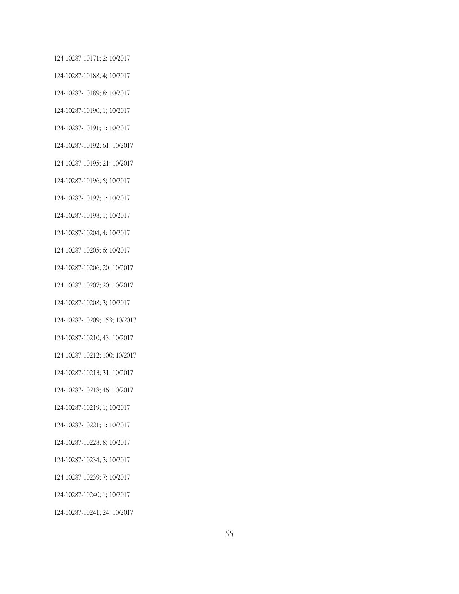124-10287-10171; 2; 10/2017 124-10287-10188; 4; 10/2017 124-10287-10189; 8; 10/2017 124-10287-10190; 1; 10/2017 124-10287-10191; 1; 10/2017 124-10287-10192; 61; 10/2017 124-10287-10195; 21; 10/2017 124-10287-10196; 5; 10/2017 124-10287-10197; 1; 10/2017 124-10287-10198; 1; 10/2017 124-10287-10204; 4; 10/2017 124-10287-10205; 6; 10/2017 124-10287-10206; 20; 10/2017 124-10287-10207; 20; 10/2017 124-10287-10208; 3; 10/2017 124-10287-10209; 153; 10/2017 124-10287-10210; 43; 10/2017 124-10287-10212; 100; 10/2017 124-10287-10213; 31; 10/2017 124-10287-10218; 46; 10/2017 124-10287-10219; 1; 10/2017 124-10287-10221; 1; 10/2017 124-10287-10228; 8; 10/2017 124-10287-10234; 3; 10/2017 124-10287-10239; 7; 10/2017 124-10287-10240; 1; 10/2017 124-10287-10241; 24; 10/2017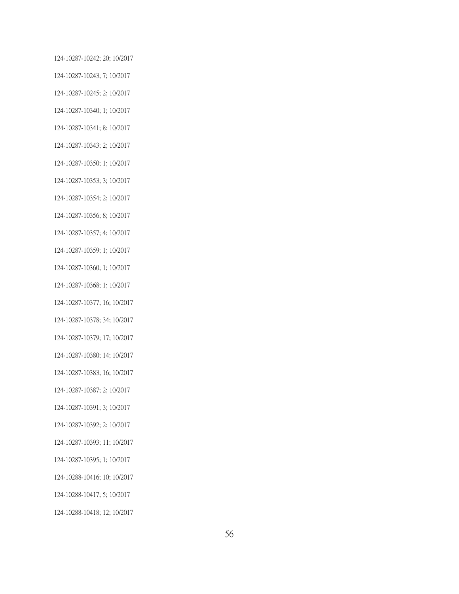124-10287-10242; 20; 10/2017 124-10287-10243; 7; 10/2017 124-10287-10245; 2; 10/2017 124-10287-10340; 1; 10/2017 124-10287-10341; 8; 10/2017 124-10287-10343; 2; 10/2017 124-10287-10350; 1; 10/2017 124-10287-10353; 3; 10/2017 124-10287-10354; 2; 10/2017 124-10287-10356; 8; 10/2017 124-10287-10357; 4; 10/2017 124-10287-10359; 1; 10/2017 124-10287-10360; 1; 10/2017 124-10287-10368; 1; 10/2017 124-10287-10377; 16; 10/2017 124-10287-10378; 34; 10/2017 124-10287-10379; 17; 10/2017 124-10287-10380; 14; 10/2017 124-10287-10383; 16; 10/2017 124-10287-10387; 2; 10/2017 124-10287-10391; 3; 10/2017 124-10287-10392; 2; 10/2017 124-10287-10393; 11; 10/2017 124-10287-10395; 1; 10/2017 124-10288-10416; 10; 10/2017 124-10288-10417; 5; 10/2017 124-10288-10418; 12; 10/2017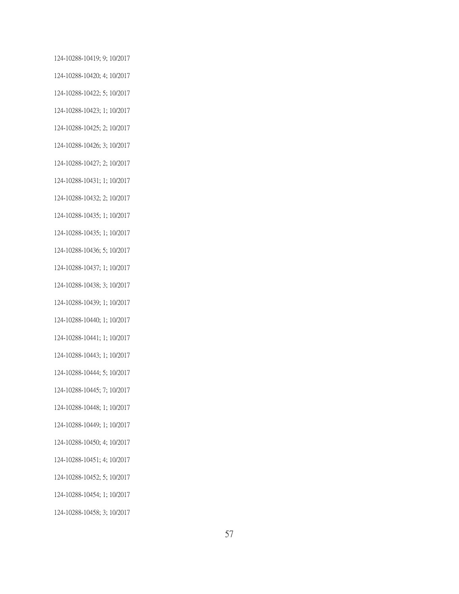124-10288-10419; 9; 10/2017 124-10288-10420; 4; 10/2017 124-10288-10422; 5; 10/2017 124-10288-10423; 1; 10/2017 124-10288-10425; 2; 10/2017 124-10288-10426; 3; 10/2017 124-10288-10427; 2; 10/2017 124-10288-10431; 1; 10/2017 124-10288-10432; 2; 10/2017 124-10288-10435; 1; 10/2017 124-10288-10435; 1; 10/2017 124-10288-10436; 5; 10/2017 124-10288-10437; 1; 10/2017 124-10288-10438; 3; 10/2017 124-10288-10439; 1; 10/2017 124-10288-10440; 1; 10/2017 124-10288-10441; 1; 10/2017 124-10288-10443; 1; 10/2017 124-10288-10444; 5; 10/2017 124-10288-10445; 7; 10/2017 124-10288-10448; 1; 10/2017 124-10288-10449; 1; 10/2017 124-10288-10450; 4; 10/2017 124-10288-10451; 4; 10/2017 124-10288-10452; 5; 10/2017

124-10288-10454; 1; 10/2017

124-10288-10458; 3; 10/2017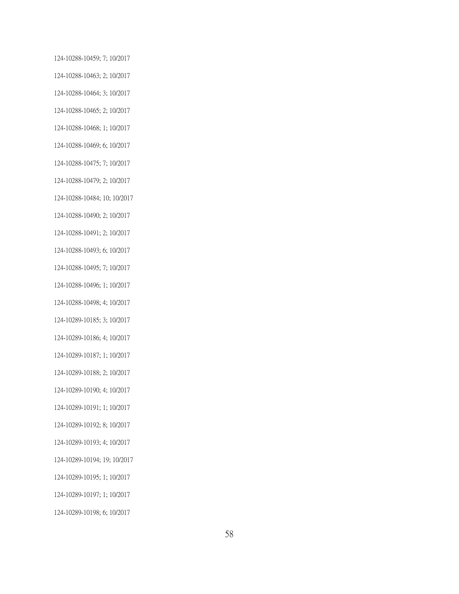124-10288-10459; 7; 10/2017 124-10288-10463; 2; 10/2017 124-10288-10464; 3; 10/2017 124-10288-10465; 2; 10/2017 124-10288-10468; 1; 10/2017 124-10288-10469; 6; 10/2017 124-10288-10475; 7; 10/2017 124-10288-10479; 2; 10/2017 124-10288-10484; 10; 10/2017 124-10288-10490; 2; 10/2017 124-10288-10491; 2; 10/2017 124-10288-10493; 6; 10/2017 124-10288-10495; 7; 10/2017 124-10288-10496; 1; 10/2017 124-10288-10498; 4; 10/2017 124-10289-10185; 3; 10/2017 124-10289-10186; 4; 10/2017 124-10289-10187; 1; 10/2017 124-10289-10188; 2; 10/2017 124-10289-10190; 4; 10/2017 124-10289-10191; 1; 10/2017 124-10289-10192; 8; 10/2017 124-10289-10193; 4; 10/2017 124-10289-10194; 19; 10/2017 124-10289-10195; 1; 10/2017 124-10289-10197; 1; 10/2017 124-10289-10198; 6; 10/2017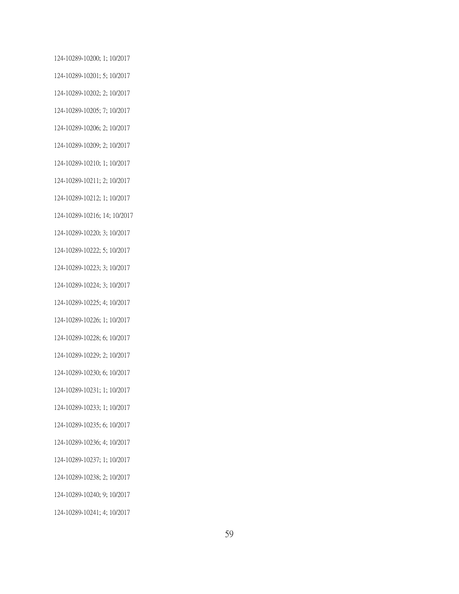124-10289-10200; 1; 10/2017 124-10289-10201; 5; 10/2017 124-10289-10202; 2; 10/2017 124-10289-10205; 7; 10/2017 124-10289-10206; 2; 10/2017 124-10289-10209; 2; 10/2017 124-10289-10210; 1; 10/2017 124-10289-10211; 2; 10/2017 124-10289-10212; 1; 10/2017 124-10289-10216; 14; 10/2017 124-10289-10220; 3; 10/2017 124-10289-10222; 5; 10/2017 124-10289-10223; 3; 10/2017 124-10289-10224; 3; 10/2017 124-10289-10225; 4; 10/2017 124-10289-10226; 1; 10/2017 124-10289-10228; 6; 10/2017 124-10289-10229; 2; 10/2017 124-10289-10230; 6; 10/2017 124-10289-10231; 1; 10/2017 124-10289-10233; 1; 10/2017 124-10289-10235; 6; 10/2017 124-10289-10236; 4; 10/2017 124-10289-10237; 1; 10/2017 124-10289-10238; 2; 10/2017 124-10289-10240; 9; 10/2017 124-10289-10241; 4; 10/2017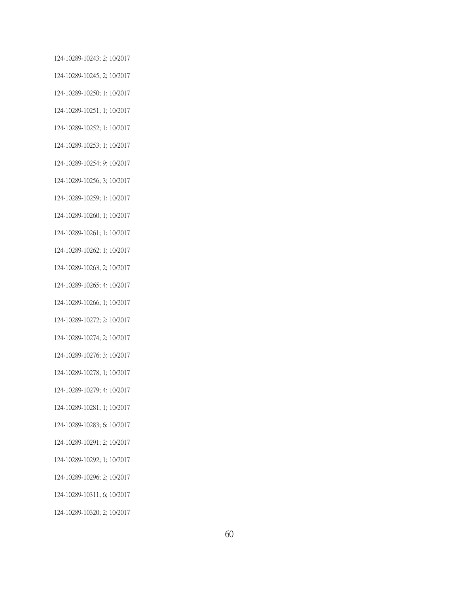124-10289-10243; 2; 10/2017 124-10289-10245; 2; 10/2017 124-10289-10250; 1; 10/2017 124-10289-10251; 1; 10/2017 124-10289-10252; 1; 10/2017 124-10289-10253; 1; 10/2017 124-10289-10254; 9; 10/2017 124-10289-10256; 3; 10/2017 124-10289-10259; 1; 10/2017 124-10289-10260; 1; 10/2017 124-10289-10261; 1; 10/2017 124-10289-10262; 1; 10/2017 124-10289-10263; 2; 10/2017 124-10289-10265; 4; 10/2017 124-10289-10266; 1; 10/2017 124-10289-10272; 2; 10/2017 124-10289-10274; 2; 10/2017 124-10289-10276; 3; 10/2017 124-10289-10278; 1; 10/2017 124-10289-10279; 4; 10/2017 124-10289-10281; 1; 10/2017 124-10289-10283; 6; 10/2017 124-10289-10291; 2; 10/2017 124-10289-10292; 1; 10/2017 124-10289-10296; 2; 10/2017 124-10289-10311; 6; 10/2017 124-10289-10320; 2; 10/2017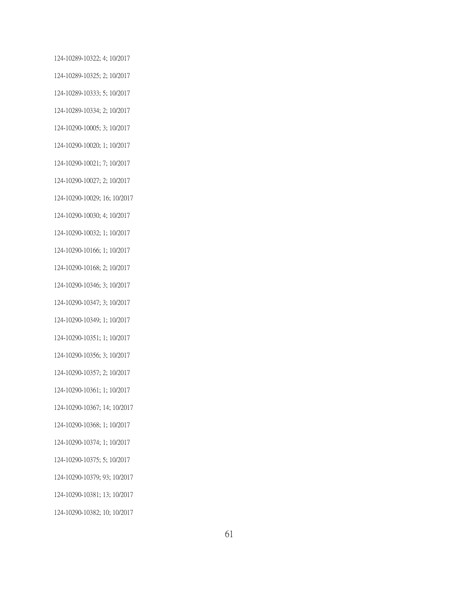124-10289-10322; 4; 10/2017 124-10289-10325; 2; 10/2017 124-10289-10333; 5; 10/2017 124-10289-10334; 2; 10/2017 124-10290-10005; 3; 10/2017 124-10290-10020; 1; 10/2017 124-10290-10021; 7; 10/2017 124-10290-10027; 2; 10/2017 124-10290-10029; 16; 10/2017 124-10290-10030; 4; 10/2017 124-10290-10032; 1; 10/2017 124-10290-10166; 1; 10/2017 124-10290-10168; 2; 10/2017 124-10290-10346; 3; 10/2017 124-10290-10347; 3; 10/2017 124-10290-10349; 1; 10/2017 124-10290-10351; 1; 10/2017 124-10290-10356; 3; 10/2017 124-10290-10357; 2; 10/2017 124-10290-10361; 1; 10/2017 124-10290-10367; 14; 10/2017 124-10290-10368; 1; 10/2017 124-10290-10374; 1; 10/2017 124-10290-10375; 5; 10/2017 124-10290-10379; 93; 10/2017 124-10290-10381; 13; 10/2017 124-10290-10382; 10; 10/2017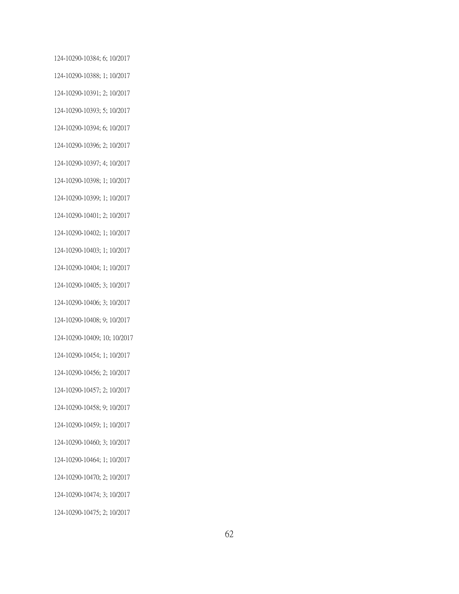124-10290-10384; 6; 10/2017 124-10290-10388; 1; 10/2017 124-10290-10391; 2; 10/2017 124-10290-10393; 5; 10/2017 124-10290-10394; 6; 10/2017 124-10290-10396; 2; 10/2017 124-10290-10397; 4; 10/2017 124-10290-10398; 1; 10/2017 124-10290-10399; 1; 10/2017 124-10290-10401; 2; 10/2017 124-10290-10402; 1; 10/2017 124-10290-10403; 1; 10/2017 124-10290-10404; 1; 10/2017 124-10290-10405; 3; 10/2017 124-10290-10406; 3; 10/2017 124-10290-10408; 9; 10/2017 124-10290-10409; 10; 10/2017 124-10290-10454; 1; 10/2017 124-10290-10456; 2; 10/2017 124-10290-10457; 2; 10/2017 124-10290-10458; 9; 10/2017 124-10290-10459; 1; 10/2017 124-10290-10460; 3; 10/2017 124-10290-10464; 1; 10/2017 124-10290-10470; 2; 10/2017 124-10290-10474; 3; 10/2017 124-10290-10475; 2; 10/2017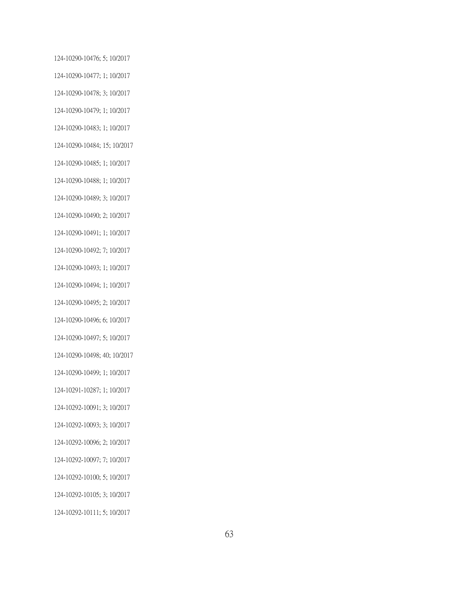124-10290-10476; 5; 10/2017 124-10290-10477; 1; 10/2017 124-10290-10478; 3; 10/2017 124-10290-10479; 1; 10/2017 124-10290-10483; 1; 10/2017 124-10290-10484; 15; 10/2017 124-10290-10485; 1; 10/2017 124-10290-10488; 1; 10/2017 124-10290-10489; 3; 10/2017 124-10290-10490; 2; 10/2017 124-10290-10491; 1; 10/2017 124-10290-10492; 7; 10/2017 124-10290-10493; 1; 10/2017 124-10290-10494; 1; 10/2017 124-10290-10495; 2; 10/2017 124-10290-10496; 6; 10/2017 124-10290-10497; 5; 10/2017 124-10290-10498; 40; 10/2017 124-10290-10499; 1; 10/2017 124-10291-10287; 1; 10/2017 124-10292-10091; 3; 10/2017 124-10292-10093; 3; 10/2017 124-10292-10096; 2; 10/2017 124-10292-10097; 7; 10/2017 124-10292-10100; 5; 10/2017 124-10292-10105; 3; 10/2017 124-10292-10111; 5; 10/2017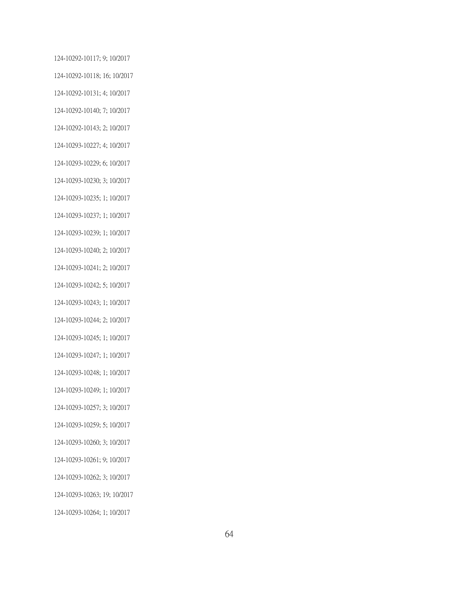124-10292-10117; 9; 10/2017 124-10292-10118; 16; 10/2017 124-10292-10131; 4; 10/2017 124-10292-10140; 7; 10/2017 124-10292-10143; 2; 10/2017 124-10293-10227; 4; 10/2017 124-10293-10229; 6; 10/2017 124-10293-10230; 3; 10/2017 124-10293-10235; 1; 10/2017 124-10293-10237; 1; 10/2017 124-10293-10239; 1; 10/2017 124-10293-10240; 2; 10/2017 124-10293-10241; 2; 10/2017 124-10293-10242; 5; 10/2017 124-10293-10243; 1; 10/2017 124-10293-10244; 2; 10/2017 124-10293-10245; 1; 10/2017 124-10293-10247; 1; 10/2017 124-10293-10248; 1; 10/2017 124-10293-10249; 1; 10/2017 124-10293-10257; 3; 10/2017 124-10293-10259; 5; 10/2017 124-10293-10260; 3; 10/2017 124-10293-10261; 9; 10/2017 124-10293-10262; 3; 10/2017 124-10293-10263; 19; 10/2017 124-10293-10264; 1; 10/2017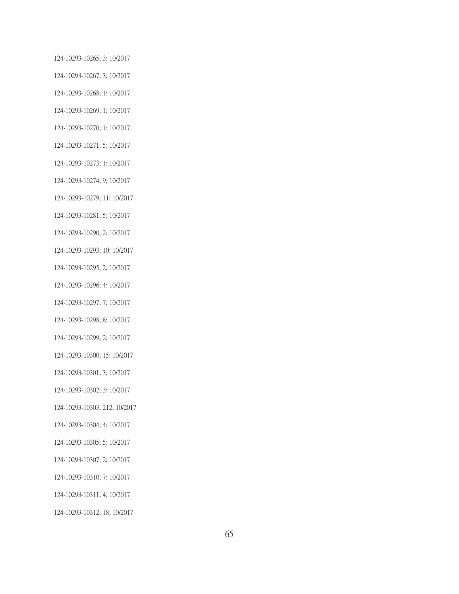124-10293-10265; 3; 10/2017 124-10293-10267; 3; 10/2017 124-10293-10268; 1; 10/2017 124-10293-10269; 1; 10/2017 124-10293-10270; 1; 10/2017 124-10293-10271; 5; 10/2017 124-10293-10273; 1; 10/2017 124-10293-10274; 9; 10/2017 124-10293-10279; 11; 10/2017 124-10293-10281; 5; 10/2017 124-10293-10290; 2; 10/2017 124-10293-10293; 10; 10/2017 124-10293-10295; 2; 10/2017 124-10293-10296; 4; 10/2017 124-10293-10297; 7; 10/2017 124-10293-10298; 8; 10/2017 124-10293-10299; 2; 10/2017 124-10293-10300; 15; 10/2017 124-10293-10301; 3; 10/2017 124-10293-10302; 3; 10/2017 124-10293-10303; 212; 10/2017 124-10293-10304; 4; 10/2017 124-10293-10305; 5; 10/2017 124-10293-10307; 2; 10/2017 124-10293-10310; 7; 10/2017 124-10293-10311; 4; 10/2017 124-10293-10312; 18; 10/2017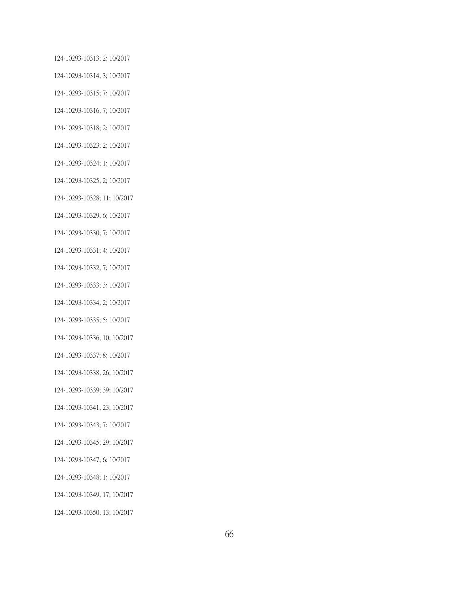124-10293-10313; 2; 10/2017 124-10293-10314; 3; 10/2017 124-10293-10315; 7; 10/2017 124-10293-10316; 7; 10/2017 124-10293-10318; 2; 10/2017 124-10293-10323; 2; 10/2017 124-10293-10324; 1; 10/2017 124-10293-10325; 2; 10/2017 124-10293-10328; 11; 10/2017 124-10293-10329; 6; 10/2017 124-10293-10330; 7; 10/2017 124-10293-10331; 4; 10/2017 124-10293-10332; 7; 10/2017 124-10293-10333; 3; 10/2017 124-10293-10334; 2; 10/2017 124-10293-10335; 5; 10/2017 124-10293-10336; 10; 10/2017 124-10293-10337; 8; 10/2017 124-10293-10338; 26; 10/2017 124-10293-10339; 39; 10/2017 124-10293-10341; 23; 10/2017 124-10293-10343; 7; 10/2017 124-10293-10345; 29; 10/2017 124-10293-10347; 6; 10/2017 124-10293-10348; 1; 10/2017 124-10293-10349; 17; 10/2017 124-10293-10350; 13; 10/2017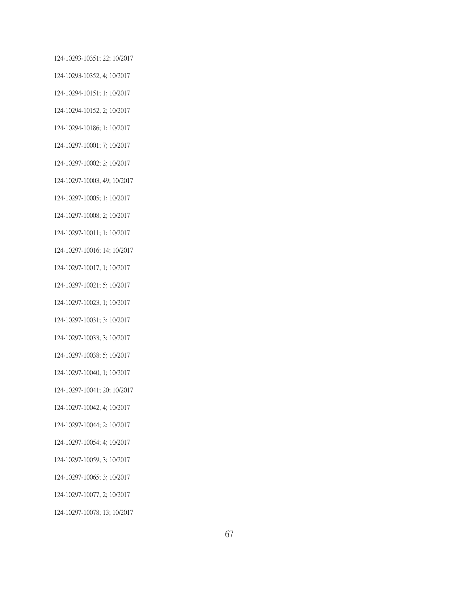124-10293-10351; 22; 10/2017 124-10293-10352; 4; 10/2017 124-10294-10151; 1; 10/2017 124-10294-10152; 2; 10/2017 124-10294-10186; 1; 10/2017 124-10297-10001; 7; 10/2017 124-10297-10002; 2; 10/2017 124-10297-10003; 49; 10/2017 124-10297-10005; 1; 10/2017 124-10297-10008; 2; 10/2017 124-10297-10011; 1; 10/2017 124-10297-10016; 14; 10/2017 124-10297-10017; 1; 10/2017 124-10297-10021; 5; 10/2017 124-10297-10023; 1; 10/2017 124-10297-10031; 3; 10/2017 124-10297-10033; 3; 10/2017 124-10297-10038; 5; 10/2017 124-10297-10040; 1; 10/2017 124-10297-10041; 20; 10/2017 124-10297-10042; 4; 10/2017 124-10297-10044; 2; 10/2017 124-10297-10054; 4; 10/2017 124-10297-10059; 3; 10/2017 124-10297-10065; 3; 10/2017 124-10297-10077; 2; 10/2017 124-10297-10078; 13; 10/2017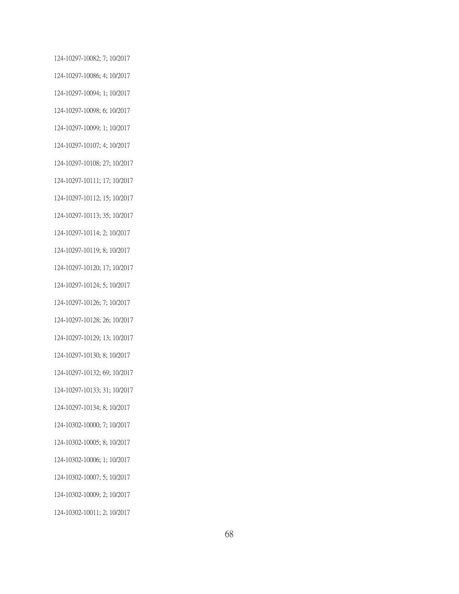124-10297-10082; 7; 10/2017 124-10297-10086; 4; 10/2017 124-10297-10094; 1; 10/2017 124-10297-10098; 6; 10/2017 124-10297-10099; 1; 10/2017 124-10297-10107; 4; 10/2017 124-10297-10108; 27; 10/2017 124-10297-10111; 17; 10/2017 124-10297-10112; 15; 10/2017 124-10297-10113; 35; 10/2017 124-10297-10114; 2; 10/2017 124-10297-10119; 8; 10/2017 124-10297-10120; 17; 10/2017 124-10297-10124; 5; 10/2017 124-10297-10126; 7; 10/2017 124-10297-10128; 26; 10/2017 124-10297-10129; 13; 10/2017 124-10297-10130; 8; 10/2017 124-10297-10132; 69; 10/2017 124-10297-10133; 31; 10/2017 124-10297-10134; 8; 10/2017 124-10302-10000; 7; 10/2017 124-10302-10005; 8; 10/2017 124-10302-10006; 1; 10/2017 124-10302-10007; 5; 10/2017 124-10302-10009; 2; 10/2017 124-10302-10011; 2; 10/2017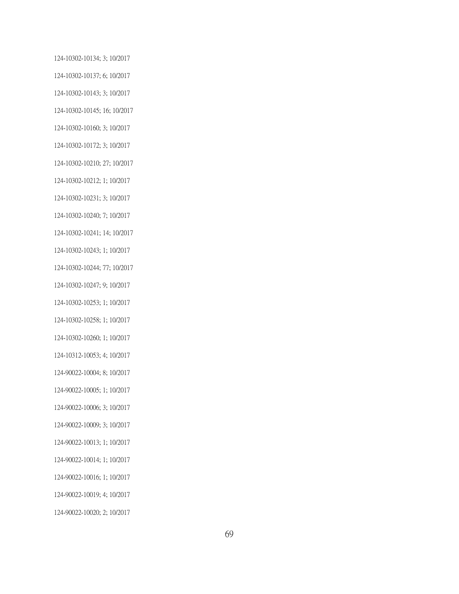124-10302-10134; 3; 10/2017 124-10302-10137; 6; 10/2017 124-10302-10143; 3; 10/2017 124-10302-10145; 16; 10/2017 124-10302-10160; 3; 10/2017 124-10302-10172; 3; 10/2017 124-10302-10210; 27; 10/2017 124-10302-10212; 1; 10/2017 124-10302-10231; 3; 10/2017 124-10302-10240; 7; 10/2017 124-10302-10241; 14; 10/2017 124-10302-10243; 1; 10/2017 124-10302-10244; 77; 10/2017 124-10302-10247; 9; 10/2017 124-10302-10253; 1; 10/2017 124-10302-10258; 1; 10/2017 124-10302-10260; 1; 10/2017 124-10312-10053; 4; 10/2017 124-90022-10004; 8; 10/2017 124-90022-10005; 1; 10/2017 124-90022-10006; 3; 10/2017 124-90022-10009; 3; 10/2017 124-90022-10013; 1; 10/2017 124-90022-10014; 1; 10/2017 124-90022-10016; 1; 10/2017 124-90022-10019; 4; 10/2017 124-90022-10020; 2; 10/2017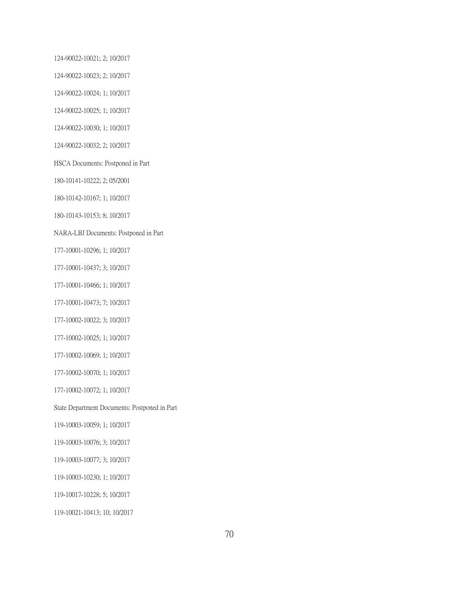124-90022-10021; 2; 10/2017

124-90022-10023; 2; 10/2017

124-90022-10024; 1; 10/2017

124-90022-10025; 1; 10/2017

124-90022-10030; 1; 10/2017

124-90022-10032; 2; 10/2017

HSCA Documents: Postponed in Part

180-10141-10222; 2; 05/2001

180-10142-10167; 1; 10/2017

180-10143-10153; 8; 10/2017

NARA-LBJ Documents: Postponed in Part

177-10001-10296; 1; 10/2017

177-10001-10437; 3; 10/2017

177-10001-10466; 1; 10/2017

177-10001-10473; 7; 10/2017

177-10002-10022; 3; 10/2017

177-10002-10025; 1; 10/2017

177-10002-10069; 1; 10/2017

177-10002-10070; 1; 10/2017

177-10002-10072; 1; 10/2017

State Department Documents: Postponed in Part

119-10003-10059; 1; 10/2017

119-10003-10076; 3; 10/2017

119-10003-10077; 3; 10/2017

119-10003-10230; 1; 10/2017

119-10017-10228; 5; 10/2017

119-10021-10413; 10; 10/2017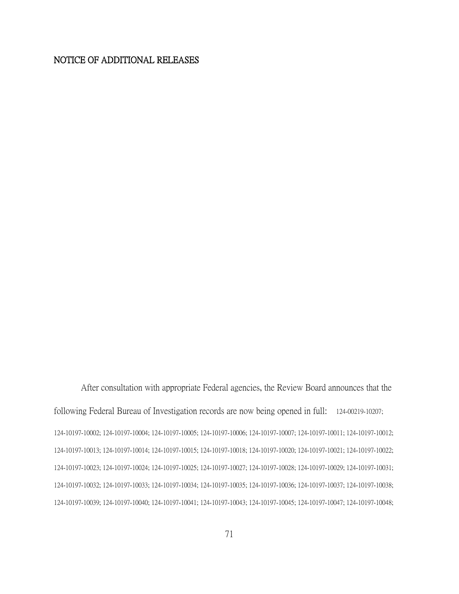## NOTICE OF ADDITIONAL RELEASES

After consultation with appropriate Federal agencies, the Review Board announces that the following Federal Bureau of Investigation records are now being opened in full: 124-00219-10207; 124-10197-10002; 124-10197-10004; 124-10197-10005; 124-10197-10006; 124-10197-10007; 124-10197-10011; 124-10197-10012; 124-10197-10013; 124-10197-10014; 124-10197-10015; 124-10197-10018; 124-10197-10020; 124-10197-10021; 124-10197-10022; 124-10197-10023; 124-10197-10024; 124-10197-10025; 124-10197-10027; 124-10197-10028; 124-10197-10029; 124-10197-10031; 124-10197-10032; 124-10197-10033; 124-10197-10034; 124-10197-10035; 124-10197-10036; 124-10197-10037; 124-10197-10038; 124-10197-10039; 124-10197-10040; 124-10197-10041; 124-10197-10043; 124-10197-10045; 124-10197-10047; 124-10197-10048;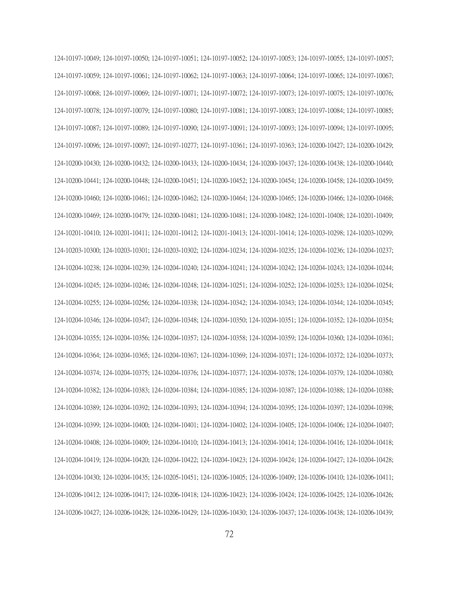124-10197-10049; 124-10197-10050; 124-10197-10051; 124-10197-10052; 124-10197-10053; 124-10197-10055; 124-10197-10057; 124-10197-10059; 124-10197-10061; 124-10197-10062; 124-10197-10063; 124-10197-10064; 124-10197-10065; 124-10197-10067; 124-10197-10068; 124-10197-10069; 124-10197-10071; 124-10197-10072; 124-10197-10073; 124-10197-10075; 124-10197-10076; 124-10197-10078; 124-10197-10079; 124-10197-10080; 124-10197-10081; 124-10197-10083; 124-10197-10084; 124-10197-10085; 124-10197-10087; 124-10197-10089; 124-10197-10090; 124-10197-10091; 124-10197-10093; 124-10197-10094; 124-10197-10095; 124-10197-10096; 124-10197-10097; 124-10197-10277; 124-10197-10361; 124-10197-10363; 124-10200-10427; 124-10200-10429; 124-10200-10430; 124-10200-10432; 124-10200-10433; 124-10200-10434; 124-10200-10437; 124-10200-10438; 124-10200-10440; 124-10200-10441; 124-10200-10448; 124-10200-10451; 124-10200-10452; 124-10200-10454; 124-10200-10458; 124-10200-10459; 124-10200-10460; 124-10200-10461; 124-10200-10462; 124-10200-10464; 124-10200-10465; 124-10200-10466; 124-10200-10468; 124-10200-10469; 124-10200-10479; 124-10200-10481; 124-10200-10481; 124-10200-10482; 124-10201-10408; 124-10201-10409; 124-10201-10410; 124-10201-10411; 124-10201-10412; 124-10201-10413; 124-10201-10414; 124-10203-10298; 124-10203-10299; 124-10203-10300; 124-10203-10301; 124-10203-10302; 124-10204-10234; 124-10204-10235; 124-10204-10236; 124-10204-10237; 124-10204-10238; 124-10204-10239; 124-10204-10240; 124-10204-10241; 124-10204-10242; 124-10204-10243; 124-10204-10244; 124-10204-10245; 124-10204-10246; 124-10204-10248; 124-10204-10251; 124-10204-10252; 124-10204-10253; 124-10204-10254; 124-10204-10255; 124-10204-10256; 124-10204-10338; 124-10204-10342; 124-10204-10343; 124-10204-10344; 124-10204-10345; 124-10204-10346; 124-10204-10347; 124-10204-10348; 124-10204-10350; 124-10204-10351; 124-10204-10352; 124-10204-10354; 124-10204-10355; 124-10204-10356; 124-10204-10357; 124-10204-10358; 124-10204-10359; 124-10204-10360; 124-10204-10361; 124-10204-10364; 124-10204-10365; 124-10204-10367; 124-10204-10369; 124-10204-10371; 124-10204-10372; 124-10204-10373; 124-10204-10374; 124-10204-10375; 124-10204-10376; 124-10204-10377; 124-10204-10378; 124-10204-10379; 124-10204-10380; 124-10204-10382; 124-10204-10383; 124-10204-10384; 124-10204-10385; 124-10204-10387; 124-10204-10388; 124-10204-10388; 124-10204-10389; 124-10204-10392; 124-10204-10393; 124-10204-10394; 124-10204-10395; 124-10204-10397; 124-10204-10398; 124-10204-10399; 124-10204-10400; 124-10204-10401; 124-10204-10402; 124-10204-10405; 124-10204-10406; 124-10204-10407; 124-10204-10408; 124-10204-10409; 124-10204-10410; 124-10204-10413; 124-10204-10414; 124-10204-10416; 124-10204-10418; 124-10204-10419; 124-10204-10420; 124-10204-10422; 124-10204-10423; 124-10204-10424; 124-10204-10427; 124-10204-10428; 124-10204-10430; 124-10204-10435; 124-10205-10451; 124-10206-10405; 124-10206-10409; 124-10206-10410; 124-10206-10411; 124-10206-10412; 124-10206-10417; 124-10206-10418; 124-10206-10423; 124-10206-10424; 124-10206-10425; 124-10206-10426; 124-10206-10427; 124-10206-10428; 124-10206-10429; 124-10206-10430; 124-10206-10437; 124-10206-10438; 124-10206-10439;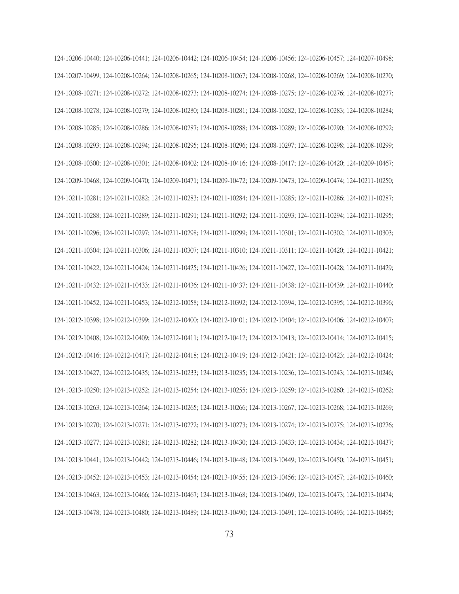124-10206-10440; 124-10206-10441; 124-10206-10442; 124-10206-10454; 124-10206-10456; 124-10206-10457; 124-10207-10498; 124-10207-10499; 124-10208-10264; 124-10208-10265; 124-10208-10267; 124-10208-10268; 124-10208-10269; 124-10208-10270; 124-10208-10271; 124-10208-10272; 124-10208-10273; 124-10208-10274; 124-10208-10275; 124-10208-10276; 124-10208-10277; 124-10208-10278; 124-10208-10279; 124-10208-10280; 124-10208-10281; 124-10208-10282; 124-10208-10283; 124-10208-10284; 124-10208-10285; 124-10208-10286; 124-10208-10287; 124-10208-10288; 124-10208-10289; 124-10208-10290; 124-10208-10292; 124-10208-10293; 124-10208-10294; 124-10208-10295; 124-10208-10296; 124-10208-10297; 124-10208-10298; 124-10208-10299; 124-10208-10300; 124-10208-10301; 124-10208-10402; 124-10208-10416; 124-10208-10417; 124-10208-10420; 124-10209-10467; 124-10209-10468; 124-10209-10470; 124-10209-10471; 124-10209-10472; 124-10209-10473; 124-10209-10474; 124-10211-10250; 124-10211-10281; 124-10211-10282; 124-10211-10283; 124-10211-10284; 124-10211-10285; 124-10211-10286; 124-10211-10287; 124-10211-10288; 124-10211-10289; 124-10211-10291; 124-10211-10292; 124-10211-10293; 124-10211-10294; 124-10211-10295; 124-10211-10296; 124-10211-10297; 124-10211-10298; 124-10211-10299; 124-10211-10301; 124-10211-10302; 124-10211-10303; 124-10211-10304; 124-10211-10306; 124-10211-10307; 124-10211-10310; 124-10211-10311; 124-10211-10420; 124-10211-10421; 124-10211-10422; 124-10211-10424; 124-10211-10425; 124-10211-10426; 124-10211-10427; 124-10211-10428; 124-10211-10429; 124-10211-10432; 124-10211-10433; 124-10211-10436; 124-10211-10437; 124-10211-10438; 124-10211-10439; 124-10211-10440; 124-10211-10452; 124-10211-10453; 124-10212-10058; 124-10212-10392; 124-10212-10394; 124-10212-10395; 124-10212-10396; 124-10212-10398; 124-10212-10399; 124-10212-10400; 124-10212-10401; 124-10212-10404; 124-10212-10406; 124-10212-10407; 124-10212-10408; 124-10212-10409; 124-10212-10411; 124-10212-10412; 124-10212-10413; 124-10212-10414; 124-10212-10415; 124-10212-10416; 124-10212-10417; 124-10212-10418; 124-10212-10419; 124-10212-10421; 124-10212-10423; 124-10212-10424; 124-10212-10427; 124-10212-10435; 124-10213-10233; 124-10213-10235; 124-10213-10236; 124-10213-10243; 124-10213-10246; 124-10213-10250; 124-10213-10252; 124-10213-10254; 124-10213-10255; 124-10213-10259; 124-10213-10260; 124-10213-10262; 124-10213-10263; 124-10213-10264; 124-10213-10265; 124-10213-10266; 124-10213-10267; 124-10213-10268; 124-10213-10269; 124-10213-10270; 124-10213-10271; 124-10213-10272; 124-10213-10273; 124-10213-10274; 124-10213-10275; 124-10213-10276; 124-10213-10277; 124-10213-10281; 124-10213-10282; 124-10213-10430; 124-10213-10433; 124-10213-10434; 124-10213-10437; 124-10213-10441; 124-10213-10442; 124-10213-10446; 124-10213-10448; 124-10213-10449; 124-10213-10450; 124-10213-10451; 124-10213-10452; 124-10213-10453; 124-10213-10454; 124-10213-10455; 124-10213-10456; 124-10213-10457; 124-10213-10460; 124-10213-10463; 124-10213-10466; 124-10213-10467; 124-10213-10468; 124-10213-10469; 124-10213-10473; 124-10213-10474; 124-10213-10478; 124-10213-10480; 124-10213-10489; 124-10213-10490; 124-10213-10491; 124-10213-10493; 124-10213-10495;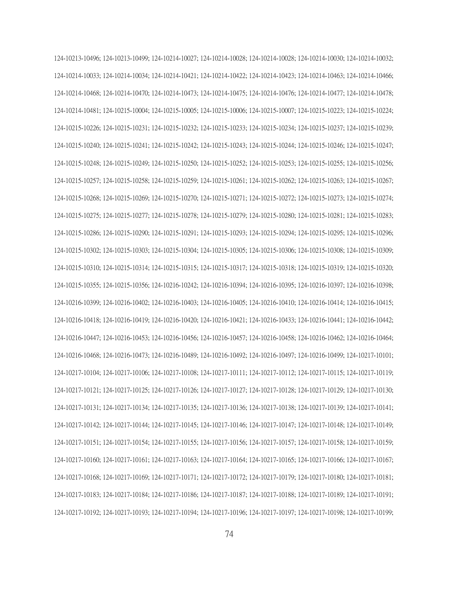124-10213-10496; 124-10213-10499; 124-10214-10027; 124-10214-10028; 124-10214-10028; 124-10214-10030; 124-10214-10032; 124-10214-10033; 124-10214-10034; 124-10214-10421; 124-10214-10422; 124-10214-10423; 124-10214-10463; 124-10214-10466; 124-10214-10468; 124-10214-10470; 124-10214-10473; 124-10214-10475; 124-10214-10476; 124-10214-10477; 124-10214-10478; 124-10214-10481; 124-10215-10004; 124-10215-10005; 124-10215-10006; 124-10215-10007; 124-10215-10223; 124-10215-10224; 124-10215-10226; 124-10215-10231; 124-10215-10232; 124-10215-10233; 124-10215-10234; 124-10215-10237; 124-10215-10239; 124-10215-10240; 124-10215-10241; 124-10215-10242; 124-10215-10243; 124-10215-10244; 124-10215-10246; 124-10215-10247; 124-10215-10248; 124-10215-10249; 124-10215-10250; 124-10215-10252; 124-10215-10253; 124-10215-10255; 124-10215-10256; 124-10215-10257; 124-10215-10258; 124-10215-10259; 124-10215-10261; 124-10215-10262; 124-10215-10263; 124-10215-10267; 124-10215-10268; 124-10215-10269; 124-10215-10270; 124-10215-10271; 124-10215-10272; 124-10215-10273; 124-10215-10274; 124-10215-10275; 124-10215-10277; 124-10215-10278; 124-10215-10279; 124-10215-10280; 124-10215-10281; 124-10215-10283; 124-10215-10286; 124-10215-10290; 124-10215-10291; 124-10215-10293; 124-10215-10294; 124-10215-10295; 124-10215-10296; 124-10215-10302; 124-10215-10303; 124-10215-10304; 124-10215-10305; 124-10215-10306; 124-10215-10308; 124-10215-10309; 124-10215-10310; 124-10215-10314; 124-10215-10315; 124-10215-10317; 124-10215-10318; 124-10215-10319; 124-10215-10320; 124-10215-10355; 124-10215-10356; 124-10216-10242; 124-10216-10394; 124-10216-10395; 124-10216-10397; 124-10216-10398; 124-10216-10399; 124-10216-10402; 124-10216-10403; 124-10216-10405; 124-10216-10410; 124-10216-10414; 124-10216-10415; 124-10216-10418; 124-10216-10419; 124-10216-10420; 124-10216-10421; 124-10216-10433; 124-10216-10441; 124-10216-10442; 124-10216-10447; 124-10216-10453; 124-10216-10456; 124-10216-10457; 124-10216-10458; 124-10216-10462; 124-10216-10464; 124-10216-10468; 124-10216-10473; 124-10216-10489; 124-10216-10492; 124-10216-10497; 124-10216-10499; 124-10217-10101; 124-10217-10104; 124-10217-10106; 124-10217-10108; 124-10217-10111; 124-10217-10112; 124-10217-10115; 124-10217-10119; 124-10217-10121; 124-10217-10125; 124-10217-10126; 124-10217-10127; 124-10217-10128; 124-10217-10129; 124-10217-10130; 124-10217-10131; 124-10217-10134; 124-10217-10135; 124-10217-10136; 124-10217-10138; 124-10217-10139; 124-10217-10141; 124-10217-10142; 124-10217-10144; 124-10217-10145; 124-10217-10146; 124-10217-10147; 124-10217-10148; 124-10217-10149; 124-10217-10151; 124-10217-10154; 124-10217-10155; 124-10217-10156; 124-10217-10157; 124-10217-10158; 124-10217-10159; 124-10217-10160; 124-10217-10161; 124-10217-10163; 124-10217-10164; 124-10217-10165; 124-10217-10166; 124-10217-10167; 124-10217-10168; 124-10217-10169; 124-10217-10171; 124-10217-10172; 124-10217-10179; 124-10217-10180; 124-10217-10181; 124-10217-10183; 124-10217-10184; 124-10217-10186; 124-10217-10187; 124-10217-10188; 124-10217-10189; 124-10217-10191; 124-10217-10192; 124-10217-10193; 124-10217-10194; 124-10217-10196; 124-10217-10197; 124-10217-10198; 124-10217-10199;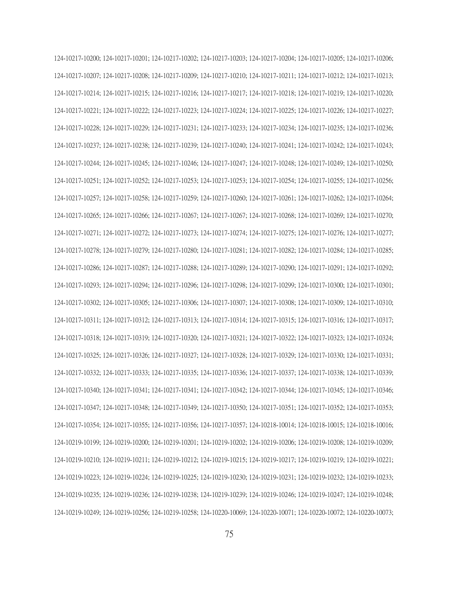124-10217-10200; 124-10217-10201; 124-10217-10202; 124-10217-10203; 124-10217-10204; 124-10217-10205; 124-10217-10206; 124-10217-10207; 124-10217-10208; 124-10217-10209; 124-10217-10210; 124-10217-10211; 124-10217-10212; 124-10217-10213; 124-10217-10214; 124-10217-10215; 124-10217-10216; 124-10217-10217; 124-10217-10218; 124-10217-10219; 124-10217-10220; 124-10217-10221; 124-10217-10222; 124-10217-10223; 124-10217-10224; 124-10217-10225; 124-10217-10226; 124-10217-10227; 124-10217-10228; 124-10217-10229; 124-10217-10231; 124-10217-10233; 124-10217-10234; 124-10217-10235; 124-10217-10236; 124-10217-10237; 124-10217-10238; 124-10217-10239; 124-10217-10240; 124-10217-10241; 124-10217-10242; 124-10217-10243; 124-10217-10244; 124-10217-10245; 124-10217-10246; 124-10217-10247; 124-10217-10248; 124-10217-10249; 124-10217-10250; 124-10217-10251; 124-10217-10252; 124-10217-10253; 124-10217-10253; 124-10217-10254; 124-10217-10255; 124-10217-10256; 124-10217-10257; 124-10217-10258; 124-10217-10259; 124-10217-10260; 124-10217-10261; 124-10217-10262; 124-10217-10264; 124-10217-10265; 124-10217-10266; 124-10217-10267; 124-10217-10267; 124-10217-10268; 124-10217-10269; 124-10217-10270; 124-10217-10271; 124-10217-10272; 124-10217-10273; 124-10217-10274; 124-10217-10275; 124-10217-10276; 124-10217-10277; 124-10217-10278; 124-10217-10279; 124-10217-10280; 124-10217-10281; 124-10217-10282; 124-10217-10284; 124-10217-10285; 124-10217-10286; 124-10217-10287; 124-10217-10288; 124-10217-10289; 124-10217-10290; 124-10217-10291; 124-10217-10292; 124-10217-10293; 124-10217-10294; 124-10217-10296; 124-10217-10298; 124-10217-10299; 124-10217-10300; 124-10217-10301; 124-10217-10302; 124-10217-10305; 124-10217-10306; 124-10217-10307; 124-10217-10308; 124-10217-10309; 124-10217-10310; 124-10217-10311; 124-10217-10312; 124-10217-10313; 124-10217-10314; 124-10217-10315; 124-10217-10316; 124-10217-10317; 124-10217-10318; 124-10217-10319; 124-10217-10320; 124-10217-10321; 124-10217-10322; 124-10217-10323; 124-10217-10324; 124-10217-10325; 124-10217-10326; 124-10217-10327; 124-10217-10328; 124-10217-10329; 124-10217-10330; 124-10217-10331; 124-10217-10332; 124-10217-10333; 124-10217-10335; 124-10217-10336; 124-10217-10337; 124-10217-10338; 124-10217-10339; 124-10217-10340; 124-10217-10341; 124-10217-10341; 124-10217-10342; 124-10217-10344; 124-10217-10345; 124-10217-10346; 124-10217-10347; 124-10217-10348; 124-10217-10349; 124-10217-10350; 124-10217-10351; 124-10217-10352; 124-10217-10353; 124-10217-10354; 124-10217-10355; 124-10217-10356; 124-10217-10357; 124-10218-10014; 124-10218-10015; 124-10218-10016; 124-10219-10199; 124-10219-10200; 124-10219-10201; 124-10219-10202; 124-10219-10206; 124-10219-10208; 124-10219-10209; 124-10219-10210; 124-10219-10211; 124-10219-10212; 124-10219-10215; 124-10219-10217; 124-10219-10219; 124-10219-10221; 124-10219-10223; 124-10219-10224; 124-10219-10225; 124-10219-10230; 124-10219-10231; 124-10219-10232; 124-10219-10233; 124-10219-10235; 124-10219-10236; 124-10219-10238; 124-10219-10239; 124-10219-10246; 124-10219-10247; 124-10219-10248; 124-10219-10249; 124-10219-10256; 124-10219-10258; 124-10220-10069; 124-10220-10071; 124-10220-10072; 124-10220-10073;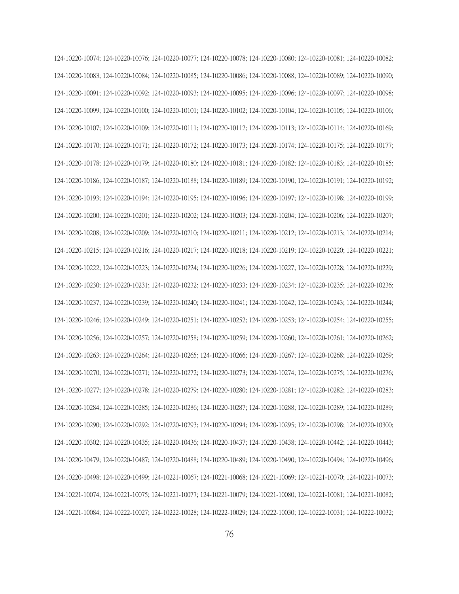124-10220-10074; 124-10220-10076; 124-10220-10077; 124-10220-10078; 124-10220-10080; 124-10220-10081; 124-10220-10082; 124-10220-10083; 124-10220-10084; 124-10220-10085; 124-10220-10086; 124-10220-10088; 124-10220-10089; 124-10220-10090; 124-10220-10091; 124-10220-10092; 124-10220-10093; 124-10220-10095; 124-10220-10096; 124-10220-10097; 124-10220-10098; 124-10220-10099; 124-10220-10100; 124-10220-10101; 124-10220-10102; 124-10220-10104; 124-10220-10105; 124-10220-10106; 124-10220-10107; 124-10220-10109; 124-10220-10111; 124-10220-10112; 124-10220-10113; 124-10220-10114; 124-10220-10169; 124-10220-10170; 124-10220-10171; 124-10220-10172; 124-10220-10173; 124-10220-10174; 124-10220-10175; 124-10220-10177; 124-10220-10178; 124-10220-10179; 124-10220-10180; 124-10220-10181; 124-10220-10182; 124-10220-10183; 124-10220-10185; 124-10220-10186; 124-10220-10187; 124-10220-10188; 124-10220-10189; 124-10220-10190; 124-10220-10191; 124-10220-10192; 124-10220-10193; 124-10220-10194; 124-10220-10195; 124-10220-10196; 124-10220-10197; 124-10220-10198; 124-10220-10199; 124-10220-10200; 124-10220-10201; 124-10220-10202; 124-10220-10203; 124-10220-10204; 124-10220-10206; 124-10220-10207; 124-10220-10208; 124-10220-10209; 124-10220-10210; 124-10220-10211; 124-10220-10212; 124-10220-10213; 124-10220-10214; 124-10220-10215; 124-10220-10216; 124-10220-10217; 124-10220-10218; 124-10220-10219; 124-10220-10220; 124-10220-10221; 124-10220-10222; 124-10220-10223; 124-10220-10224; 124-10220-10226; 124-10220-10227; 124-10220-10228; 124-10220-10229; 124-10220-10230; 124-10220-10231; 124-10220-10232; 124-10220-10233; 124-10220-10234; 124-10220-10235; 124-10220-10236; 124-10220-10237; 124-10220-10239; 124-10220-10240; 124-10220-10241; 124-10220-10242; 124-10220-10243; 124-10220-10244; 124-10220-10246; 124-10220-10249; 124-10220-10251; 124-10220-10252; 124-10220-10253; 124-10220-10254; 124-10220-10255; 124-10220-10256; 124-10220-10257; 124-10220-10258; 124-10220-10259; 124-10220-10260; 124-10220-10261; 124-10220-10262; 124-10220-10263; 124-10220-10264; 124-10220-10265; 124-10220-10266; 124-10220-10267; 124-10220-10268; 124-10220-10269; 124-10220-10270; 124-10220-10271; 124-10220-10272; 124-10220-10273; 124-10220-10274; 124-10220-10275; 124-10220-10276; 124-10220-10277; 124-10220-10278; 124-10220-10279; 124-10220-10280; 124-10220-10281; 124-10220-10282; 124-10220-10283; 124-10220-10284; 124-10220-10285; 124-10220-10286; 124-10220-10287; 124-10220-10288; 124-10220-10289; 124-10220-10289; 124-10220-10290; 124-10220-10292; 124-10220-10293; 124-10220-10294; 124-10220-10295; 124-10220-10298; 124-10220-10300; 124-10220-10302; 124-10220-10435; 124-10220-10436; 124-10220-10437; 124-10220-10438; 124-10220-10442; 124-10220-10443; 124-10220-10479; 124-10220-10487; 124-10220-10488; 124-10220-10489; 124-10220-10490; 124-10220-10494; 124-10220-10496; 124-10220-10498; 124-10220-10499; 124-10221-10067; 124-10221-10068; 124-10221-10069; 124-10221-10070; 124-10221-10073; 124-10221-10074; 124-10221-10075; 124-10221-10077; 124-10221-10079; 124-10221-10080; 124-10221-10081; 124-10221-10082; 124-10221-10084; 124-10222-10027; 124-10222-10028; 124-10222-10029; 124-10222-10030; 124-10222-10031; 124-10222-10032;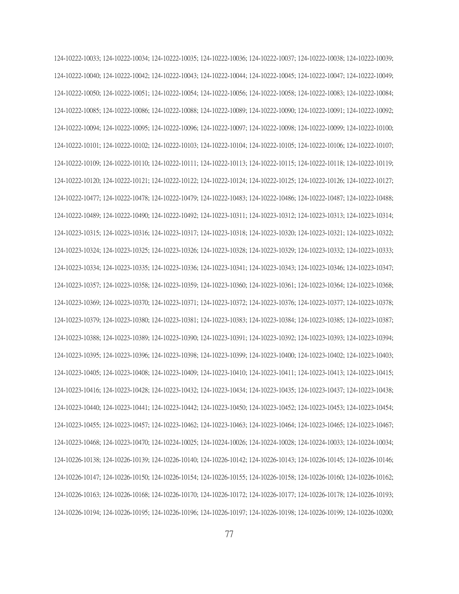124-10222-10033; 124-10222-10034; 124-10222-10035; 124-10222-10036; 124-10222-10037; 124-10222-10038; 124-10222-10039; 124-10222-10040; 124-10222-10042; 124-10222-10043; 124-10222-10044; 124-10222-10045; 124-10222-10047; 124-10222-10049; 124-10222-10050; 124-10222-10051; 124-10222-10054; 124-10222-10056; 124-10222-10058; 124-10222-10083; 124-10222-10084; 124-10222-10085; 124-10222-10086; 124-10222-10088; 124-10222-10089; 124-10222-10090; 124-10222-10091; 124-10222-10092; 124-10222-10094; 124-10222-10095; 124-10222-10096; 124-10222-10097; 124-10222-10098; 124-10222-10099; 124-10222-10100; 124-10222-10101; 124-10222-10102; 124-10222-10103; 124-10222-10104; 124-10222-10105; 124-10222-10106; 124-10222-10107; 124-10222-10109; 124-10222-10110; 124-10222-10111; 124-10222-10113; 124-10222-10115; 124-10222-10118; 124-10222-10119; 124-10222-10120; 124-10222-10121; 124-10222-10122; 124-10222-10124; 124-10222-10125; 124-10222-10126; 124-10222-10127; 124-10222-10477; 124-10222-10478; 124-10222-10479; 124-10222-10483; 124-10222-10486; 124-10222-10487; 124-10222-10488; 124-10222-10489; 124-10222-10490; 124-10222-10492; 124-10223-10311; 124-10223-10312; 124-10223-10313; 124-10223-10314; 124-10223-10315; 124-10223-10316; 124-10223-10317; 124-10223-10318; 124-10223-10320; 124-10223-10321; 124-10223-10322; 124-10223-10324; 124-10223-10325; 124-10223-10326; 124-10223-10328; 124-10223-10329; 124-10223-10332; 124-10223-10333; 124-10223-10334; 124-10223-10335; 124-10223-10336; 124-10223-10341; 124-10223-10343; 124-10223-10346; 124-10223-10347; 124-10223-10357; 124-10223-10358; 124-10223-10359; 124-10223-10360; 124-10223-10361; 124-10223-10364; 124-10223-10368; 124-10223-10369; 124-10223-10370; 124-10223-10371; 124-10223-10372; 124-10223-10376; 124-10223-10377; 124-10223-10378; 124-10223-10379; 124-10223-10380; 124-10223-10381; 124-10223-10383; 124-10223-10384; 124-10223-10385; 124-10223-10387; 124-10223-10388; 124-10223-10389; 124-10223-10390; 124-10223-10391; 124-10223-10392; 124-10223-10393; 124-10223-10394; 124-10223-10395; 124-10223-10396; 124-10223-10398; 124-10223-10399; 124-10223-10400; 124-10223-10402; 124-10223-10403; 124-10223-10405; 124-10223-10408; 124-10223-10409; 124-10223-10410; 124-10223-10411; 124-10223-10413; 124-10223-10415; 124-10223-10416; 124-10223-10428; 124-10223-10432; 124-10223-10434; 124-10223-10435; 124-10223-10437; 124-10223-10438; 124-10223-10440; 124-10223-10441; 124-10223-10442; 124-10223-10450; 124-10223-10452; 124-10223-10453; 124-10223-10454; 124-10223-10455; 124-10223-10457; 124-10223-10462; 124-10223-10463; 124-10223-10464; 124-10223-10465; 124-10223-10467; 124-10223-10468; 124-10223-10470; 124-10224-10025; 124-10224-10026; 124-10224-10028; 124-10224-10033; 124-10224-10034; 124-10226-10138; 124-10226-10139; 124-10226-10140; 124-10226-10142; 124-10226-10143; 124-10226-10145; 124-10226-10146; 124-10226-10147; 124-10226-10150; 124-10226-10154; 124-10226-10155; 124-10226-10158; 124-10226-10160; 124-10226-10162; 124-10226-10163; 124-10226-10168; 124-10226-10170; 124-10226-10172; 124-10226-10177; 124-10226-10178; 124-10226-10193; 124-10226-10194; 124-10226-10195; 124-10226-10196; 124-10226-10197; 124-10226-10198; 124-10226-10199; 124-10226-10200;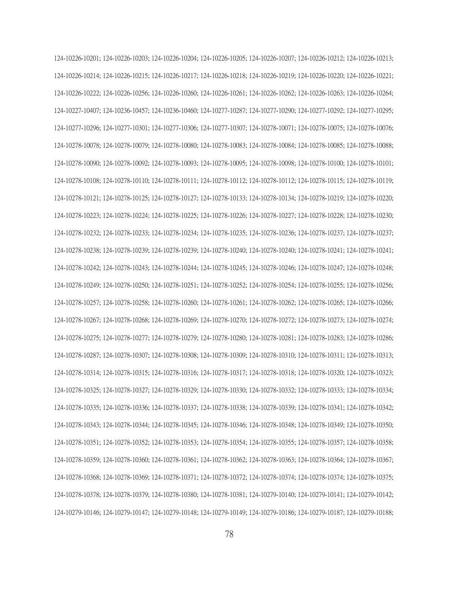124-10226-10201; 124-10226-10203; 124-10226-10204; 124-10226-10205; 124-10226-10207; 124-10226-10212; 124-10226-10213; 124-10226-10214; 124-10226-10215; 124-10226-10217; 124-10226-10218; 124-10226-10219; 124-10226-10220; 124-10226-10221; 124-10226-10222; 124-10226-10256; 124-10226-10260; 124-10226-10261; 124-10226-10262; 124-10226-10263; 124-10226-10264; 124-10227-10407; 124-10236-10457; 124-10236-10460; 124-10277-10287; 124-10277-10290; 124-10277-10292; 124-10277-10295; 124-10277-10296; 124-10277-10301; 124-10277-10306; 124-10277-10307; 124-10278-10071; 124-10278-10075; 124-10278-10076; 124-10278-10078; 124-10278-10079; 124-10278-10080; 124-10278-10083; 124-10278-10084; 124-10278-10085; 124-10278-10088; 124-10278-10090; 124-10278-10092; 124-10278-10093; 124-10278-10095; 124-10278-10098; 124-10278-10100; 124-10278-10101; 124-10278-10108; 124-10278-10110; 124-10278-10111; 124-10278-10112; 124-10278-10112; 124-10278-10115; 124-10278-10119; 124-10278-10121; 124-10278-10125; 124-10278-10127; 124-10278-10133; 124-10278-10134; 124-10278-10219; 124-10278-10220; 124-10278-10223; 124-10278-10224; 124-10278-10225; 124-10278-10226; 124-10278-10227; 124-10278-10228; 124-10278-10230; 124-10278-10232; 124-10278-10233; 124-10278-10234; 124-10278-10235; 124-10278-10236; 124-10278-10237; 124-10278-10237; 124-10278-10238; 124-10278-10239; 124-10278-10239; 124-10278-10240; 124-10278-10240; 124-10278-10241; 124-10278-10241; 124-10278-10242; 124-10278-10243; 124-10278-10244; 124-10278-10245; 124-10278-10246; 124-10278-10247; 124-10278-10248; 124-10278-10249; 124-10278-10250; 124-10278-10251; 124-10278-10252; 124-10278-10254; 124-10278-10255; 124-10278-10256; 124-10278-10257; 124-10278-10258; 124-10278-10260; 124-10278-10261; 124-10278-10262; 124-10278-10265; 124-10278-10266; 124-10278-10267; 124-10278-10268; 124-10278-10269; 124-10278-10270; 124-10278-10272; 124-10278-10273; 124-10278-10274; 124-10278-10275; 124-10278-10277; 124-10278-10279; 124-10278-10280; 124-10278-10281; 124-10278-10283; 124-10278-10286; 124-10278-10287; 124-10278-10307; 124-10278-10308; 124-10278-10309; 124-10278-10310; 124-10278-10311; 124-10278-10313; 124-10278-10314; 124-10278-10315; 124-10278-10316; 124-10278-10317; 124-10278-10318; 124-10278-10320; 124-10278-10323; 124-10278-10325; 124-10278-10327; 124-10278-10329; 124-10278-10330; 124-10278-10332; 124-10278-10333; 124-10278-10334; 124-10278-10335; 124-10278-10336; 124-10278-10337; 124-10278-10338; 124-10278-10339; 124-10278-10341; 124-10278-10342; 124-10278-10343; 124-10278-10344; 124-10278-10345; 124-10278-10346; 124-10278-10348; 124-10278-10349; 124-10278-10350; 124-10278-10351; 124-10278-10352; 124-10278-10353; 124-10278-10354; 124-10278-10355; 124-10278-10357; 124-10278-10358; 124-10278-10359; 124-10278-10360; 124-10278-10361; 124-10278-10362; 124-10278-10363; 124-10278-10364; 124-10278-10367; 124-10278-10368; 124-10278-10369; 124-10278-10371; 124-10278-10372; 124-10278-10374; 124-10278-10374; 124-10278-10375; 124-10278-10378; 124-10278-10379; 124-10278-10380; 124-10278-10381; 124-10279-10140; 124-10279-10141; 124-10279-10142; 124-10279-10146; 124-10279-10147; 124-10279-10148; 124-10279-10149; 124-10279-10186; 124-10279-10187; 124-10279-10188;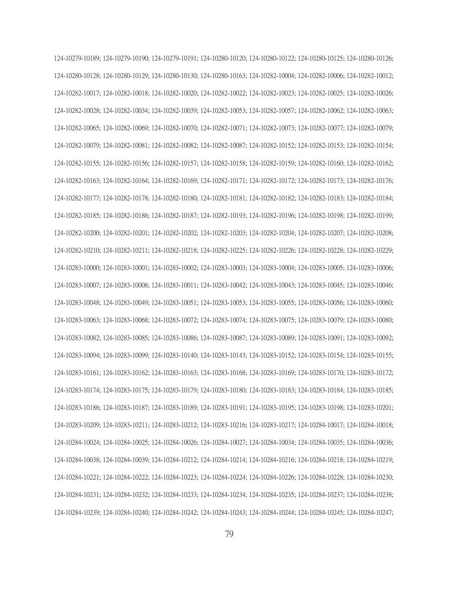124-10279-10189; 124-10279-10190; 124-10279-10191; 124-10280-10120; 124-10280-10122; 124-10280-10125; 124-10280-10126; 124-10280-10128; 124-10280-10129; 124-10280-10130; 124-10280-10163; 124-10282-10004; 124-10282-10006; 124-10282-10012; 124-10282-10017; 124-10282-10018; 124-10282-10020; 124-10282-10022; 124-10282-10023; 124-10282-10025; 124-10282-10026; 124-10282-10028; 124-10282-10034; 124-10282-10039; 124-10282-10053; 124-10282-10057; 124-10282-10062; 124-10282-10063; 124-10282-10065; 124-10282-10069; 124-10282-10070; 124-10282-10071; 124-10282-10073; 124-10282-10077; 124-10282-10079; 124-10282-10079; 124-10282-10081; 124-10282-10082; 124-10282-10087; 124-10282-10152; 124-10282-10153; 124-10282-10154; 124-10282-10155; 124-10282-10156; 124-10282-10157; 124-10282-10158; 124-10282-10159; 124-10282-10160; 124-10282-10162; 124-10282-10163; 124-10282-10164; 124-10282-10169; 124-10282-10171; 124-10282-10172; 124-10282-10173; 124-10282-10176; 124-10282-10177; 124-10282-10178; 124-10282-10180; 124-10282-10181; 124-10282-10182; 124-10282-10183; 124-10282-10184; 124-10282-10185; 124-10282-10186; 124-10282-10187; 124-10282-10193; 124-10282-10196; 124-10282-10198; 124-10282-10199; 124-10282-10200; 124-10282-10201; 124-10282-10202; 124-10282-10203; 124-10282-10204; 124-10282-10207; 124-10282-10208; 124-10282-10210; 124-10282-10211; 124-10282-10218; 124-10282-10225; 124-10282-10226; 124-10282-10228; 124-10282-10229; 124-10283-10000; 124-10283-10001; 124-10283-10002; 124-10283-10003; 124-10283-10004; 124-10283-10005; 124-10283-10006; 124-10283-10007; 124-10283-10008; 124-10283-10011; 124-10283-10042; 124-10283-10043; 124-10283-10045; 124-10283-10046; 124-10283-10048; 124-10283-10049; 124-10283-10051; 124-10283-10053; 124-10283-10055; 124-10283-10056; 124-10283-10060; 124-10283-10063; 124-10283-10068; 124-10283-10072; 124-10283-10074; 124-10283-10075; 124-10283-10079; 124-10283-10080; 124-10283-10082; 124-10283-10085; 124-10283-10086; 124-10283-10087; 124-10283-10089; 124-10283-10091; 124-10283-10092; 124-10283-10094; 124-10283-10099; 124-10283-10140; 124-10283-10143; 124-10283-10152; 124-10283-10154; 124-10283-10155; 124-10283-10161; 124-10283-10162; 124-10283-10163; 124-10283-10168; 124-10283-10169; 124-10283-10170; 124-10283-10172; 124-10283-10174; 124-10283-10175; 124-10283-10179; 124-10283-10180; 124-10283-10183; 124-10283-10184; 124-10283-10185; 124-10283-10186; 124-10283-10187; 124-10283-10189; 124-10283-10191; 124-10283-10195; 124-10283-10198; 124-10283-10201; 124-10283-10209; 124-10283-10211; 124-10283-10212; 124-10283-10216; 124-10283-10217; 124-10284-10017; 124-10284-10018; 124-10284-10024; 124-10284-10025; 124-10284-10026; 124-10284-10027; 124-10284-10034; 124-10284-10035; 124-10284-10036; 124-10284-10038; 124-10284-10039; 124-10284-10212; 124-10284-10214; 124-10284-10216; 124-10284-10218; 124-10284-10219; 124-10284-10221; 124-10284-10222; 124-10284-10223; 124-10284-10224; 124-10284-10226; 124-10284-10228; 124-10284-10230; 124-10284-10231; 124-10284-10232; 124-10284-10233; 124-10284-10234; 124-10284-10235; 124-10284-10237; 124-10284-10238; 124-10284-10239; 124-10284-10240; 124-10284-10242; 124-10284-10243; 124-10284-10244; 124-10284-10245; 124-10284-10247;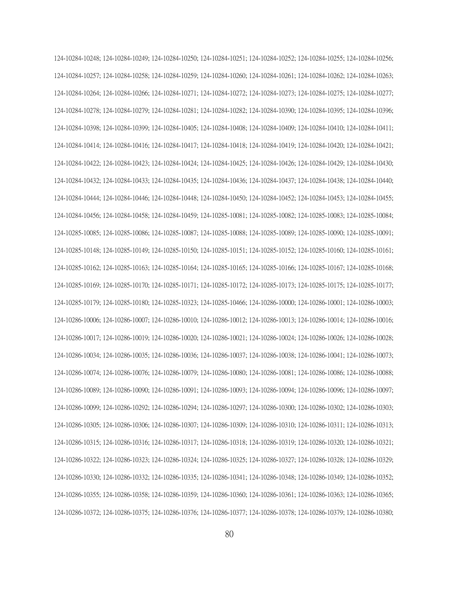124-10284-10248; 124-10284-10249; 124-10284-10250; 124-10284-10251; 124-10284-10252; 124-10284-10255; 124-10284-10256; 124-10284-10257; 124-10284-10258; 124-10284-10259; 124-10284-10260; 124-10284-10261; 124-10284-10262; 124-10284-10263; 124-10284-10264; 124-10284-10266; 124-10284-10271; 124-10284-10272; 124-10284-10273; 124-10284-10275; 124-10284-10277; 124-10284-10278; 124-10284-10279; 124-10284-10281; 124-10284-10282; 124-10284-10390; 124-10284-10395; 124-10284-10396; 124-10284-10398; 124-10284-10399; 124-10284-10405; 124-10284-10408; 124-10284-10409; 124-10284-10410; 124-10284-10411; 124-10284-10414; 124-10284-10416; 124-10284-10417; 124-10284-10418; 124-10284-10419; 124-10284-10420; 124-10284-10421; 124-10284-10422; 124-10284-10423; 124-10284-10424; 124-10284-10425; 124-10284-10426; 124-10284-10429; 124-10284-10430; 124-10284-10432; 124-10284-10433; 124-10284-10435; 124-10284-10436; 124-10284-10437; 124-10284-10438; 124-10284-10440; 124-10284-10444; 124-10284-10446; 124-10284-10448; 124-10284-10450; 124-10284-10452; 124-10284-10453; 124-10284-10455; 124-10284-10456; 124-10284-10458; 124-10284-10459; 124-10285-10081; 124-10285-10082; 124-10285-10083; 124-10285-10084; 124-10285-10085; 124-10285-10086; 124-10285-10087; 124-10285-10088; 124-10285-10089; 124-10285-10090; 124-10285-10091; 124-10285-10148; 124-10285-10149; 124-10285-10150; 124-10285-10151; 124-10285-10152; 124-10285-10160; 124-10285-10161; 124-10285-10162; 124-10285-10163; 124-10285-10164; 124-10285-10165; 124-10285-10166; 124-10285-10167; 124-10285-10168; 124-10285-10169; 124-10285-10170; 124-10285-10171; 124-10285-10172; 124-10285-10173; 124-10285-10175; 124-10285-10177; 124-10285-10179; 124-10285-10180; 124-10285-10323; 124-10285-10466; 124-10286-10000; 124-10286-10001; 124-10286-10003; 124-10286-10006; 124-10286-10007; 124-10286-10010; 124-10286-10012; 124-10286-10013; 124-10286-10014; 124-10286-10016; 124-10286-10017; 124-10286-10019; 124-10286-10020; 124-10286-10021; 124-10286-10024; 124-10286-10026; 124-10286-10028; 124-10286-10034; 124-10286-10035; 124-10286-10036; 124-10286-10037; 124-10286-10038; 124-10286-10041; 124-10286-10073; 124-10286-10074; 124-10286-10076; 124-10286-10079; 124-10286-10080; 124-10286-10081; 124-10286-10086; 124-10286-10088; 124-10286-10089; 124-10286-10090; 124-10286-10091; 124-10286-10093; 124-10286-10094; 124-10286-10096; 124-10286-10097; 124-10286-10099; 124-10286-10292; 124-10286-10294; 124-10286-10297; 124-10286-10300; 124-10286-10302; 124-10286-10303; 124-10286-10305; 124-10286-10306; 124-10286-10307; 124-10286-10309; 124-10286-10310; 124-10286-10311; 124-10286-10313; 124-10286-10315; 124-10286-10316; 124-10286-10317; 124-10286-10318; 124-10286-10319; 124-10286-10320; 124-10286-10321; 124-10286-10322; 124-10286-10323; 124-10286-10324; 124-10286-10325; 124-10286-10327; 124-10286-10328; 124-10286-10329; 124-10286-10330; 124-10286-10332; 124-10286-10335; 124-10286-10341; 124-10286-10348; 124-10286-10349; 124-10286-10352; 124-10286-10355; 124-10286-10358; 124-10286-10359; 124-10286-10360; 124-10286-10361; 124-10286-10363; 124-10286-10365; 124-10286-10372; 124-10286-10375; 124-10286-10376; 124-10286-10377; 124-10286-10378; 124-10286-10379; 124-10286-10380;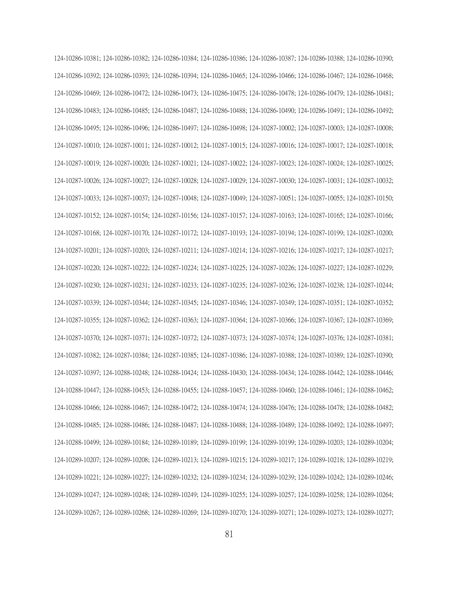124-10286-10381; 124-10286-10382; 124-10286-10384; 124-10286-10386; 124-10286-10387; 124-10286-10388; 124-10286-10390; 124-10286-10392; 124-10286-10393; 124-10286-10394; 124-10286-10465; 124-10286-10466; 124-10286-10467; 124-10286-10468; 124-10286-10469; 124-10286-10472; 124-10286-10473; 124-10286-10475; 124-10286-10478; 124-10286-10479; 124-10286-10481; 124-10286-10483; 124-10286-10485; 124-10286-10487; 124-10286-10488; 124-10286-10490; 124-10286-10491; 124-10286-10492; 124-10286-10495; 124-10286-10496; 124-10286-10497; 124-10286-10498; 124-10287-10002; 124-10287-10003; 124-10287-10008; 124-10287-10010; 124-10287-10011; 124-10287-10012; 124-10287-10015; 124-10287-10016; 124-10287-10017; 124-10287-10018; 124-10287-10019; 124-10287-10020; 124-10287-10021; 124-10287-10022; 124-10287-10023; 124-10287-10024; 124-10287-10025; 124-10287-10026; 124-10287-10027; 124-10287-10028; 124-10287-10029; 124-10287-10030; 124-10287-10031; 124-10287-10032; 124-10287-10033; 124-10287-10037; 124-10287-10048; 124-10287-10049; 124-10287-10051; 124-10287-10055; 124-10287-10150; 124-10287-10152; 124-10287-10154; 124-10287-10156; 124-10287-10157; 124-10287-10163; 124-10287-10165; 124-10287-10166; 124-10287-10168; 124-10287-10170; 124-10287-10172; 124-10287-10193; 124-10287-10194; 124-10287-10199; 124-10287-10200; 124-10287-10201; 124-10287-10203; 124-10287-10211; 124-10287-10214; 124-10287-10216; 124-10287-10217; 124-10287-10217; 124-10287-10220; 124-10287-10222; 124-10287-10224; 124-10287-10225; 124-10287-10226; 124-10287-10227; 124-10287-10229; 124-10287-10230; 124-10287-10231; 124-10287-10233; 124-10287-10235; 124-10287-10236; 124-10287-10238; 124-10287-10244; 124-10287-10339; 124-10287-10344; 124-10287-10345; 124-10287-10346; 124-10287-10349; 124-10287-10351; 124-10287-10352; 124-10287-10355; 124-10287-10362; 124-10287-10363; 124-10287-10364; 124-10287-10366; 124-10287-10367; 124-10287-10369; 124-10287-10370; 124-10287-10371; 124-10287-10372; 124-10287-10373; 124-10287-10374; 124-10287-10376; 124-10287-10381; 124-10287-10382; 124-10287-10384; 124-10287-10385; 124-10287-10386; 124-10287-10388; 124-10287-10389; 124-10287-10390; 124-10287-10397; 124-10288-10248; 124-10288-10424; 124-10288-10430; 124-10288-10434; 124-10288-10442; 124-10288-10446; 124-10288-10447; 124-10288-10453; 124-10288-10455; 124-10288-10457; 124-10288-10460; 124-10288-10461; 124-10288-10462; 124-10288-10466; 124-10288-10467; 124-10288-10472; 124-10288-10474; 124-10288-10476; 124-10288-10478; 124-10288-10482; 124-10288-10485; 124-10288-10486; 124-10288-10487; 124-10288-10488; 124-10288-10489; 124-10288-10492; 124-10288-10497; 124-10288-10499; 124-10289-10184; 124-10289-10189; 124-10289-10199; 124-10289-10199; 124-10289-10203; 124-10289-10204; 124-10289-10207; 124-10289-10208; 124-10289-10213; 124-10289-10215; 124-10289-10217; 124-10289-10218; 124-10289-10219; 124-10289-10221; 124-10289-10227; 124-10289-10232; 124-10289-10234; 124-10289-10239; 124-10289-10242; 124-10289-10246; 124-10289-10247; 124-10289-10248; 124-10289-10249; 124-10289-10255; 124-10289-10257; 124-10289-10258; 124-10289-10264; 124-10289-10267; 124-10289-10268; 124-10289-10269; 124-10289-10270; 124-10289-10271; 124-10289-10273; 124-10289-10277;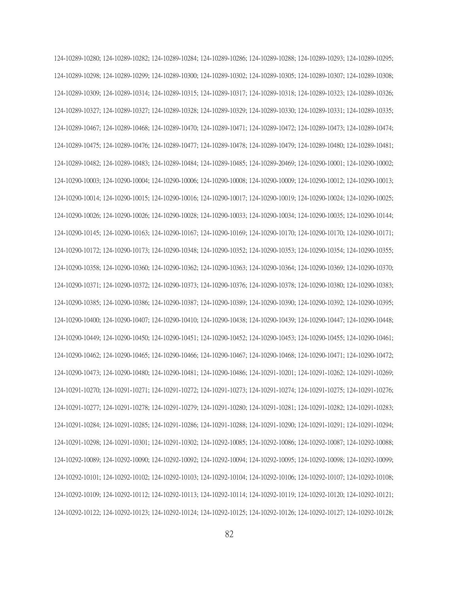124-10289-10280; 124-10289-10282; 124-10289-10284; 124-10289-10286; 124-10289-10288; 124-10289-10293; 124-10289-10295; 124-10289-10298; 124-10289-10299; 124-10289-10300; 124-10289-10302; 124-10289-10305; 124-10289-10307; 124-10289-10308; 124-10289-10309; 124-10289-10314; 124-10289-10315; 124-10289-10317; 124-10289-10318; 124-10289-10323; 124-10289-10326; 124-10289-10327; 124-10289-10327; 124-10289-10328; 124-10289-10329; 124-10289-10330; 124-10289-10331; 124-10289-10335; 124-10289-10467; 124-10289-10468; 124-10289-10470; 124-10289-10471; 124-10289-10472; 124-10289-10473; 124-10289-10474; 124-10289-10475; 124-10289-10476; 124-10289-10477; 124-10289-10478; 124-10289-10479; 124-10289-10480; 124-10289-10481; 124-10289-10482; 124-10289-10483; 124-10289-10484; 124-10289-10485; 124-10289-20469; 124-10290-10001; 124-10290-10002; 124-10290-10003; 124-10290-10004; 124-10290-10006; 124-10290-10008; 124-10290-10009; 124-10290-10012; 124-10290-10013; 124-10290-10014; 124-10290-10015; 124-10290-10016; 124-10290-10017; 124-10290-10019; 124-10290-10024; 124-10290-10025; 124-10290-10026; 124-10290-10026; 124-10290-10028; 124-10290-10033; 124-10290-10034; 124-10290-10035; 124-10290-10144; 124-10290-10145; 124-10290-10163; 124-10290-10167; 124-10290-10169; 124-10290-10170; 124-10290-10170; 124-10290-10171; 124-10290-10172; 124-10290-10173; 124-10290-10348; 124-10290-10352; 124-10290-10353; 124-10290-10354; 124-10290-10355; 124-10290-10358; 124-10290-10360; 124-10290-10362; 124-10290-10363; 124-10290-10364; 124-10290-10369; 124-10290-10370; 124-10290-10371; 124-10290-10372; 124-10290-10373; 124-10290-10376; 124-10290-10378; 124-10290-10380; 124-10290-10383; 124-10290-10385; 124-10290-10386; 124-10290-10387; 124-10290-10389; 124-10290-10390; 124-10290-10392; 124-10290-10395; 124-10290-10400; 124-10290-10407; 124-10290-10410; 124-10290-10438; 124-10290-10439; 124-10290-10447; 124-10290-10448; 124-10290-10449; 124-10290-10450; 124-10290-10451; 124-10290-10452; 124-10290-10453; 124-10290-10455; 124-10290-10461; 124-10290-10462; 124-10290-10465; 124-10290-10466; 124-10290-10467; 124-10290-10468; 124-10290-10471; 124-10290-10472; 124-10290-10473; 124-10290-10480; 124-10290-10481; 124-10290-10486; 124-10291-10201; 124-10291-10262; 124-10291-10269; 124-10291-10270; 124-10291-10271; 124-10291-10272; 124-10291-10273; 124-10291-10274; 124-10291-10275; 124-10291-10276; 124-10291-10277; 124-10291-10278; 124-10291-10279; 124-10291-10280; 124-10291-10281; 124-10291-10282; 124-10291-10283; 124-10291-10284; 124-10291-10285; 124-10291-10286; 124-10291-10288; 124-10291-10290; 124-10291-10291; 124-10291-10294; 124-10291-10298; 124-10291-10301; 124-10291-10302; 124-10292-10085; 124-10292-10086; 124-10292-10087; 124-10292-10088; 124-10292-10089; 124-10292-10090; 124-10292-10092; 124-10292-10094; 124-10292-10095; 124-10292-10098; 124-10292-10099; 124-10292-10101; 124-10292-10102; 124-10292-10103; 124-10292-10104; 124-10292-10106; 124-10292-10107; 124-10292-10108; 124-10292-10109; 124-10292-10112; 124-10292-10113; 124-10292-10114; 124-10292-10119; 124-10292-10120; 124-10292-10121; 124-10292-10122; 124-10292-10123; 124-10292-10124; 124-10292-10125; 124-10292-10126; 124-10292-10127; 124-10292-10128;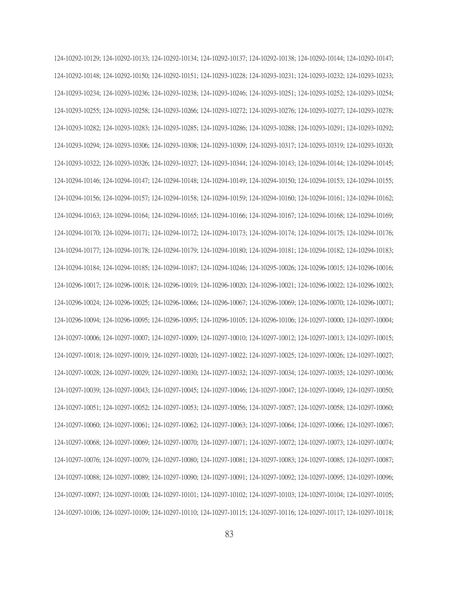124-10292-10129; 124-10292-10133; 124-10292-10134; 124-10292-10137; 124-10292-10138; 124-10292-10144; 124-10292-10147; 124-10292-10148; 124-10292-10150; 124-10292-10151; 124-10293-10228; 124-10293-10231; 124-10293-10232; 124-10293-10233; 124-10293-10234; 124-10293-10236; 124-10293-10238; 124-10293-10246; 124-10293-10251; 124-10293-10252; 124-10293-10254; 124-10293-10255; 124-10293-10258; 124-10293-10266; 124-10293-10272; 124-10293-10276; 124-10293-10277; 124-10293-10278; 124-10293-10282; 124-10293-10283; 124-10293-10285; 124-10293-10286; 124-10293-10288; 124-10293-10291; 124-10293-10292; 124-10293-10294; 124-10293-10306; 124-10293-10308; 124-10293-10309; 124-10293-10317; 124-10293-10319; 124-10293-10320; 124-10293-10322; 124-10293-10326; 124-10293-10327; 124-10293-10344; 124-10294-10143; 124-10294-10144; 124-10294-10145; 124-10294-10146; 124-10294-10147; 124-10294-10148; 124-10294-10149; 124-10294-10150; 124-10294-10153; 124-10294-10155; 124-10294-10156; 124-10294-10157; 124-10294-10158; 124-10294-10159; 124-10294-10160; 124-10294-10161; 124-10294-10162; 124-10294-10163; 124-10294-10164; 124-10294-10165; 124-10294-10166; 124-10294-10167; 124-10294-10168; 124-10294-10169; 124-10294-10170; 124-10294-10171; 124-10294-10172; 124-10294-10173; 124-10294-10174; 124-10294-10175; 124-10294-10176; 124-10294-10177; 124-10294-10178; 124-10294-10179; 124-10294-10180; 124-10294-10181; 124-10294-10182; 124-10294-10183; 124-10294-10184; 124-10294-10185; 124-10294-10187; 124-10294-10246; 124-10295-10026; 124-10296-10015; 124-10296-10016; 124-10296-10017; 124-10296-10018; 124-10296-10019; 124-10296-10020; 124-10296-10021; 124-10296-10022; 124-10296-10023; 124-10296-10024; 124-10296-10025; 124-10296-10066; 124-10296-10067; 124-10296-10069; 124-10296-10070; 124-10296-10071; 124-10296-10094; 124-10296-10095; 124-10296-10095; 124-10296-10105; 124-10296-10106; 124-10297-10000; 124-10297-10004; 124-10297-10006; 124-10297-10007; 124-10297-10009; 124-10297-10010; 124-10297-10012; 124-10297-10013; 124-10297-10015; 124-10297-10018; 124-10297-10019; 124-10297-10020; 124-10297-10022; 124-10297-10025; 124-10297-10026; 124-10297-10027; 124-10297-10028; 124-10297-10029; 124-10297-10030; 124-10297-10032; 124-10297-10034; 124-10297-10035; 124-10297-10036; 124-10297-10039; 124-10297-10043; 124-10297-10045; 124-10297-10046; 124-10297-10047; 124-10297-10049; 124-10297-10050; 124-10297-10051; 124-10297-10052; 124-10297-10053; 124-10297-10056; 124-10297-10057; 124-10297-10058; 124-10297-10060; 124-10297-10060; 124-10297-10061; 124-10297-10062; 124-10297-10063; 124-10297-10064; 124-10297-10066; 124-10297-10067; 124-10297-10068; 124-10297-10069; 124-10297-10070; 124-10297-10071; 124-10297-10072; 124-10297-10073; 124-10297-10074; 124-10297-10076; 124-10297-10079; 124-10297-10080; 124-10297-10081; 124-10297-10083; 124-10297-10085; 124-10297-10087; 124-10297-10088; 124-10297-10089; 124-10297-10090; 124-10297-10091; 124-10297-10092; 124-10297-10095; 124-10297-10096; 124-10297-10097; 124-10297-10100; 124-10297-10101; 124-10297-10102; 124-10297-10103; 124-10297-10104; 124-10297-10105; 124-10297-10106; 124-10297-10109; 124-10297-10110; 124-10297-10115; 124-10297-10116; 124-10297-10117; 124-10297-10118;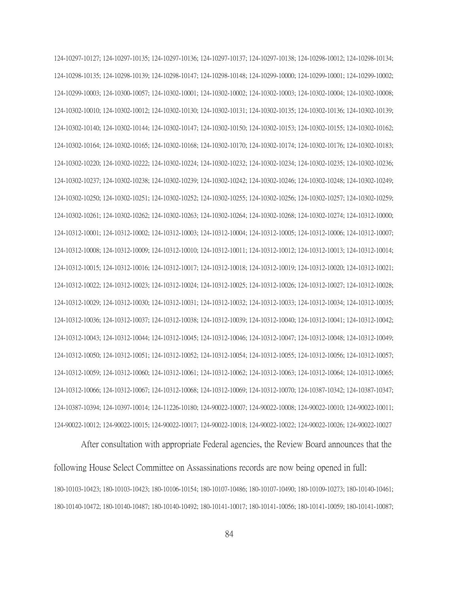124-10297-10127; 124-10297-10135; 124-10297-10136; 124-10297-10137; 124-10297-10138; 124-10298-10012; 124-10298-10134; 124-10298-10135; 124-10298-10139; 124-10298-10147; 124-10298-10148; 124-10299-10000; 124-10299-10001; 124-10299-10002; 124-10299-10003; 124-10300-10057; 124-10302-10001; 124-10302-10002; 124-10302-10003; 124-10302-10004; 124-10302-10008; 124-10302-10010; 124-10302-10012; 124-10302-10130; 124-10302-10131; 124-10302-10135; 124-10302-10136; 124-10302-10139; 124-10302-10140; 124-10302-10144; 124-10302-10147; 124-10302-10150; 124-10302-10153; 124-10302-10155; 124-10302-10162; 124-10302-10164; 124-10302-10165; 124-10302-10168; 124-10302-10170; 124-10302-10174; 124-10302-10176; 124-10302-10183; 124-10302-10220; 124-10302-10222; 124-10302-10224; 124-10302-10232; 124-10302-10234; 124-10302-10235; 124-10302-10236; 124-10302-10237; 124-10302-10238; 124-10302-10239; 124-10302-10242; 124-10302-10246; 124-10302-10248; 124-10302-10249; 124-10302-10250; 124-10302-10251; 124-10302-10252; 124-10302-10255; 124-10302-10256; 124-10302-10257; 124-10302-10259; 124-10302-10261; 124-10302-10262; 124-10302-10263; 124-10302-10264; 124-10302-10268; 124-10302-10274; 124-10312-10000; 124-10312-10001; 124-10312-10002; 124-10312-10003; 124-10312-10004; 124-10312-10005; 124-10312-10006; 124-10312-10007; 124-10312-10008; 124-10312-10009; 124-10312-10010; 124-10312-10011; 124-10312-10012; 124-10312-10013; 124-10312-10014; 124-10312-10015; 124-10312-10016; 124-10312-10017; 124-10312-10018; 124-10312-10019; 124-10312-10020; 124-10312-10021; 124-10312-10022; 124-10312-10023; 124-10312-10024; 124-10312-10025; 124-10312-10026; 124-10312-10027; 124-10312-10028; 124-10312-10029; 124-10312-10030; 124-10312-10031; 124-10312-10032; 124-10312-10033; 124-10312-10034; 124-10312-10035; 124-10312-10036; 124-10312-10037; 124-10312-10038; 124-10312-10039; 124-10312-10040; 124-10312-10041; 124-10312-10042; 124-10312-10043; 124-10312-10044; 124-10312-10045; 124-10312-10046; 124-10312-10047; 124-10312-10048; 124-10312-10049; 124-10312-10050; 124-10312-10051; 124-10312-10052; 124-10312-10054; 124-10312-10055; 124-10312-10056; 124-10312-10057; 124-10312-10059; 124-10312-10060; 124-10312-10061; 124-10312-10062; 124-10312-10063; 124-10312-10064; 124-10312-10065; 124-10312-10066; 124-10312-10067; 124-10312-10068; 124-10312-10069; 124-10312-10070; 124-10387-10342; 124-10387-10347; 124-10387-10394; 124-10397-10014; 124-11226-10180; 124-90022-10007; 124-90022-10008; 124-90022-10010; 124-90022-10011; 124-90022-10012; 124-90022-10015; 124-90022-10017; 124-90022-10018; 124-90022-10022; 124-90022-10026; 124-90022-10027

After consultation with appropriate Federal agencies, the Review Board announces that the following House Select Committee on Assassinations records are now being opened in full: 180-10103-10423; 180-10103-10423; 180-10106-10154; 180-10107-10486; 180-10107-10490; 180-10109-10273; 180-10140-10461; 180-10140-10472; 180-10140-10487; 180-10140-10492; 180-10141-10017; 180-10141-10056; 180-10141-10059; 180-10141-10087;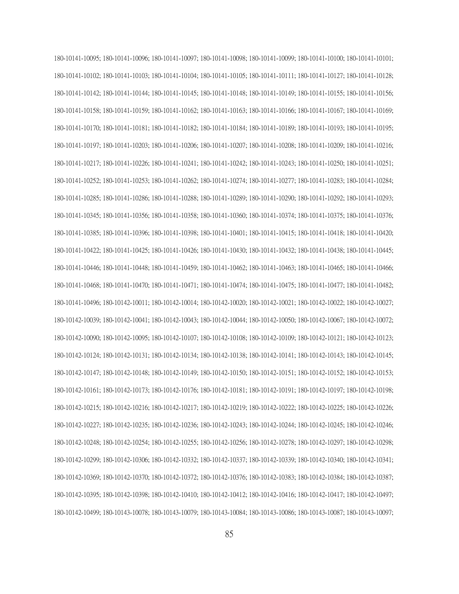180-10141-10095; 180-10141-10096; 180-10141-10097; 180-10141-10098; 180-10141-10099; 180-10141-10100; 180-10141-10101; 180-10141-10102; 180-10141-10103; 180-10141-10104; 180-10141-10105; 180-10141-10111; 180-10141-10127; 180-10141-10128; 180-10141-10142; 180-10141-10144; 180-10141-10145; 180-10141-10148; 180-10141-10149; 180-10141-10155; 180-10141-10156; 180-10141-10158; 180-10141-10159; 180-10141-10162; 180-10141-10163; 180-10141-10166; 180-10141-10167; 180-10141-10169; 180-10141-10170; 180-10141-10181; 180-10141-10182; 180-10141-10184; 180-10141-10189; 180-10141-10193; 180-10141-10195; 180-10141-10197; 180-10141-10203; 180-10141-10206; 180-10141-10207; 180-10141-10208; 180-10141-10209; 180-10141-10216; 180-10141-10217; 180-10141-10226; 180-10141-10241; 180-10141-10242; 180-10141-10243; 180-10141-10250; 180-10141-10251; 180-10141-10252; 180-10141-10253; 180-10141-10262; 180-10141-10274; 180-10141-10277; 180-10141-10283; 180-10141-10284; 180-10141-10285; 180-10141-10286; 180-10141-10288; 180-10141-10289; 180-10141-10290; 180-10141-10292; 180-10141-10293; 180-10141-10345; 180-10141-10356; 180-10141-10358; 180-10141-10360; 180-10141-10374; 180-10141-10375; 180-10141-10376; 180-10141-10385; 180-10141-10396; 180-10141-10398; 180-10141-10401; 180-10141-10415; 180-10141-10418; 180-10141-10420; 180-10141-10422; 180-10141-10425; 180-10141-10426; 180-10141-10430; 180-10141-10432; 180-10141-10438; 180-10141-10445; 180-10141-10446; 180-10141-10448; 180-10141-10459; 180-10141-10462; 180-10141-10463; 180-10141-10465; 180-10141-10466; 180-10141-10468; 180-10141-10470; 180-10141-10471; 180-10141-10474; 180-10141-10475; 180-10141-10477; 180-10141-10482; 180-10141-10496; 180-10142-10011; 180-10142-10014; 180-10142-10020; 180-10142-10021; 180-10142-10022; 180-10142-10027; 180-10142-10039; 180-10142-10041; 180-10142-10043; 180-10142-10044; 180-10142-10050; 180-10142-10067; 180-10142-10072; 180-10142-10090; 180-10142-10095; 180-10142-10107; 180-10142-10108; 180-10142-10109; 180-10142-10121; 180-10142-10123; 180-10142-10124; 180-10142-10131; 180-10142-10134; 180-10142-10138; 180-10142-10141; 180-10142-10143; 180-10142-10145; 180-10142-10147; 180-10142-10148; 180-10142-10149; 180-10142-10150; 180-10142-10151; 180-10142-10152; 180-10142-10153; 180-10142-10161; 180-10142-10173; 180-10142-10176; 180-10142-10181; 180-10142-10191; 180-10142-10197; 180-10142-10198; 180-10142-10215; 180-10142-10216; 180-10142-10217; 180-10142-10219; 180-10142-10222; 180-10142-10225; 180-10142-10226; 180-10142-10227; 180-10142-10235; 180-10142-10236; 180-10142-10243; 180-10142-10244; 180-10142-10245; 180-10142-10246; 180-10142-10248; 180-10142-10254; 180-10142-10255; 180-10142-10256; 180-10142-10278; 180-10142-10297; 180-10142-10298; 180-10142-10299; 180-10142-10306; 180-10142-10332; 180-10142-10337; 180-10142-10339; 180-10142-10340; 180-10142-10341; 180-10142-10369; 180-10142-10370; 180-10142-10372; 180-10142-10376; 180-10142-10383; 180-10142-10384; 180-10142-10387; 180-10142-10395; 180-10142-10398; 180-10142-10410; 180-10142-10412; 180-10142-10416; 180-10142-10417; 180-10142-10497; 180-10142-10499; 180-10143-10078; 180-10143-10079; 180-10143-10084; 180-10143-10086; 180-10143-10087; 180-10143-10097;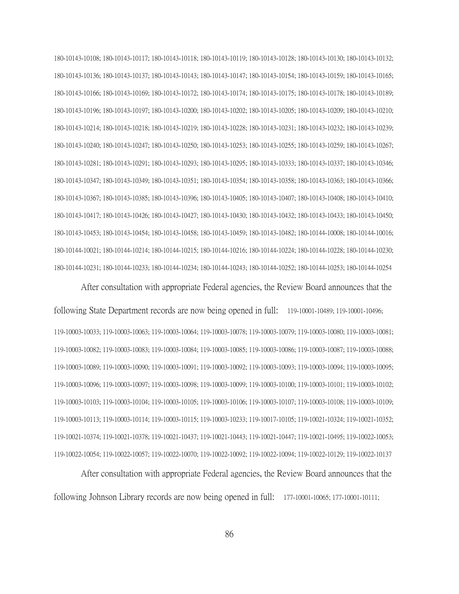180-10143-10108; 180-10143-10117; 180-10143-10118; 180-10143-10119; 180-10143-10128; 180-10143-10130; 180-10143-10132; 180-10143-10136; 180-10143-10137; 180-10143-10143; 180-10143-10147; 180-10143-10154; 180-10143-10159; 180-10143-10165; 180-10143-10166; 180-10143-10169; 180-10143-10172; 180-10143-10174; 180-10143-10175; 180-10143-10178; 180-10143-10189; 180-10143-10196; 180-10143-10197; 180-10143-10200; 180-10143-10202; 180-10143-10205; 180-10143-10209; 180-10143-10210; 180-10143-10214; 180-10143-10218; 180-10143-10219; 180-10143-10228; 180-10143-10231; 180-10143-10232; 180-10143-10239; 180-10143-10240; 180-10143-10247; 180-10143-10250; 180-10143-10253; 180-10143-10255; 180-10143-10259; 180-10143-10267; 180-10143-10281; 180-10143-10291; 180-10143-10293; 180-10143-10295; 180-10143-10333; 180-10143-10337; 180-10143-10346; 180-10143-10347; 180-10143-10349; 180-10143-10351; 180-10143-10354; 180-10143-10358; 180-10143-10363; 180-10143-10366; 180-10143-10367; 180-10143-10385; 180-10143-10396; 180-10143-10405; 180-10143-10407; 180-10143-10408; 180-10143-10410; 180-10143-10417; 180-10143-10426; 180-10143-10427; 180-10143-10430; 180-10143-10432; 180-10143-10433; 180-10143-10450; 180-10143-10453; 180-10143-10454; 180-10143-10458; 180-10143-10459; 180-10143-10482; 180-10144-10008; 180-10144-10016; 180-10144-10021; 180-10144-10214; 180-10144-10215; 180-10144-10216; 180-10144-10224; 180-10144-10228; 180-10144-10230; 180-10144-10231; 180-10144-10233; 180-10144-10234; 180-10144-10243; 180-10144-10252; 180-10144-10253; 180-10144-10254

After consultation with appropriate Federal agencies, the Review Board announces that the following State Department records are now being opened in full: 119-10001-10489; 119-10001-10496; 119-10003-10033; 119-10003-10063; 119-10003-10064; 119-10003-10078; 119-10003-10079; 119-10003-10080; 119-10003-10081; 119-10003-10082; 119-10003-10083; 119-10003-10084; 119-10003-10085; 119-10003-10086; 119-10003-10087; 119-10003-10088; 119-10003-10089; 119-10003-10090; 119-10003-10091; 119-10003-10092; 119-10003-10093; 119-10003-10094; 119-10003-10095; 119-10003-10096; 119-10003-10097; 119-10003-10098; 119-10003-10099; 119-10003-10100; 119-10003-10101; 119-10003-10102; 119-10003-10103; 119-10003-10104; 119-10003-10105; 119-10003-10106; 119-10003-10107; 119-10003-10108; 119-10003-10109; 119-10003-10113; 119-10003-10114; 119-10003-10115; 119-10003-10233; 119-10017-10105; 119-10021-10324; 119-10021-10352; 119-10021-10374; 119-10021-10378; 119-10021-10437; 119-10021-10443; 119-10021-10447; 119-10021-10495; 119-10022-10053; 119-10022-10054; 119-10022-10057; 119-10022-10070; 119-10022-10092; 119-10022-10094; 119-10022-10129; 119-10022-10137

After consultation with appropriate Federal agencies, the Review Board announces that the following Johnson Library records are now being opened in full: 177-10001-10065; 177-10001-10111;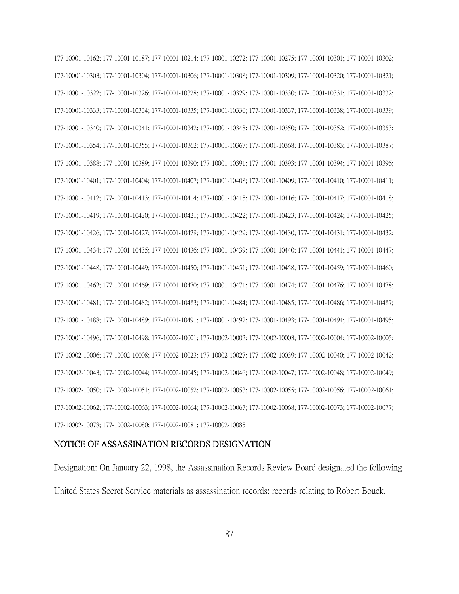177-10001-10162; 177-10001-10187; 177-10001-10214; 177-10001-10272; 177-10001-10275; 177-10001-10301; 177-10001-10302; 177-10001-10303; 177-10001-10304; 177-10001-10306; 177-10001-10308; 177-10001-10309; 177-10001-10320; 177-10001-10321; 177-10001-10322; 177-10001-10326; 177-10001-10328; 177-10001-10329; 177-10001-10330; 177-10001-10331; 177-10001-10332; 177-10001-10333; 177-10001-10334; 177-10001-10335; 177-10001-10336; 177-10001-10337; 177-10001-10338; 177-10001-10339; 177-10001-10340; 177-10001-10341; 177-10001-10342; 177-10001-10348; 177-10001-10350; 177-10001-10352; 177-10001-10353; 177-10001-10354; 177-10001-10355; 177-10001-10362; 177-10001-10367; 177-10001-10368; 177-10001-10383; 177-10001-10387; 177-10001-10388; 177-10001-10389; 177-10001-10390; 177-10001-10391; 177-10001-10393; 177-10001-10394; 177-10001-10396; 177-10001-10401; 177-10001-10404; 177-10001-10407; 177-10001-10408; 177-10001-10409; 177-10001-10410; 177-10001-10411; 177-10001-10412; 177-10001-10413; 177-10001-10414; 177-10001-10415; 177-10001-10416; 177-10001-10417; 177-10001-10418; 177-10001-10419; 177-10001-10420; 177-10001-10421; 177-10001-10422; 177-10001-10423; 177-10001-10424; 177-10001-10425; 177-10001-10426; 177-10001-10427; 177-10001-10428; 177-10001-10429; 177-10001-10430; 177-10001-10431; 177-10001-10432; 177-10001-10434; 177-10001-10435; 177-10001-10436; 177-10001-10439; 177-10001-10440; 177-10001-10441; 177-10001-10447; 177-10001-10448; 177-10001-10449; 177-10001-10450; 177-10001-10451; 177-10001-10458; 177-10001-10459; 177-10001-10460; 177-10001-10462; 177-10001-10469; 177-10001-10470; 177-10001-10471; 177-10001-10474; 177-10001-10476; 177-10001-10478; 177-10001-10481; 177-10001-10482; 177-10001-10483; 177-10001-10484; 177-10001-10485; 177-10001-10486; 177-10001-10487; 177-10001-10488; 177-10001-10489; 177-10001-10491; 177-10001-10492; 177-10001-10493; 177-10001-10494; 177-10001-10495; 177-10001-10496; 177-10001-10498; 177-10002-10001; 177-10002-10002; 177-10002-10003; 177-10002-10004; 177-10002-10005; 177-10002-10006; 177-10002-10008; 177-10002-10023; 177-10002-10027; 177-10002-10039; 177-10002-10040; 177-10002-10042; 177-10002-10043; 177-10002-10044; 177-10002-10045; 177-10002-10046; 177-10002-10047; 177-10002-10048; 177-10002-10049; 177-10002-10050; 177-10002-10051; 177-10002-10052; 177-10002-10053; 177-10002-10055; 177-10002-10056; 177-10002-10061; 177-10002-10062; 177-10002-10063; 177-10002-10064; 177-10002-10067; 177-10002-10068; 177-10002-10073; 177-10002-10077; 177-10002-10078; 177-10002-10080; 177-10002-10081; 177-10002-10085

## NOTICE OF ASSASSINATION RECORDS DESIGNATION

Designation: On January 22, 1998, the Assassination Records Review Board designated the following United States Secret Service materials as assassination records: records relating to Robert Bouck,